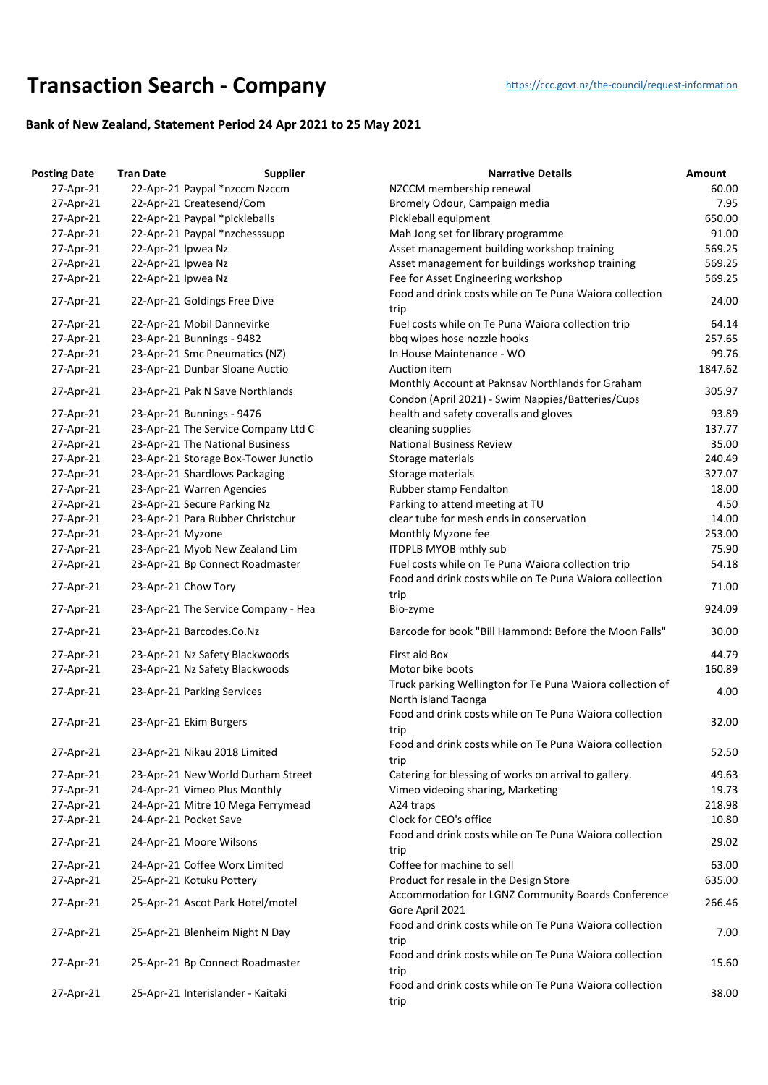## **Transaction Search - Company** https://ccc.govt.nz/the-council/request-information

## **Bank of New Zealand, Statement Period 24 Apr 2021 to 25 May 2021**

| <b>Posting Date</b> | <b>Tran Date</b>   | <b>Supplier</b>                     | <b>Narrative Details</b>                                                                                      | Amount  |
|---------------------|--------------------|-------------------------------------|---------------------------------------------------------------------------------------------------------------|---------|
| 27-Apr-21           |                    | 22-Apr-21 Paypal *nzccm Nzccm       | NZCCM membership renewal                                                                                      | 60.00   |
| 27-Apr-21           |                    | 22-Apr-21 Createsend/Com            | Bromely Odour, Campaign media                                                                                 | 7.95    |
| 27-Apr-21           |                    | 22-Apr-21 Paypal *pickleballs       | Pickleball equipment                                                                                          | 650.00  |
| 27-Apr-21           |                    | 22-Apr-21 Paypal *nzchesssupp       | Mah Jong set for library programme                                                                            | 91.00   |
| 27-Apr-21           | 22-Apr-21 Ipwea Nz |                                     | Asset management building workshop training                                                                   | 569.25  |
| 27-Apr-21           | 22-Apr-21 Ipwea Nz |                                     | Asset management for buildings workshop training                                                              | 569.25  |
| 27-Apr-21           | 22-Apr-21 Ipwea Nz |                                     | Fee for Asset Engineering workshop                                                                            | 569.25  |
| 27-Apr-21           |                    | 22-Apr-21 Goldings Free Dive        | Food and drink costs while on Te Puna Waiora collection<br>trip                                               | 24.00   |
| 27-Apr-21           |                    | 22-Apr-21 Mobil Dannevirke          | Fuel costs while on Te Puna Waiora collection trip                                                            | 64.14   |
| 27-Apr-21           |                    | 23-Apr-21 Bunnings - 9482           | bbq wipes hose nozzle hooks                                                                                   | 257.65  |
| 27-Apr-21           |                    | 23-Apr-21 Smc Pneumatics (NZ)       | In House Maintenance - WO                                                                                     | 99.76   |
| 27-Apr-21           |                    | 23-Apr-21 Dunbar Sloane Auctio      | Auction item                                                                                                  | 1847.62 |
| 27-Apr-21           |                    | 23-Apr-21 Pak N Save Northlands     | Monthly Account at Paknsav Northlands for Graham<br>Condon (April 2021) - Swim Nappies/Batteries/Cups         | 305.97  |
| 27-Apr-21           |                    | 23-Apr-21 Bunnings - 9476           | health and safety coveralls and gloves                                                                        | 93.89   |
| 27-Apr-21           |                    | 23-Apr-21 The Service Company Ltd C | cleaning supplies                                                                                             | 137.77  |
| 27-Apr-21           |                    | 23-Apr-21 The National Business     | <b>National Business Review</b>                                                                               | 35.00   |
| 27-Apr-21           |                    | 23-Apr-21 Storage Box-Tower Junctio | Storage materials                                                                                             | 240.49  |
| 27-Apr-21           |                    | 23-Apr-21 Shardlows Packaging       | Storage materials                                                                                             | 327.07  |
| 27-Apr-21           |                    | 23-Apr-21 Warren Agencies           | Rubber stamp Fendalton                                                                                        | 18.00   |
| 27-Apr-21           |                    | 23-Apr-21 Secure Parking Nz         | Parking to attend meeting at TU                                                                               | 4.50    |
| 27-Apr-21           |                    | 23-Apr-21 Para Rubber Christchur    | clear tube for mesh ends in conservation                                                                      | 14.00   |
| 27-Apr-21           | 23-Apr-21 Myzone   |                                     | Monthly Myzone fee                                                                                            | 253.00  |
| 27-Apr-21           |                    | 23-Apr-21 Myob New Zealand Lim      | <b>ITDPLB MYOB mthly sub</b>                                                                                  | 75.90   |
| 27-Apr-21           |                    | 23-Apr-21 Bp Connect Roadmaster     | Fuel costs while on Te Puna Waiora collection trip<br>Food and drink costs while on Te Puna Waiora collection | 54.18   |
| 27-Apr-21           |                    | 23-Apr-21 Chow Tory                 | trip                                                                                                          | 71.00   |
| 27-Apr-21           |                    | 23-Apr-21 The Service Company - Hea | Bio-zyme                                                                                                      | 924.09  |
| 27-Apr-21           |                    | 23-Apr-21 Barcodes.Co.Nz            | Barcode for book "Bill Hammond: Before the Moon Falls"                                                        | 30.00   |
| 27-Apr-21           |                    | 23-Apr-21 Nz Safety Blackwoods      | First aid Box                                                                                                 | 44.79   |
| 27-Apr-21           |                    | 23-Apr-21 Nz Safety Blackwoods      | Motor bike boots                                                                                              | 160.89  |
| 27-Apr-21           |                    | 23-Apr-21 Parking Services          | Truck parking Wellington for Te Puna Waiora collection of<br>North island Taonga                              | 4.00    |
| 27-Apr-21           |                    | 23-Apr-21 Ekim Burgers              | Food and drink costs while on Te Puna Waiora collection<br>trip                                               | 32.00   |
| 27-Apr-21           |                    | 23-Apr-21 Nikau 2018 Limited        | Food and drink costs while on Te Puna Waiora collection<br>trip                                               | 52.50   |
| 27-Apr-21           |                    | 23-Apr-21 New World Durham Street   | Catering for blessing of works on arrival to gallery.                                                         | 49.63   |
| 27-Apr-21           |                    | 24-Apr-21 Vimeo Plus Monthly        | Vimeo videoing sharing, Marketing                                                                             | 19.73   |
| 27-Apr-21           |                    | 24-Apr-21 Mitre 10 Mega Ferrymead   | A24 traps                                                                                                     | 218.98  |
| 27-Apr-21           |                    | 24-Apr-21 Pocket Save               | Clock for CEO's office                                                                                        | 10.80   |
| 27-Apr-21           |                    | 24-Apr-21 Moore Wilsons             | Food and drink costs while on Te Puna Waiora collection<br>trip                                               | 29.02   |
| 27-Apr-21           |                    | 24-Apr-21 Coffee Worx Limited       | Coffee for machine to sell                                                                                    | 63.00   |
| 27-Apr-21           |                    | 25-Apr-21 Kotuku Pottery            | Product for resale in the Design Store                                                                        | 635.00  |
| 27-Apr-21           |                    | 25-Apr-21 Ascot Park Hotel/motel    | Accommodation for LGNZ Community Boards Conference<br>Gore April 2021                                         | 266.46  |
| 27-Apr-21           |                    | 25-Apr-21 Blenheim Night N Day      | Food and drink costs while on Te Puna Waiora collection<br>trip                                               | 7.00    |
| 27-Apr-21           |                    | 25-Apr-21 Bp Connect Roadmaster     | Food and drink costs while on Te Puna Waiora collection<br>trip                                               | 15.60   |
| 27-Apr-21           |                    | 25-Apr-21 Interislander - Kaitaki   | Food and drink costs while on Te Puna Waiora collection<br>trip                                               | 38.00   |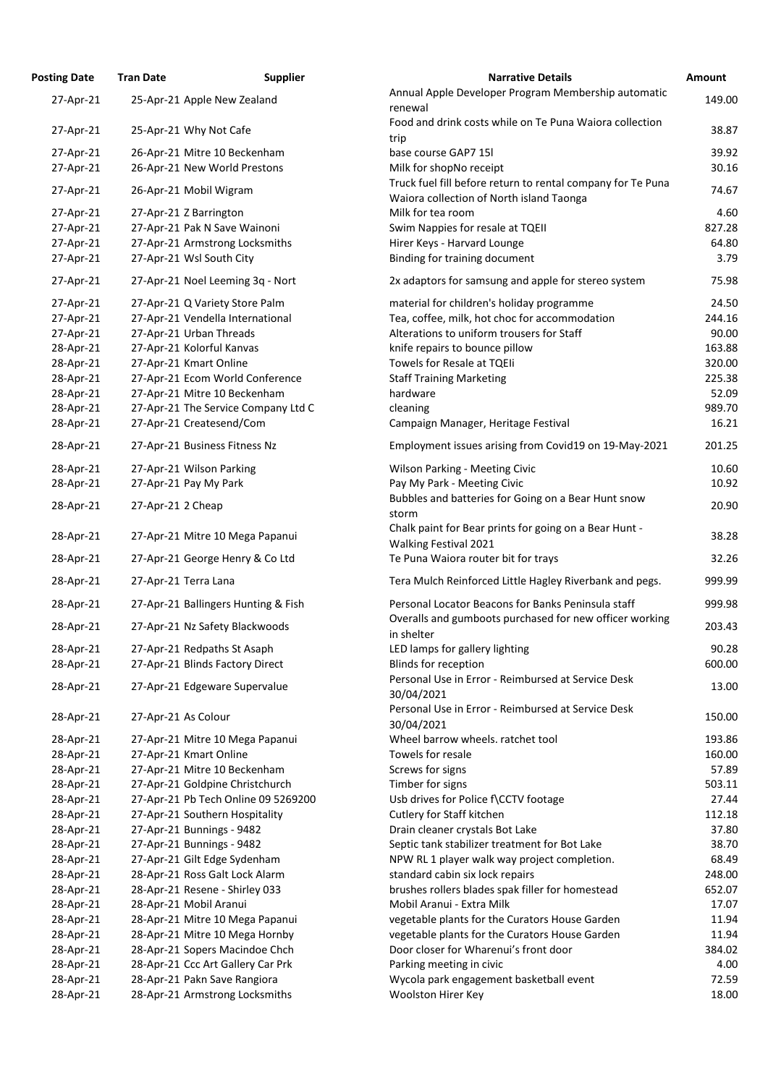| <b>Osting Date</b> | <b>Tran Date</b>                                       | <b>Supplier</b>                     | <b>Narrative Details</b>                                                                                |
|--------------------|--------------------------------------------------------|-------------------------------------|---------------------------------------------------------------------------------------------------------|
| 27-Apr-21          | 25-Apr-21 Apple New Zealand                            |                                     | Annual Apple Developer Program Membership automatic<br>renewal                                          |
| 27-Apr-21          | 25-Apr-21 Why Not Cafe                                 |                                     | Food and drink costs while on Te Puna Waiora collection<br>trip                                         |
| 27-Apr-21          | 26-Apr-21 Mitre 10 Beckenham                           |                                     | base course GAP7 15l                                                                                    |
| 27-Apr-21          | 26-Apr-21 New World Prestons                           |                                     | Milk for shopNo receipt                                                                                 |
| 27-Apr-21          | 26-Apr-21 Mobil Wigram                                 |                                     | Truck fuel fill before return to rental company for Te Puna<br>Waiora collection of North island Taonga |
| 27-Apr-21          | 27-Apr-21 Z Barrington                                 |                                     | Milk for tea room                                                                                       |
| 27-Apr-21          | 27-Apr-21 Pak N Save Wainoni                           |                                     | Swim Nappies for resale at TQEII                                                                        |
| 27-Apr-21          |                                                        | 27-Apr-21 Armstrong Locksmiths      | Hirer Keys - Harvard Lounge                                                                             |
| 27-Apr-21          | 27-Apr-21 Wsl South City                               |                                     | Binding for training document                                                                           |
| 27-Apr-21          |                                                        | 27-Apr-21 Noel Leeming 3q - Nort    | 2x adaptors for samsung and apple for stereo system                                                     |
| 27-Apr-21          | 27-Apr-21 Q Variety Store Palm                         |                                     | material for children's holiday programme                                                               |
| 27-Apr-21          |                                                        | 27-Apr-21 Vendella International    | Tea, coffee, milk, hot choc for accommodation                                                           |
| 27-Apr-21          | 27-Apr-21 Urban Threads                                |                                     | Alterations to uniform trousers for Staff                                                               |
| 28-Apr-21          | 27-Apr-21 Kolorful Kanvas                              |                                     | knife repairs to bounce pillow                                                                          |
| 28-Apr-21          | 27-Apr-21 Kmart Online                                 |                                     | Towels for Resale at TQEIi                                                                              |
| 28-Apr-21          |                                                        | 27-Apr-21 Ecom World Conference     | <b>Staff Training Marketing</b>                                                                         |
| 28-Apr-21          | 27-Apr-21 Mitre 10 Beckenham                           |                                     | hardware                                                                                                |
| 28-Apr-21          |                                                        | 27-Apr-21 The Service Company Ltd C | cleaning                                                                                                |
| 28-Apr-21          | 27-Apr-21 Createsend/Com                               |                                     | Campaign Manager, Heritage Festival                                                                     |
| 28-Apr-21          | 27-Apr-21 Business Fitness Nz                          |                                     | Employment issues arising from Covid19 on 19-May-2021                                                   |
|                    |                                                        |                                     |                                                                                                         |
| 28-Apr-21          | 27-Apr-21 Wilson Parking                               |                                     | <b>Wilson Parking - Meeting Civic</b>                                                                   |
| 28-Apr-21          | 27-Apr-21 Pay My Park                                  |                                     | Pay My Park - Meeting Civic                                                                             |
| 28-Apr-21          | 27-Apr-21 2 Cheap                                      |                                     | Bubbles and batteries for Going on a Bear Hunt snow<br>storm.                                           |
| 28-Apr-21          |                                                        | 27-Apr-21 Mitre 10 Mega Papanui     | Chalk paint for Bear prints for going on a Bear Hunt -<br>Walking Festival 2021                         |
| 28-Apr-21          |                                                        | 27-Apr-21 George Henry & Co Ltd     | Te Puna Waiora router bit for trays                                                                     |
| 28-Apr-21          | 27-Apr-21 Terra Lana                                   |                                     | Tera Mulch Reinforced Little Hagley Riverbank and pegs.                                                 |
| 28-Apr-21          |                                                        | 27-Apr-21 Ballingers Hunting & Fish | Personal Locator Beacons for Banks Peninsula staff                                                      |
| 28-Apr-21          |                                                        | 27-Apr-21 Nz Safety Blackwoods      | Overalls and gumboots purchased for new officer working<br>in shelter                                   |
| 28-Apr-21          | 27-Apr-21 Redpaths St Asaph                            |                                     | LED lamps for gallery lighting                                                                          |
| 28-Apr-21          | 27-Apr-21 Blinds Factory Direct                        |                                     | <b>Blinds for reception</b><br>Personal Use in Error - Reimbursed at Service Desk                       |
| 28-Apr-21          | 27-Apr-21 Edgeware Supervalue                          |                                     | 30/04/2021                                                                                              |
| 28-Apr-21          | 27-Apr-21 As Colour                                    |                                     | Personal Use in Error - Reimbursed at Service Desk                                                      |
|                    |                                                        |                                     | 30/04/2021<br>Wheel barrow wheels. ratchet tool                                                         |
| 28-Apr-21          |                                                        | 27-Apr-21 Mitre 10 Mega Papanui     | Towels for resale                                                                                       |
| 28-Apr-21          | 27-Apr-21 Kmart Online<br>27-Apr-21 Mitre 10 Beckenham |                                     | Screws for signs                                                                                        |
| 28-Apr-21          |                                                        |                                     |                                                                                                         |
| 28-Apr-21          |                                                        | 27-Apr-21 Goldpine Christchurch     | Timber for signs                                                                                        |
| 28-Apr-21          |                                                        | 27-Apr-21 Pb Tech Online 09 5269200 | Usb drives for Police f\CCTV footage                                                                    |
| 28-Apr-21          | 27-Apr-21 Southern Hospitality                         |                                     | Cutlery for Staff kitchen                                                                               |
| 28-Apr-21          | 27-Apr-21 Bunnings - 9482                              |                                     | Drain cleaner crystals Bot Lake                                                                         |
| 28-Apr-21          | 27-Apr-21 Bunnings - 9482                              |                                     | Septic tank stabilizer treatment for Bot Lake                                                           |
| 28-Apr-21          | 27-Apr-21 Gilt Edge Sydenham                           |                                     | NPW RL 1 player walk way project completion.                                                            |
| 28-Apr-21          | 28-Apr-21 Ross Galt Lock Alarm                         |                                     | standard cabin six lock repairs                                                                         |
| 28-Apr-21          | 28-Apr-21 Resene - Shirley 033                         |                                     | brushes rollers blades spak filler for homestead                                                        |
| 28-Apr-21          | 28-Apr-21 Mobil Aranui                                 |                                     | Mobil Aranui - Extra Milk                                                                               |
| 28-Apr-21          |                                                        | 28-Apr-21 Mitre 10 Mega Papanui     | vegetable plants for the Curators House Garden                                                          |
| 28-Apr-21          |                                                        | 28-Apr-21 Mitre 10 Mega Hornby      | vegetable plants for the Curators House Garden                                                          |
| 28-Apr-21          |                                                        | 28-Apr-21 Sopers Macindoe Chch      | Door closer for Wharenui's front door                                                                   |
| 28-Apr-21          |                                                        | 28-Apr-21 Ccc Art Gallery Car Prk   | Parking meeting in civic                                                                                |
| 28-Apr-21          | 28-Apr-21 Pakn Save Rangiora                           |                                     | Wycola park engagement basketball event                                                                 |
| 28-Apr-21          |                                                        | 28-Apr-21 Armstrong Locksmiths      | <b>Woolston Hirer Key</b>                                                                               |

| <b>Posting Date</b> | <b>Tran Date</b>    | <b>Supplier</b>                     | <b>Narrative Details</b>                                                                                      | Amount |
|---------------------|---------------------|-------------------------------------|---------------------------------------------------------------------------------------------------------------|--------|
| 27-Apr-21           |                     | 25-Apr-21 Apple New Zealand         | Annual Apple Developer Program Membership automatic<br>renewal                                                | 149.00 |
| 27-Apr-21           |                     | 25-Apr-21 Why Not Cafe              | Food and drink costs while on Te Puna Waiora collection<br>trip                                               | 38.87  |
| 27-Apr-21           |                     | 26-Apr-21 Mitre 10 Beckenham        | base course GAP7 15l                                                                                          | 39.92  |
| 27-Apr-21           |                     | 26-Apr-21 New World Prestons        | Milk for shopNo receipt                                                                                       | 30.16  |
| 27-Apr-21           |                     | 26-Apr-21 Mobil Wigram              | Truck fuel fill before return to rental company for Te Puna<br>Waiora collection of North island Taonga       | 74.67  |
| 27-Apr-21           |                     | 27-Apr-21 Z Barrington              | Milk for tea room                                                                                             | 4.60   |
| 27-Apr-21           |                     | 27-Apr-21 Pak N Save Wainoni        | Swim Nappies for resale at TQEII                                                                              | 827.28 |
| 27-Apr-21           |                     | 27-Apr-21 Armstrong Locksmiths      | Hirer Keys - Harvard Lounge                                                                                   | 64.80  |
| 27-Apr-21           |                     | 27-Apr-21 Wsl South City            | Binding for training document                                                                                 | 3.79   |
| 27-Apr-21           |                     | 27-Apr-21 Noel Leeming 3q - Nort    | 2x adaptors for samsung and apple for stereo system                                                           | 75.98  |
| 27-Apr-21           |                     | 27-Apr-21 Q Variety Store Palm      | material for children's holiday programme                                                                     | 24.50  |
| 27-Apr-21           |                     | 27-Apr-21 Vendella International    | Tea, coffee, milk, hot choc for accommodation                                                                 | 244.16 |
| 27-Apr-21           |                     | 27-Apr-21 Urban Threads             | Alterations to uniform trousers for Staff                                                                     | 90.00  |
| 28-Apr-21           |                     | 27-Apr-21 Kolorful Kanvas           | knife repairs to bounce pillow                                                                                | 163.88 |
| 28-Apr-21           |                     | 27-Apr-21 Kmart Online              | <b>Towels for Resale at TQEII</b>                                                                             | 320.00 |
| 28-Apr-21           |                     | 27-Apr-21 Ecom World Conference     | <b>Staff Training Marketing</b>                                                                               | 225.38 |
| 28-Apr-21           |                     | 27-Apr-21 Mitre 10 Beckenham        | hardware                                                                                                      | 52.09  |
| 28-Apr-21           |                     | 27-Apr-21 The Service Company Ltd C | cleaning                                                                                                      | 989.70 |
| 28-Apr-21           |                     | 27-Apr-21 Createsend/Com            | Campaign Manager, Heritage Festival                                                                           | 16.21  |
| 28-Apr-21           |                     | 27-Apr-21 Business Fitness Nz       | Employment issues arising from Covid19 on 19-May-2021                                                         | 201.25 |
| 28-Apr-21           |                     | 27-Apr-21 Wilson Parking            | <b>Wilson Parking - Meeting Civic</b>                                                                         | 10.60  |
| 28-Apr-21           |                     | 27-Apr-21 Pay My Park               | Pay My Park - Meeting Civic                                                                                   | 10.92  |
| 28-Apr-21           | 27-Apr-21 2 Cheap   |                                     | Bubbles and batteries for Going on a Bear Hunt snow<br>storm                                                  | 20.90  |
| 28-Apr-21           |                     | 27-Apr-21 Mitre 10 Mega Papanui     | Chalk paint for Bear prints for going on a Bear Hunt -<br><b>Walking Festival 2021</b>                        | 38.28  |
| 28-Apr-21           |                     | 27-Apr-21 George Henry & Co Ltd     | Te Puna Waiora router bit for trays                                                                           | 32.26  |
| 28-Apr-21           |                     | 27-Apr-21 Terra Lana                | Tera Mulch Reinforced Little Hagley Riverbank and pegs.                                                       | 999.99 |
| 28-Apr-21           |                     | 27-Apr-21 Ballingers Hunting & Fish | Personal Locator Beacons for Banks Peninsula staff<br>Overalls and gumboots purchased for new officer working | 999.98 |
| 28-Apr-21           |                     | 27-Apr-21 Nz Safety Blackwoods      | in shelter                                                                                                    | 203.43 |
| 28-Apr-21           |                     | 27-Apr-21 Redpaths St Asaph         | LED lamps for gallery lighting                                                                                | 90.28  |
| 28-Apr-21           |                     | 27-Apr-21 Blinds Factory Direct     | Blinds for reception                                                                                          | 600.00 |
| 28-Apr-21           |                     | 27-Apr-21 Edgeware Supervalue       | Personal Use in Error - Reimbursed at Service Desk<br>30/04/2021                                              | 13.00  |
| 28-Apr-21           | 27-Apr-21 As Colour |                                     | Personal Use in Error - Reimbursed at Service Desk<br>30/04/2021                                              | 150.00 |
| 28-Apr-21           |                     | 27-Apr-21 Mitre 10 Mega Papanui     | Wheel barrow wheels. ratchet tool                                                                             | 193.86 |
| 28-Apr-21           |                     | 27-Apr-21 Kmart Online              | Towels for resale                                                                                             | 160.00 |
| 28-Apr-21           |                     | 27-Apr-21 Mitre 10 Beckenham        | Screws for signs                                                                                              | 57.89  |
| 28-Apr-21           |                     | 27-Apr-21 Goldpine Christchurch     | Timber for signs                                                                                              | 503.11 |
| 28-Apr-21           |                     | 27-Apr-21 Pb Tech Online 09 5269200 | Usb drives for Police f\CCTV footage                                                                          | 27.44  |
| 28-Apr-21           |                     | 27-Apr-21 Southern Hospitality      | Cutlery for Staff kitchen                                                                                     | 112.18 |
| 28-Apr-21           |                     | 27-Apr-21 Bunnings - 9482           | Drain cleaner crystals Bot Lake                                                                               | 37.80  |
| 28-Apr-21           |                     | 27-Apr-21 Bunnings - 9482           | Septic tank stabilizer treatment for Bot Lake                                                                 | 38.70  |
| 28-Apr-21           |                     | 27-Apr-21 Gilt Edge Sydenham        | NPW RL 1 player walk way project completion.                                                                  | 68.49  |
| 28-Apr-21           |                     | 28-Apr-21 Ross Galt Lock Alarm      | standard cabin six lock repairs                                                                               | 248.00 |
| 28-Apr-21           |                     | 28-Apr-21 Resene - Shirley 033      | brushes rollers blades spak filler for homestead                                                              | 652.07 |
| 28-Apr-21           |                     | 28-Apr-21 Mobil Aranui              | Mobil Aranui - Extra Milk                                                                                     | 17.07  |
| 28-Apr-21           |                     | 28-Apr-21 Mitre 10 Mega Papanui     | vegetable plants for the Curators House Garden                                                                | 11.94  |
| 28-Apr-21           |                     | 28-Apr-21 Mitre 10 Mega Hornby      | vegetable plants for the Curators House Garden                                                                | 11.94  |
| 28-Apr-21           |                     | 28-Apr-21 Sopers Macindoe Chch      | Door closer for Wharenui's front door                                                                         | 384.02 |
| 28-Apr-21           |                     | 28-Apr-21 Ccc Art Gallery Car Prk   | Parking meeting in civic                                                                                      | 4.00   |
| 28-Apr-21           |                     | 28-Apr-21 Pakn Save Rangiora        | Wycola park engagement basketball event                                                                       | 72.59  |
| 28-Apr-21           |                     | 28-Apr-21 Armstrong Locksmiths      | <b>Woolston Hirer Key</b>                                                                                     | 18.00  |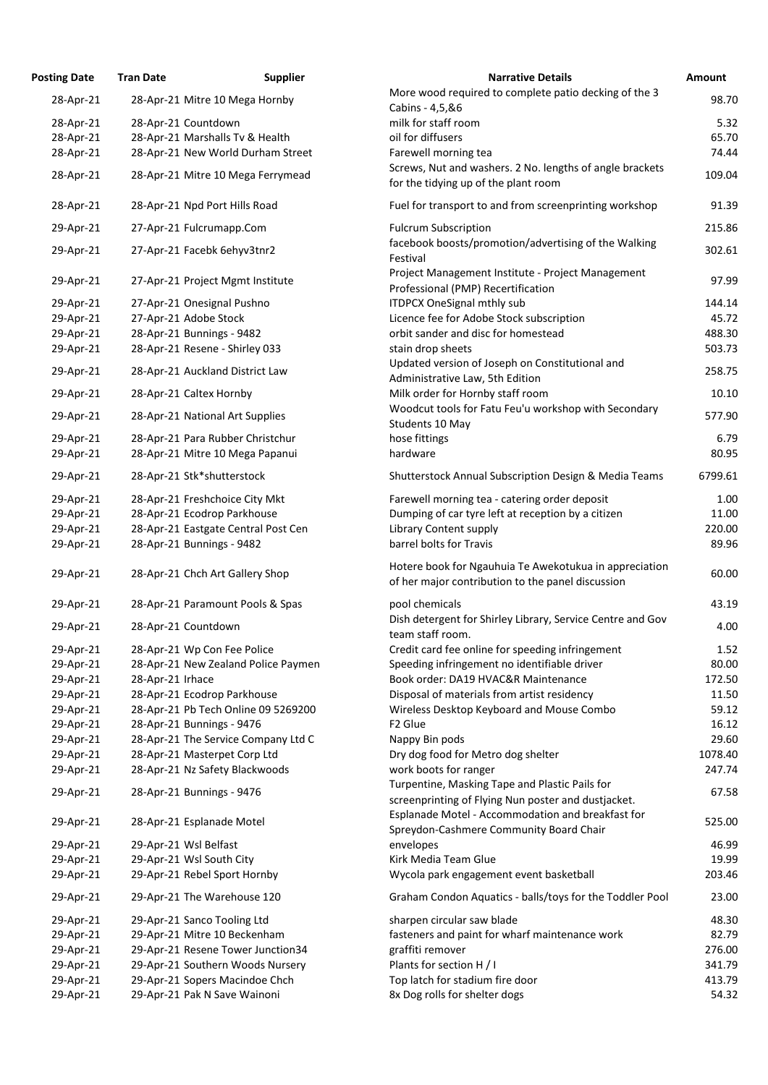| <b>Posting Date</b> | <b>Tran Date</b>                 | <b>Supplier</b>                     | <b>Narrative Details</b>                                                                                    | Amount  |
|---------------------|----------------------------------|-------------------------------------|-------------------------------------------------------------------------------------------------------------|---------|
| 28-Apr-21           |                                  | 28-Apr-21 Mitre 10 Mega Hornby      | More wood required to complete patio decking of the 3<br>Cabins - 4,5,&6                                    | 98.70   |
| 28-Apr-21           | 28-Apr-21 Countdown              |                                     | milk for staff room                                                                                         | 5.32    |
| 28-Apr-21           | 28-Apr-21 Marshalls Tv & Health  |                                     | oil for diffusers                                                                                           | 65.70   |
| 28-Apr-21           |                                  | 28-Apr-21 New World Durham Street   | Farewell morning tea                                                                                        | 74.44   |
|                     |                                  |                                     |                                                                                                             |         |
| 28-Apr-21           |                                  | 28-Apr-21 Mitre 10 Mega Ferrymead   | Screws, Nut and washers. 2 No. lengths of angle brackets<br>for the tidying up of the plant room            | 109.04  |
| 28-Apr-21           | 28-Apr-21 Npd Port Hills Road    |                                     | Fuel for transport to and from screenprinting workshop                                                      | 91.39   |
| 29-Apr-21           | 27-Apr-21 Fulcrumapp.Com         |                                     | <b>Fulcrum Subscription</b>                                                                                 | 215.86  |
| 29-Apr-21           | 27-Apr-21 Facebk 6ehyv3tnr2      |                                     | facebook boosts/promotion/advertising of the Walking<br>Festival                                            | 302.61  |
| 29-Apr-21           | 27-Apr-21 Project Mgmt Institute |                                     | Project Management Institute - Project Management<br>Professional (PMP) Recertification                     | 97.99   |
| 29-Apr-21           | 27-Apr-21 Onesignal Pushno       |                                     | <b>ITDPCX OneSignal mthly sub</b>                                                                           | 144.14  |
| 29-Apr-21           | 27-Apr-21 Adobe Stock            |                                     | Licence fee for Adobe Stock subscription                                                                    | 45.72   |
| 29-Apr-21           | 28-Apr-21 Bunnings - 9482        |                                     | orbit sander and disc for homestead                                                                         | 488.30  |
| 29-Apr-21           | 28-Apr-21 Resene - Shirley 033   |                                     | stain drop sheets                                                                                           | 503.73  |
| 29-Apr-21           | 28-Apr-21 Auckland District Law  |                                     | Updated version of Joseph on Constitutional and                                                             | 258.75  |
|                     |                                  |                                     | Administrative Law, 5th Edition                                                                             |         |
| 29-Apr-21           | 28-Apr-21 Caltex Hornby          |                                     | Milk order for Hornby staff room<br>Woodcut tools for Fatu Feu'u workshop with Secondary                    | 10.10   |
| 29-Apr-21           | 28-Apr-21 National Art Supplies  |                                     | Students 10 May                                                                                             | 577.90  |
| 29-Apr-21           |                                  | 28-Apr-21 Para Rubber Christchur    | hose fittings                                                                                               | 6.79    |
| 29-Apr-21           |                                  | 28-Apr-21 Mitre 10 Mega Papanui     | hardware                                                                                                    | 80.95   |
| 29-Apr-21           | 28-Apr-21 Stk*shutterstock       |                                     | <b>Shutterstock Annual Subscription Design &amp; Media Teams</b>                                            | 6799.61 |
| 29-Apr-21           | 28-Apr-21 Freshchoice City Mkt   |                                     | Farewell morning tea - catering order deposit                                                               | 1.00    |
| 29-Apr-21           | 28-Apr-21 Ecodrop Parkhouse      |                                     | Dumping of car tyre left at reception by a citizen                                                          | 11.00   |
| 29-Apr-21           |                                  | 28-Apr-21 Eastgate Central Post Cen | Library Content supply                                                                                      | 220.00  |
| 29-Apr-21           | 28-Apr-21 Bunnings - 9482        |                                     | barrel bolts for Travis                                                                                     | 89.96   |
| 29-Apr-21           | 28-Apr-21 Chch Art Gallery Shop  |                                     | Hotere book for Ngauhuia Te Awekotukua in appreciation<br>of her major contribution to the panel discussion | 60.00   |
| 29-Apr-21           |                                  | 28-Apr-21 Paramount Pools & Spas    | pool chemicals                                                                                              | 43.19   |
| 29-Apr-21           | 28-Apr-21 Countdown              |                                     | Dish detergent for Shirley Library, Service Centre and Gov<br>team staff room.                              | 4.00    |
| 29-Apr-21           | 28-Apr-21 Wp Con Fee Police      |                                     | Credit card fee online for speeding infringement                                                            | 1.52    |
| 29-Apr-21           |                                  | 28-Apr-21 New Zealand Police Paymen | Speeding infringement no identifiable driver                                                                | 80.00   |
| 29-Apr-21           | 28-Apr-21 Irhace                 |                                     | Book order: DA19 HVAC&R Maintenance                                                                         | 172.50  |
| 29-Apr-21           | 28-Apr-21 Ecodrop Parkhouse      |                                     | Disposal of materials from artist residency                                                                 | 11.50   |
| 29-Apr-21           |                                  | 28-Apr-21 Pb Tech Online 09 5269200 | Wireless Desktop Keyboard and Mouse Combo                                                                   | 59.12   |
| 29-Apr-21           | 28-Apr-21 Bunnings - 9476        |                                     | F <sub>2</sub> Glue                                                                                         | 16.12   |
| 29-Apr-21           |                                  | 28-Apr-21 The Service Company Ltd C | Nappy Bin pods                                                                                              | 29.60   |
| 29-Apr-21           | 28-Apr-21 Masterpet Corp Ltd     |                                     | Dry dog food for Metro dog shelter                                                                          | 1078.40 |
| 29-Apr-21           | 28-Apr-21 Nz Safety Blackwoods   |                                     | work boots for ranger                                                                                       | 247.74  |
| 29-Apr-21           | 28-Apr-21 Bunnings - 9476        |                                     | Turpentine, Masking Tape and Plastic Pails for<br>screenprinting of Flying Nun poster and dustjacket.       | 67.58   |
| 29-Apr-21           | 28-Apr-21 Esplanade Motel        |                                     | Esplanade Motel - Accommodation and breakfast for<br>Spreydon-Cashmere Community Board Chair                | 525.00  |
| 29-Apr-21           | 29-Apr-21 Wsl Belfast            |                                     | envelopes                                                                                                   | 46.99   |
| 29-Apr-21           | 29-Apr-21 Wsl South City         |                                     | Kirk Media Team Glue                                                                                        | 19.99   |
| 29-Apr-21           | 29-Apr-21 Rebel Sport Hornby     |                                     | Wycola park engagement event basketball                                                                     | 203.46  |
| 29-Apr-21           | 29-Apr-21 The Warehouse 120      |                                     | Graham Condon Aquatics - balls/toys for the Toddler Pool                                                    | 23.00   |
| 29-Apr-21           | 29-Apr-21 Sanco Tooling Ltd      |                                     | sharpen circular saw blade                                                                                  | 48.30   |
| 29-Apr-21           | 29-Apr-21 Mitre 10 Beckenham     |                                     | fasteners and paint for wharf maintenance work                                                              | 82.79   |
| 29-Apr-21           |                                  | 29-Apr-21 Resene Tower Junction34   | graffiti remover                                                                                            | 276.00  |
|                     |                                  |                                     | Plants for section H / I                                                                                    | 341.79  |
| 29-Apr-21           |                                  | 29-Apr-21 Southern Woods Nursery    |                                                                                                             |         |
| 29-Apr-21           |                                  | 29-Apr-21 Sopers Macindoe Chch      | Top latch for stadium fire door                                                                             | 413.79  |
| 29-Apr-21           | 29-Apr-21 Pak N Save Wainoni     |                                     | 8x Dog rolls for shelter dogs                                                                               | 54.32   |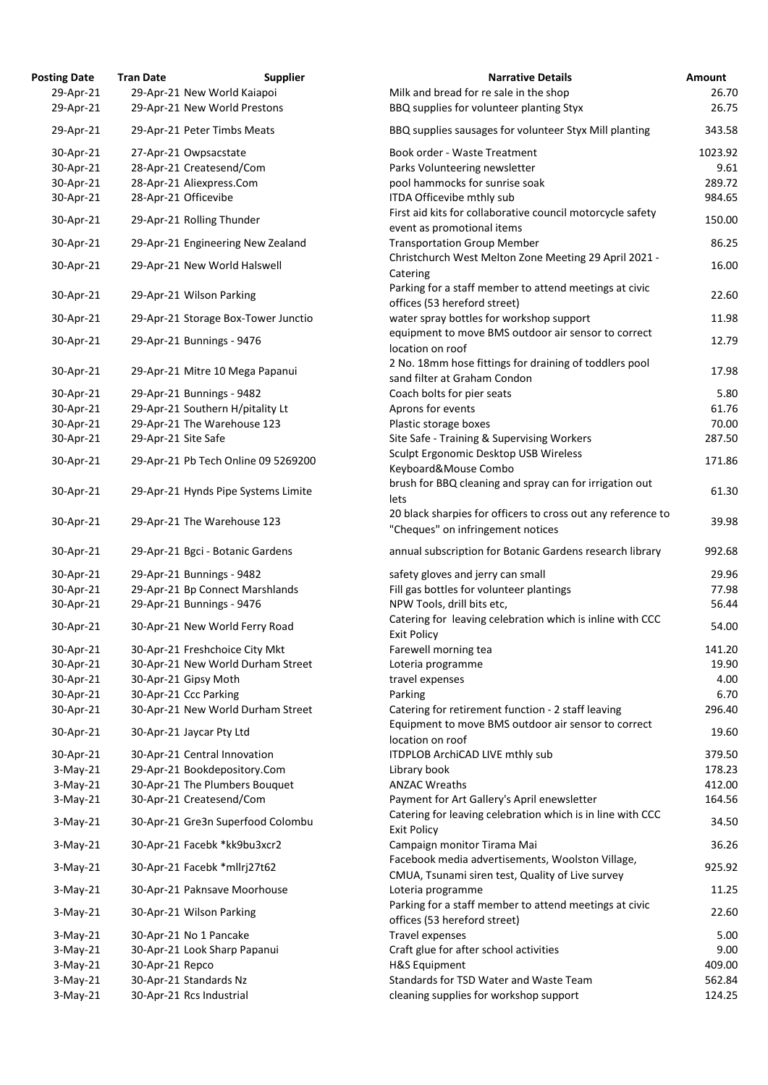| <b>Posting Date</b> | <b>Tran Date</b>    | <b>Supplier</b>                     | <b>Narrative Details</b>                                                                             | Amount  |
|---------------------|---------------------|-------------------------------------|------------------------------------------------------------------------------------------------------|---------|
| 29-Apr-21           |                     | 29-Apr-21 New World Kaiapoi         | Milk and bread for re sale in the shop                                                               | 26.70   |
| 29-Apr-21           |                     | 29-Apr-21 New World Prestons        | BBQ supplies for volunteer planting Styx                                                             | 26.75   |
| 29-Apr-21           |                     | 29-Apr-21 Peter Timbs Meats         | BBQ supplies sausages for volunteer Styx Mill planting                                               | 343.58  |
| 30-Apr-21           |                     | 27-Apr-21 Owpsacstate               | Book order - Waste Treatment                                                                         | 1023.92 |
| 30-Apr-21           |                     | 28-Apr-21 Createsend/Com            | Parks Volunteering newsletter                                                                        | 9.61    |
| 30-Apr-21           |                     | 28-Apr-21 Aliexpress.Com            | pool hammocks for sunrise soak                                                                       | 289.72  |
| 30-Apr-21           |                     | 28-Apr-21 Officevibe                | ITDA Officevibe mthly sub                                                                            | 984.65  |
|                     |                     |                                     | First aid kits for collaborative council motorcycle safety                                           |         |
| 30-Apr-21           |                     | 29-Apr-21 Rolling Thunder           | event as promotional items                                                                           | 150.00  |
| 30-Apr-21           |                     | 29-Apr-21 Engineering New Zealand   | <b>Transportation Group Member</b>                                                                   | 86.25   |
| 30-Apr-21           |                     | 29-Apr-21 New World Halswell        | Christchurch West Melton Zone Meeting 29 April 2021 -<br>Catering                                    | 16.00   |
| 30-Apr-21           |                     | 29-Apr-21 Wilson Parking            | Parking for a staff member to attend meetings at civic<br>offices (53 hereford street)               | 22.60   |
| 30-Apr-21           |                     | 29-Apr-21 Storage Box-Tower Junctio | water spray bottles for workshop support                                                             | 11.98   |
| 30-Apr-21           |                     | 29-Apr-21 Bunnings - 9476           | equipment to move BMS outdoor air sensor to correct<br>location on roof                              | 12.79   |
| 30-Apr-21           |                     | 29-Apr-21 Mitre 10 Mega Papanui     | 2 No. 18mm hose fittings for draining of toddlers pool                                               | 17.98   |
|                     |                     |                                     | sand filter at Graham Condon                                                                         |         |
| 30-Apr-21           |                     | 29-Apr-21 Bunnings - 9482           | Coach bolts for pier seats                                                                           | 5.80    |
| 30-Apr-21           |                     | 29-Apr-21 Southern H/pitality Lt    | Aprons for events                                                                                    | 61.76   |
| 30-Apr-21           |                     | 29-Apr-21 The Warehouse 123         | Plastic storage boxes                                                                                | 70.00   |
| 30-Apr-21           | 29-Apr-21 Site Safe |                                     | Site Safe - Training & Supervising Workers                                                           | 287.50  |
| 30-Apr-21           |                     | 29-Apr-21 Pb Tech Online 09 5269200 | Sculpt Ergonomic Desktop USB Wireless<br>Keyboard&Mouse Combo                                        | 171.86  |
| 30-Apr-21           |                     | 29-Apr-21 Hynds Pipe Systems Limite | brush for BBQ cleaning and spray can for irrigation out<br>lets                                      | 61.30   |
| 30-Apr-21           |                     | 29-Apr-21 The Warehouse 123         | 20 black sharpies for officers to cross out any reference to<br>"Cheques" on infringement notices    | 39.98   |
| 30-Apr-21           |                     | 29-Apr-21 Bgci - Botanic Gardens    | annual subscription for Botanic Gardens research library                                             | 992.68  |
| 30-Apr-21           |                     | 29-Apr-21 Bunnings - 9482           | safety gloves and jerry can small                                                                    | 29.96   |
| 30-Apr-21           |                     | 29-Apr-21 Bp Connect Marshlands     | Fill gas bottles for volunteer plantings                                                             | 77.98   |
| 30-Apr-21           |                     | 29-Apr-21 Bunnings - 9476           | NPW Tools, drill bits etc,                                                                           | 56.44   |
|                     |                     |                                     | Catering for leaving celebration which is inline with CCC                                            |         |
| 30-Apr-21           |                     | 30-Apr-21 New World Ferry Road      | <b>Exit Policy</b>                                                                                   | 54.00   |
| 30-Apr-21           |                     | 30-Apr-21 Freshchoice City Mkt      | Farewell morning tea                                                                                 | 141.20  |
| 30-Apr-21           |                     | 30-Apr-21 New World Durham Street   | Loteria programme                                                                                    | 19.90   |
| 30-Apr-21           |                     | 30-Apr-21 Gipsy Moth                | travel expenses                                                                                      | 4.00    |
| 30-Apr-21           |                     | 30-Apr-21 Ccc Parking               | Parking                                                                                              | 6.70    |
| 30-Apr-21           |                     | 30-Apr-21 New World Durham Street   | Catering for retirement function - 2 staff leaving                                                   | 296.40  |
| 30-Apr-21           |                     | 30-Apr-21 Jaycar Pty Ltd            | Equipment to move BMS outdoor air sensor to correct<br>location on roof                              | 19.60   |
| 30-Apr-21           |                     | 30-Apr-21 Central Innovation        | ITDPLOB ArchiCAD LIVE mthly sub                                                                      | 379.50  |
| $3-May-21$          |                     | 29-Apr-21 Bookdepository.Com        | Library book                                                                                         | 178.23  |
| $3-May-21$          |                     | 30-Apr-21 The Plumbers Bouquet      | <b>ANZAC Wreaths</b>                                                                                 | 412.00  |
| $3-May-21$          |                     | 30-Apr-21 Createsend/Com            | Payment for Art Gallery's April enewsletter                                                          | 164.56  |
| $3-May-21$          |                     | 30-Apr-21 Gre3n Superfood Colombu   | Catering for leaving celebration which is in line with CCC<br><b>Exit Policy</b>                     | 34.50   |
| $3-May-21$          |                     | 30-Apr-21 Facebk *kk9bu3xcr2        | Campaign monitor Tirama Mai                                                                          | 36.26   |
| $3-May-21$          |                     | 30-Apr-21 Facebk *mllrj27t62        | Facebook media advertisements, Woolston Village,<br>CMUA, Tsunami siren test, Quality of Live survey | 925.92  |
| $3-May-21$          |                     | 30-Apr-21 Paknsave Moorhouse        | Loteria programme                                                                                    | 11.25   |
| $3-May-21$          |                     | 30-Apr-21 Wilson Parking            | Parking for a staff member to attend meetings at civic<br>offices (53 hereford street)               | 22.60   |
| $3-May-21$          |                     | 30-Apr-21 No 1 Pancake              | Travel expenses                                                                                      | 5.00    |
| $3-May-21$          |                     | 30-Apr-21 Look Sharp Papanui        | Craft glue for after school activities                                                               | 9.00    |
| $3-May-21$          | 30-Apr-21 Repco     |                                     | <b>H&amp;S Equipment</b>                                                                             | 409.00  |
| $3-May-21$          |                     | 30-Apr-21 Standards Nz              | Standards for TSD Water and Waste Team                                                               | 562.84  |
| $3-May-21$          |                     | 30-Apr-21 Rcs Industrial            | cleaning supplies for workshop support                                                               | 124.25  |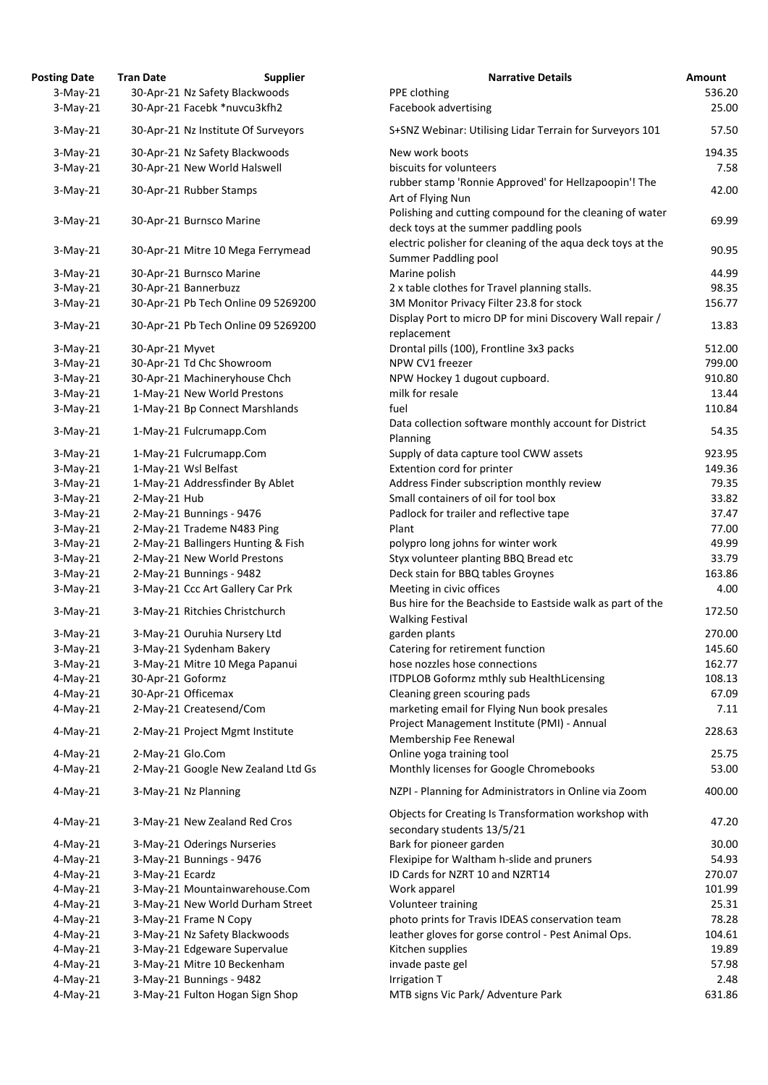| <b>Posting Date</b>        | <b>Tran Date</b>  | <b>Supplier</b>                                            | <b>Narrative Details</b>                                                                         | <b>Amount</b> |
|----------------------------|-------------------|------------------------------------------------------------|--------------------------------------------------------------------------------------------------|---------------|
| $3-May-21$                 |                   | 30-Apr-21 Nz Safety Blackwoods                             | PPE clothing                                                                                     | 536.          |
| $3-May-21$                 |                   | 30-Apr-21 Facebk *nuvcu3kfh2                               | Facebook advertising                                                                             | 25.           |
| $3-May-21$                 |                   | 30-Apr-21 Nz Institute Of Surveyors                        | S+SNZ Webinar: Utilising Lidar Terrain for Surveyors 101                                         | 57.           |
| $3-May-21$                 |                   | 30-Apr-21 Nz Safety Blackwoods                             | New work boots                                                                                   | 194.          |
| $3-May-21$                 |                   | 30-Apr-21 New World Halswell                               | biscuits for volunteers                                                                          | 7.            |
|                            |                   |                                                            | rubber stamp 'Ronnie Approved' for Hellzapoopin'! The                                            |               |
| $3-May-21$                 |                   | 30-Apr-21 Rubber Stamps                                    | Art of Flying Nun                                                                                | 42.           |
|                            |                   |                                                            | Polishing and cutting compound for the cleaning of water                                         |               |
| $3-May-21$                 |                   | 30-Apr-21 Burnsco Marine                                   | deck toys at the summer paddling pools                                                           | 69.           |
| $3-May-21$                 |                   | 30-Apr-21 Mitre 10 Mega Ferrymead                          | electric polisher for cleaning of the aqua deck toys at the<br>Summer Paddling pool              | 90.           |
| $3-May-21$                 |                   | 30-Apr-21 Burnsco Marine                                   | Marine polish                                                                                    | 44.           |
| $3-May-21$                 |                   | 30-Apr-21 Bannerbuzz                                       | 2 x table clothes for Travel planning stalls.                                                    | 98.           |
| $3-May-21$                 |                   | 30-Apr-21 Pb Tech Online 09 5269200                        | 3M Monitor Privacy Filter 23.8 for stock                                                         | 156.          |
| $3-May-21$                 |                   | 30-Apr-21 Pb Tech Online 09 5269200                        | Display Port to micro DP for mini Discovery Wall repair /<br>replacement                         | 13.           |
|                            | 30-Apr-21 Myvet   |                                                            | Drontal pills (100), Frontline 3x3 packs                                                         | 512.          |
| $3-May-21$                 |                   | 30-Apr-21 Td Chc Showroom                                  | NPW CV1 freezer                                                                                  | 799.          |
| $3-May-21$                 |                   |                                                            |                                                                                                  |               |
| $3-May-21$                 |                   | 30-Apr-21 Machineryhouse Chch                              | NPW Hockey 1 dugout cupboard.                                                                    | 910.          |
| $3-May-21$                 |                   | 1-May-21 New World Prestons                                | milk for resale                                                                                  | 13.           |
| $3-May-21$                 |                   | 1-May-21 Bp Connect Marshlands                             | fuel                                                                                             | 110.          |
| $3-May-21$                 |                   | 1-May-21 Fulcrumapp.Com                                    | Data collection software monthly account for District<br>Planning                                | 54.           |
| $3-May-21$                 |                   | 1-May-21 Fulcrumapp.Com                                    | Supply of data capture tool CWW assets                                                           | 923.          |
| $3-May-21$                 |                   | 1-May-21 Wsl Belfast                                       | Extention cord for printer                                                                       | 149.          |
| $3-May-21$                 |                   | 1-May-21 Addressfinder By Ablet                            | Address Finder subscription monthly review                                                       | 79.           |
| $3-May-21$                 | 2-May-21 Hub      |                                                            | Small containers of oil for tool box                                                             | 33.           |
| 3-May-21                   |                   | 2-May-21 Bunnings - 9476                                   | Padlock for trailer and reflective tape                                                          | 37.           |
| $3-May-21$                 |                   | 2-May-21 Trademe N483 Ping                                 | Plant                                                                                            | 77.           |
| $3-May-21$                 |                   | 2-May-21 Ballingers Hunting & Fish                         | polypro long johns for winter work                                                               | 49.           |
| $3-May-21$                 |                   | 2-May-21 New World Prestons                                | Styx volunteer planting BBQ Bread etc                                                            | 33.           |
| $3-May-21$                 |                   | 2-May-21 Bunnings - 9482                                   | Deck stain for BBQ tables Groynes                                                                | 163.          |
| $3-May-21$                 |                   | 3-May-21 Ccc Art Gallery Car Prk                           | Meeting in civic offices                                                                         | 4.            |
| $3-May-21$                 |                   | 3-May-21 Ritchies Christchurch                             | Bus hire for the Beachside to Eastside walk as part of the<br><b>Walking Festival</b>            | 172.          |
| $3-May-21$                 |                   | 3-May-21 Ouruhia Nursery Ltd                               | garden plants                                                                                    | 270.          |
| $3-May-21$                 |                   | 3-May-21 Sydenham Bakery                                   | Catering for retirement function                                                                 | 145.          |
| $3-May-21$                 |                   | 3-May-21 Mitre 10 Mega Papanui                             | hose nozzles hose connections                                                                    | 162.          |
|                            | 30-Apr-21 Goformz |                                                            |                                                                                                  |               |
| $4$ -May-21                |                   |                                                            | <b>ITDPLOB Goformz mthly sub HealthLicensing</b>                                                 | 108.          |
| $4$ -May-21                |                   | 30-Apr-21 Officemax                                        | Cleaning green scouring pads                                                                     | 67.<br>7.     |
| $4$ -May-21                |                   | 2-May-21 Createsend/Com                                    | marketing email for Flying Nun book presales                                                     |               |
| $4$ -May-21                |                   | 2-May-21 Project Mgmt Institute                            | Project Management Institute (PMI) - Annual<br>Membership Fee Renewal                            | 228.          |
|                            |                   |                                                            | Online yoga training tool                                                                        | 25.           |
| $4$ -May-21                | 2-May-21 Glo.Com  |                                                            |                                                                                                  |               |
| $4$ -May-21<br>$4$ -May-21 |                   | 2-May-21 Google New Zealand Ltd Gs<br>3-May-21 Nz Planning | Monthly licenses for Google Chromebooks<br>NZPI - Planning for Administrators in Online via Zoom | 53.<br>400.   |
|                            |                   |                                                            |                                                                                                  |               |
| $4$ -May-21                |                   | 3-May-21 New Zealand Red Cros                              | Objects for Creating Is Transformation workshop with<br>secondary students 13/5/21               | 47.           |
| $4$ -May-21                |                   | 3-May-21 Oderings Nurseries                                | Bark for pioneer garden                                                                          | 30.           |
| $4$ -May-21                |                   | 3-May-21 Bunnings - 9476                                   | Flexipipe for Waltham h-slide and pruners                                                        | 54.           |
| $4$ -May-21                | 3-May-21 Ecardz   |                                                            | ID Cards for NZRT 10 and NZRT14                                                                  | 270.          |
| $4$ -May-21                |                   | 3-May-21 Mountainwarehouse.Com                             | Work apparel                                                                                     | 101.          |
| $4$ -May-21                |                   | 3-May-21 New World Durham Street                           | Volunteer training                                                                               | 25.           |
| $4$ -May-21                |                   | 3-May-21 Frame N Copy                                      | photo prints for Travis IDEAS conservation team                                                  | 78.           |
| $4$ -May-21                |                   | 3-May-21 Nz Safety Blackwoods                              | leather gloves for gorse control - Pest Animal Ops.                                              | 104.          |
| $4$ -May-21                |                   | 3-May-21 Edgeware Supervalue                               | Kitchen supplies                                                                                 | 19.           |
| $4$ -May-21                |                   | 3-May-21 Mitre 10 Beckenham                                | invade paste gel                                                                                 | 57.           |
| $4$ -May-21                |                   | 3-May-21 Bunnings - 9482                                   | Irrigation T                                                                                     | 2.            |
| $4$ -May-21                |                   | 3-May-21 Fulton Hogan Sign Shop                            | MTB signs Vic Park/ Adventure Park                                                               | 631.          |

| $3-May-21$ | 30-Apr-21 Nz Safety Blackwoods      | PPE clothing                                                                                       | 536.20 |
|------------|-------------------------------------|----------------------------------------------------------------------------------------------------|--------|
| 3-May-21   | 30-Apr-21 Facebk *nuvcu3kfh2        | Facebook advertising                                                                               | 25.00  |
| $3-May-21$ | 30-Apr-21 Nz Institute Of Surveyors | S+SNZ Webinar: Utilising Lidar Terrain for Surveyors 101                                           | 57.50  |
| $3-May-21$ | 30-Apr-21 Nz Safety Blackwoods      | New work boots                                                                                     | 194.35 |
| 3-May-21   | 30-Apr-21 New World Halswell        | biscuits for volunteers                                                                            | 7.58   |
| 3-May-21   | 30-Apr-21 Rubber Stamps             | rubber stamp 'Ronnie Approved' for Hellzapoopin'! The<br>Art of Flying Nun                         | 42.00  |
| 3-May-21   | 30-Apr-21 Burnsco Marine            | Polishing and cutting compound for the cleaning of water<br>deck toys at the summer paddling pools | 69.99  |
| 3-May-21   | 30-Apr-21 Mitre 10 Mega Ferrymead   | electric polisher for cleaning of the aqua deck toys at the<br>Summer Paddling pool                | 90.95  |
| 3-May-21   | 30-Apr-21 Burnsco Marine            | Marine polish                                                                                      | 44.99  |
| 3-May-21   | 30-Apr-21 Bannerbuzz                | 2 x table clothes for Travel planning stalls.                                                      | 98.35  |
| $3-May-21$ | 30-Apr-21 Pb Tech Online 09 5269200 | 3M Monitor Privacy Filter 23.8 for stock                                                           | 156.77 |
| 3-May-21   | 30-Apr-21 Pb Tech Online 09 5269200 | Display Port to micro DP for mini Discovery Wall repair /<br>replacement                           | 13.83  |
| 3-May-21   | 30-Apr-21 Myvet                     | Drontal pills (100), Frontline 3x3 packs                                                           | 512.00 |
| 3-May-21   | 30-Apr-21 Td Chc Showroom           | NPW CV1 freezer                                                                                    | 799.00 |
| $3-May-21$ | 30-Apr-21 Machineryhouse Chch       | NPW Hockey 1 dugout cupboard.                                                                      | 910.80 |
| 3-May-21   | 1-May-21 New World Prestons         | milk for resale                                                                                    | 13.44  |
| 3-May-21   | 1-May-21 Bp Connect Marshlands      | fuel                                                                                               | 110.84 |
| 3-May-21   | 1-May-21 Fulcrumapp.Com             | Data collection software monthly account for District                                              | 54.35  |
|            |                                     | Planning                                                                                           |        |
| 3-May-21   | 1-May-21 Fulcrumapp.Com             | Supply of data capture tool CWW assets                                                             | 923.95 |
| 3-May-21   | 1-May-21 Wsl Belfast                | Extention cord for printer                                                                         | 149.36 |
| 3-May-21   | 1-May-21 Addressfinder By Ablet     | Address Finder subscription monthly review                                                         | 79.35  |
| 3-May-21   | 2-May-21 Hub                        | Small containers of oil for tool box                                                               | 33.82  |
| $3-May-21$ | 2-May-21 Bunnings - 9476            | Padlock for trailer and reflective tape                                                            | 37.47  |
| $3-May-21$ | 2-May-21 Trademe N483 Ping          | Plant                                                                                              | 77.00  |
| 3-May-21   | 2-May-21 Ballingers Hunting & Fish  | polypro long johns for winter work                                                                 | 49.99  |
| 3-May-21   | 2-May-21 New World Prestons         | Styx volunteer planting BBQ Bread etc                                                              | 33.79  |
| 3-May-21   | 2-May-21 Bunnings - 9482            | Deck stain for BBQ tables Groynes                                                                  | 163.86 |
| 3-May-21   | 3-May-21 Ccc Art Gallery Car Prk    | Meeting in civic offices                                                                           | 4.00   |
| $3-May-21$ | 3-May-21 Ritchies Christchurch      | Bus hire for the Beachside to Eastside walk as part of the<br><b>Walking Festival</b>              | 172.50 |
| 3-May-21   | 3-May-21 Ouruhia Nursery Ltd        | garden plants                                                                                      | 270.00 |
| 3-May-21   | 3-May-21 Sydenham Bakery            | Catering for retirement function                                                                   | 145.60 |
| 3-May-21   | 3-May-21 Mitre 10 Mega Papanui      | hose nozzles hose connections                                                                      | 162.77 |
| 4-May-21   | 30-Apr-21 Goformz                   | ITDPLOB Goformz mthly sub HealthLicensing                                                          | 108.13 |
| 4-May-21   | 30-Apr-21 Officemax                 | Cleaning green scouring pads                                                                       | 67.09  |
| 4-May-21   | 2-May-21 Createsend/Com             | marketing email for Flying Nun book presales                                                       | 7.11   |
| 4-May-21   | 2-May-21 Project Mgmt Institute     | Project Management Institute (PMI) - Annual<br>Membership Fee Renewal                              | 228.63 |
| 4-May-21   | 2-May-21 Glo.Com                    | Online yoga training tool                                                                          | 25.75  |
| 4-May-21   | 2-May-21 Google New Zealand Ltd Gs  | Monthly licenses for Google Chromebooks                                                            | 53.00  |
| 4-May-21   | 3-May-21 Nz Planning                | NZPI - Planning for Administrators in Online via Zoom                                              | 400.00 |
| 4-May-21   | 3-May-21 New Zealand Red Cros       | Objects for Creating Is Transformation workshop with<br>secondary students 13/5/21                 | 47.20  |
| 4-May-21   | 3-May-21 Oderings Nurseries         | Bark for pioneer garden                                                                            | 30.00  |
| 4-May-21   | 3-May-21 Bunnings - 9476            | Flexipipe for Waltham h-slide and pruners                                                          | 54.93  |
| 4-May-21   | 3-May-21 Ecardz                     | ID Cards for NZRT 10 and NZRT14                                                                    | 270.07 |
| 4-May-21   | 3-May-21 Mountainwarehouse.Com      | Work apparel                                                                                       | 101.99 |
| 4-May-21   | 3-May-21 New World Durham Street    | Volunteer training                                                                                 | 25.31  |
| 4-May-21   | 3-May-21 Frame N Copy               | photo prints for Travis IDEAS conservation team                                                    | 78.28  |
| 4-May-21   | 3-May-21 Nz Safety Blackwoods       | leather gloves for gorse control - Pest Animal Ops.                                                | 104.61 |
| 4-May-21   | 3-May-21 Edgeware Supervalue        | Kitchen supplies                                                                                   | 19.89  |
| 4-May-21   | 3-May-21 Mitre 10 Beckenham         | invade paste gel                                                                                   | 57.98  |
| 4-May-21   | 3-May-21 Bunnings - 9482            | Irrigation T                                                                                       | 2.48   |
| 4-May-21   | 3-May-21 Fulton Hogan Sign Shop     | MTB signs Vic Park/ Adventure Park                                                                 | 631.86 |
|            |                                     |                                                                                                    |        |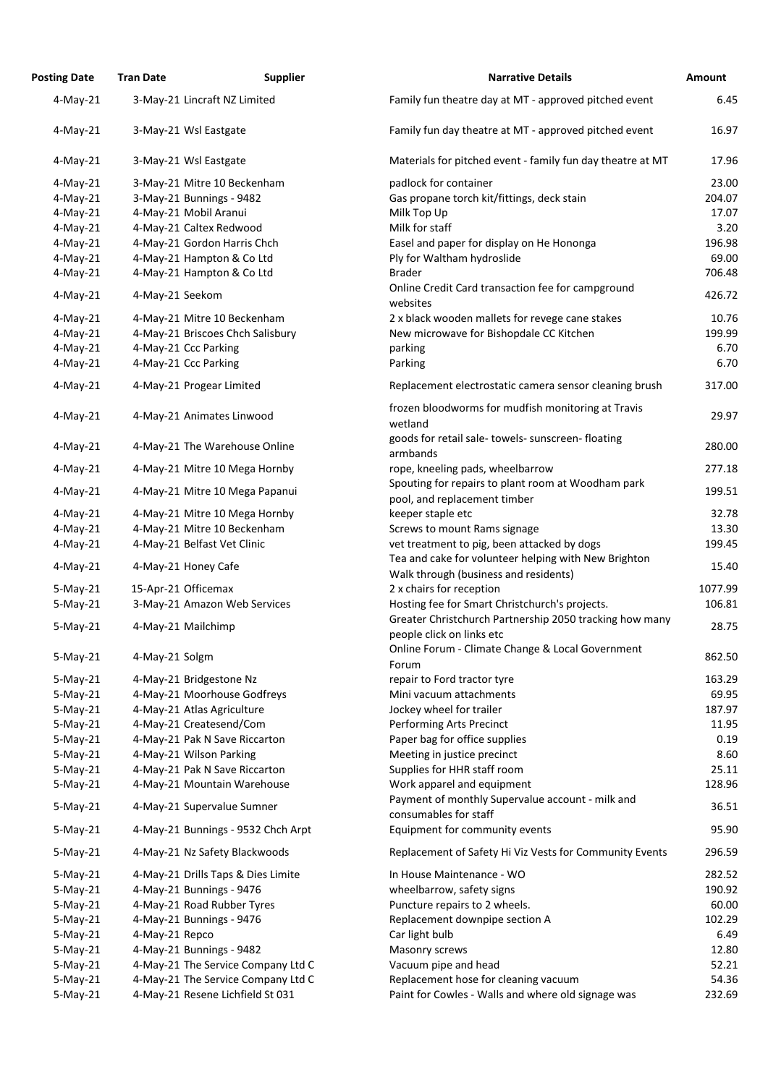| <b>Posting Date</b>      | <b>Tran Date</b> | <b>Supplier</b>                                          | <b>Narrative Details</b>                                                             | <b>Amount</b>   |
|--------------------------|------------------|----------------------------------------------------------|--------------------------------------------------------------------------------------|-----------------|
| $4$ -May-21              |                  | 3-May-21 Lincraft NZ Limited                             | Family fun theatre day at MT - approved pitched event                                | 6.45            |
| $4$ -May-21              |                  | 3-May-21 Wsl Eastgate                                    | Family fun day theatre at MT - approved pitched event                                | 16.97           |
| $4$ -May-21              |                  | 3-May-21 Wsl Eastgate                                    | Materials for pitched event - family fun day theatre at MT                           | 17.96           |
| $4$ -May-21              |                  | 3-May-21 Mitre 10 Beckenham                              | padlock for container                                                                | 23.00           |
| $4$ -May-21              |                  | 3-May-21 Bunnings - 9482                                 | Gas propane torch kit/fittings, deck stain                                           | 204.07          |
| $4$ -May-21              |                  | 4-May-21 Mobil Aranui                                    | Milk Top Up                                                                          | 17.07           |
| $4$ -May-21              |                  | 4-May-21 Caltex Redwood                                  | Milk for staff                                                                       | 3.20            |
| $4$ -May-21              |                  | 4-May-21 Gordon Harris Chch                              | Easel and paper for display on He Hononga                                            | 196.98          |
| $4$ -May-21              |                  | 4-May-21 Hampton & Co Ltd                                | Ply for Waltham hydroslide                                                           | 69.00           |
| $4$ -May-21              |                  | 4-May-21 Hampton & Co Ltd                                | <b>Brader</b>                                                                        | 706.48          |
| $4$ -May-21              | 4-May-21 Seekom  |                                                          | Online Credit Card transaction fee for campground<br>websites                        | 426.72          |
| $4$ -May-21              |                  | 4-May-21 Mitre 10 Beckenham                              | 2 x black wooden mallets for revege cane stakes                                      | 10.76           |
| $4$ -May-21              |                  | 4-May-21 Briscoes Chch Salisbury                         | New microwave for Bishopdale CC Kitchen                                              | 199.99          |
| $4$ -May-21              |                  | 4-May-21 Ccc Parking                                     | parking                                                                              | 6.70            |
| $4$ -May-21              |                  | 4-May-21 Ccc Parking                                     | Parking                                                                              | 6.70            |
| $4$ -May-21              |                  | 4-May-21 Progear Limited                                 | Replacement electrostatic camera sensor cleaning brush                               | 317.00          |
| $4$ -May-21              |                  | 4-May-21 Animates Linwood                                | frozen bloodworms for mudfish monitoring at Travis<br>wetland                        | 29.97           |
| $4$ -May-21              |                  | 4-May-21 The Warehouse Online                            | goods for retail sale-towels-sunscreen-floating<br>armbands                          | 280.00          |
| $4$ -May-21              |                  | 4-May-21 Mitre 10 Mega Hornby                            | rope, kneeling pads, wheelbarrow                                                     | 277.18          |
| $4$ -May-21              |                  | 4-May-21 Mitre 10 Mega Papanui                           | Spouting for repairs to plant room at Woodham park<br>pool, and replacement timber   | 199.51          |
| $4$ -May-21              |                  | 4-May-21 Mitre 10 Mega Hornby                            | keeper staple etc                                                                    | 32.78           |
| $4$ -May-21              |                  | 4-May-21 Mitre 10 Beckenham                              | Screws to mount Rams signage                                                         | 13.30           |
| $4-May-21$               |                  | 4-May-21 Belfast Vet Clinic                              | vet treatment to pig, been attacked by dogs                                          | 199.45          |
|                          |                  |                                                          | Tea and cake for volunteer helping with New Brighton                                 |                 |
| $4$ -May-21              |                  | 4-May-21 Honey Cafe                                      | Walk through (business and residents)                                                | 15.40           |
| $5-May-21$               |                  | 15-Apr-21 Officemax                                      | 2 x chairs for reception                                                             | 1077.99         |
| $5-May-21$               |                  | 3-May-21 Amazon Web Services                             | Hosting fee for Smart Christchurch's projects.                                       | 106.81          |
| $5-May-21$               |                  | 4-May-21 Mailchimp                                       | Greater Christchurch Partnership 2050 tracking how many<br>people click on links etc | 28.75           |
| $5-May-21$               | 4-May-21 Solgm   |                                                          | Online Forum - Climate Change & Local Government                                     | 862.50          |
|                          |                  |                                                          | Forum                                                                                | 163.29          |
| $5-May-21$               |                  | 4-May-21 Bridgestone Nz                                  | repair to Ford tractor tyre                                                          |                 |
| $5-May-21$               |                  | 4-May-21 Moorhouse Godfreys                              | Mini vacuum attachments                                                              | 69.95<br>187.97 |
| $5-May-21$               |                  | 4-May-21 Atlas Agriculture                               | Jockey wheel for trailer                                                             | 11.95           |
| $5-May-21$<br>$5-May-21$ |                  | 4-May-21 Createsend/Com<br>4-May-21 Pak N Save Riccarton | Performing Arts Precinct<br>Paper bag for office supplies                            | 0.19            |
| $5-May-21$               |                  | 4-May-21 Wilson Parking                                  | Meeting in justice precinct                                                          | 8.60            |
| $5-May-21$               |                  | 4-May-21 Pak N Save Riccarton                            | Supplies for HHR staff room                                                          | 25.11           |
| $5-May-21$               |                  | 4-May-21 Mountain Warehouse                              | Work apparel and equipment                                                           | 128.96          |
| $5-May-21$               |                  | 4-May-21 Supervalue Sumner                               | Payment of monthly Supervalue account - milk and<br>consumables for staff            | 36.51           |
| $5-May-21$               |                  | 4-May-21 Bunnings - 9532 Chch Arpt                       | Equipment for community events                                                       | 95.90           |
| $5-May-21$               |                  | 4-May-21 Nz Safety Blackwoods                            | Replacement of Safety Hi Viz Vests for Community Events                              | 296.59          |
| $5-May-21$               |                  | 4-May-21 Drills Taps & Dies Limite                       | In House Maintenance - WO                                                            | 282.52          |
| $5-May-21$               |                  | 4-May-21 Bunnings - 9476                                 | wheelbarrow, safety signs                                                            | 190.92          |
| $5-May-21$               |                  | 4-May-21 Road Rubber Tyres                               | Puncture repairs to 2 wheels.                                                        | 60.00           |
| $5-May-21$               |                  | 4-May-21 Bunnings - 9476                                 | Replacement downpipe section A                                                       | 102.29          |
| $5-May-21$               | 4-May-21 Repco   |                                                          | Car light bulb                                                                       | 6.49            |
| $5-May-21$               |                  | 4-May-21 Bunnings - 9482                                 | Masonry screws                                                                       | 12.80           |
| $5-May-21$               |                  | 4-May-21 The Service Company Ltd C                       | Vacuum pipe and head                                                                 | 52.21           |
| $5-May-21$               |                  | 4-May-21 The Service Company Ltd C                       | Replacement hose for cleaning vacuum                                                 | 54.36           |
| $5-May-21$               |                  | 4-May-21 Resene Lichfield St 031                         | Paint for Cowles - Walls and where old signage was                                   | 232.69          |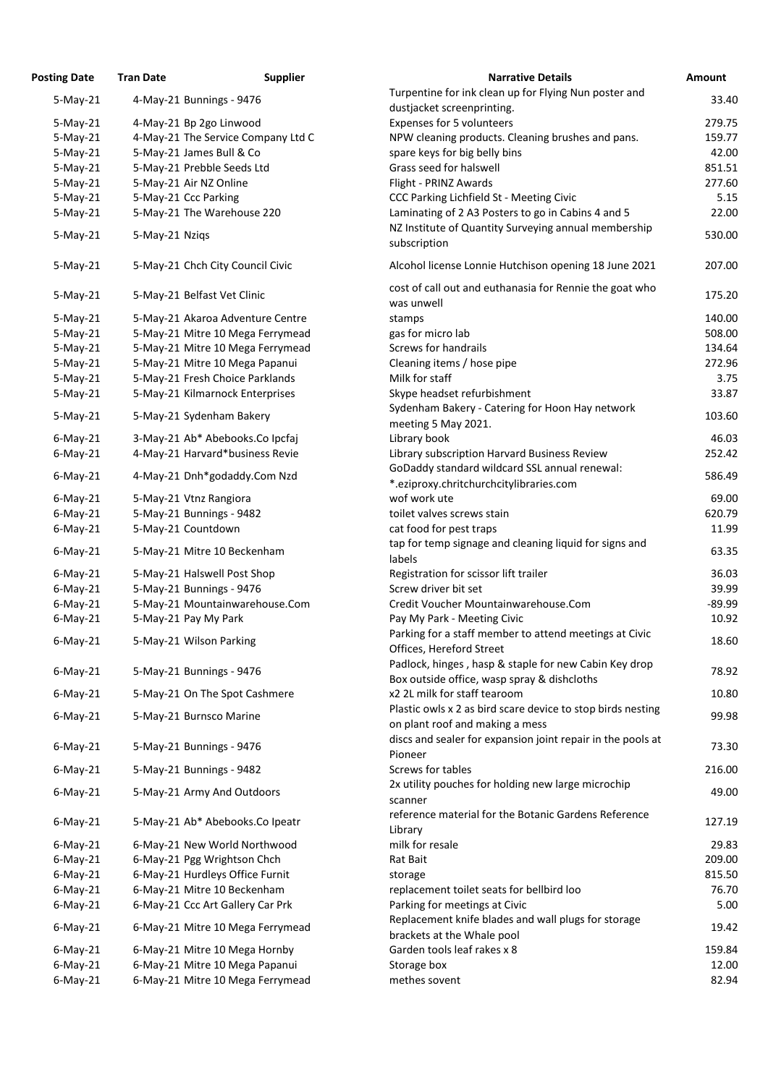| <b>Posting Date</b> | <b>Tran Date</b> | <b>Supplier</b>                    | <b>Narrative Details</b>                                                                             | <b>Amount</b> |
|---------------------|------------------|------------------------------------|------------------------------------------------------------------------------------------------------|---------------|
| $5-May-21$          |                  | 4-May-21 Bunnings - 9476           | Turpentine for ink clean up for Flying Nun poster and                                                | 33.40         |
|                     |                  |                                    | dustjacket screenprinting.                                                                           |               |
| $5-May-21$          |                  | 4-May-21 Bp 2go Linwood            | Expenses for 5 volunteers                                                                            | 279.75        |
| $5-May-21$          |                  | 4-May-21 The Service Company Ltd C | NPW cleaning products. Cleaning brushes and pans.                                                    | 159.77        |
| $5-May-21$          |                  | 5-May-21 James Bull & Co           | spare keys for big belly bins                                                                        | 42.00         |
| $5-May-21$          |                  | 5-May-21 Prebble Seeds Ltd         | Grass seed for halswell                                                                              | 851.51        |
| $5-May-21$          |                  | 5-May-21 Air NZ Online             | Flight - PRINZ Awards                                                                                | 277.60        |
| $5-May-21$          |                  | 5-May-21 Ccc Parking               | CCC Parking Lichfield St - Meeting Civic                                                             | 5.15          |
| $5-May-21$          |                  | 5-May-21 The Warehouse 220         | Laminating of 2 A3 Posters to go in Cabins 4 and 5                                                   | 22.00         |
| $5-May-21$          | 5-May-21 Nziqs   |                                    | NZ Institute of Quantity Surveying annual membership<br>subscription                                 | 530.00        |
| $5-May-21$          |                  | 5-May-21 Chch City Council Civic   | Alcohol license Lonnie Hutchison opening 18 June 2021                                                | 207.00        |
| $5-May-21$          |                  | 5-May-21 Belfast Vet Clinic        | cost of call out and euthanasia for Rennie the goat who<br>was unwell                                | 175.20        |
| $5-May-21$          |                  | 5-May-21 Akaroa Adventure Centre   | stamps                                                                                               | 140.00        |
| $5-May-21$          |                  | 5-May-21 Mitre 10 Mega Ferrymead   | gas for micro lab                                                                                    | 508.00        |
| $5-May-21$          |                  | 5-May-21 Mitre 10 Mega Ferrymead   | <b>Screws for handrails</b>                                                                          | 134.64        |
| $5-May-21$          |                  | 5-May-21 Mitre 10 Mega Papanui     | Cleaning items / hose pipe                                                                           | 272.96        |
| $5-May-21$          |                  | 5-May-21 Fresh Choice Parklands    | Milk for staff                                                                                       | 3.75          |
| $5-May-21$          |                  | 5-May-21 Kilmarnock Enterprises    | Skype headset refurbishment                                                                          | 33.87         |
| $5-May-21$          |                  | 5-May-21 Sydenham Bakery           | Sydenham Bakery - Catering for Hoon Hay network<br>meeting 5 May 2021.                               | 103.60        |
| $6$ -May-21         |                  | 3-May-21 Ab* Abebooks.Co Ipcfaj    | Library book                                                                                         | 46.03         |
| $6$ -May-21         |                  | 4-May-21 Harvard*business Revie    | Library subscription Harvard Business Review                                                         | 252.42        |
| $6$ -May-21         |                  | 4-May-21 Dnh*godaddy.Com Nzd       | GoDaddy standard wildcard SSL annual renewal:<br>*.eziproxy.chritchurchcitylibraries.com             | 586.49        |
| $6$ -May-21         |                  | 5-May-21 Vtnz Rangiora             | wof work ute                                                                                         | 69.00         |
| $6$ -May-21         |                  | 5-May-21 Bunnings - 9482           | toilet valves screws stain                                                                           | 620.79        |
| $6$ -May-21         |                  | 5-May-21 Countdown                 | cat food for pest traps                                                                              | 11.99         |
| $6$ -May-21         |                  | 5-May-21 Mitre 10 Beckenham        | tap for temp signage and cleaning liquid for signs and<br>labels                                     | 63.35         |
| $6$ -May-21         |                  | 5-May-21 Halswell Post Shop        | Registration for scissor lift trailer                                                                | 36.03         |
| $6$ -May-21         |                  | 5-May-21 Bunnings - 9476           | Screw driver bit set                                                                                 | 39.99         |
| $6$ -May-21         |                  | 5-May-21 Mountainwarehouse.Com     | Credit Voucher Mountainwarehouse.Com                                                                 | $-89.99$      |
| $6$ -May-21         |                  | 5-May-21 Pay My Park               | Pay My Park - Meeting Civic                                                                          | 10.92         |
| $6$ -May-21         |                  | 5-May-21 Wilson Parking            | Parking for a staff member to attend meetings at Civic<br>Offices, Hereford Street                   | 18.60         |
| $6$ -May-21         |                  | 5-May-21 Bunnings - 9476           | Padlock, hinges, hasp & staple for new Cabin Key drop<br>Box outside office, wasp spray & dishcloths | 78.92         |
| $6$ -May-21         |                  | 5-May-21 On The Spot Cashmere      | x2 2L milk for staff tearoom                                                                         | 10.80         |
|                     |                  |                                    | Plastic owls x 2 as bird scare device to stop birds nesting                                          |               |
| $6$ -May-21         |                  | 5-May-21 Burnsco Marine            | on plant roof and making a mess                                                                      | 99.98         |
| $6$ -May-21         |                  | 5-May-21 Bunnings - 9476           | discs and sealer for expansion joint repair in the pools at<br>Pioneer                               | 73.30         |
| $6$ -May-21         |                  | 5-May-21 Bunnings - 9482           | Screws for tables                                                                                    | 216.00        |
| $6$ -May-21         |                  | 5-May-21 Army And Outdoors         | 2x utility pouches for holding new large microchip<br>scanner                                        | 49.00         |
| $6$ -May-21         |                  | 5-May-21 Ab* Abebooks.Co Ipeatr    | reference material for the Botanic Gardens Reference<br>Library                                      | 127.19        |
| $6$ -May-21         |                  | 6-May-21 New World Northwood       | milk for resale                                                                                      | 29.83         |
| $6$ -May-21         |                  | 6-May-21 Pgg Wrightson Chch        | Rat Bait                                                                                             | 209.00        |
| $6$ -May-21         |                  | 6-May-21 Hurdleys Office Furnit    | storage                                                                                              | 815.50        |
| $6$ -May-21         |                  | 6-May-21 Mitre 10 Beckenham        | replacement toilet seats for bellbird loo                                                            | 76.70         |
| $6$ -May-21         |                  | 6-May-21 Ccc Art Gallery Car Prk   | Parking for meetings at Civic                                                                        | 5.00          |
| $6$ -May-21         |                  | 6-May-21 Mitre 10 Mega Ferrymead   | Replacement knife blades and wall plugs for storage<br>brackets at the Whale pool                    | 19.42         |
| $6$ -May-21         |                  | 6-May-21 Mitre 10 Mega Hornby      | Garden tools leaf rakes x 8                                                                          | 159.84        |
| $6$ -May-21         |                  | 6-May-21 Mitre 10 Mega Papanui     | Storage box                                                                                          | 12.00         |
| $6$ -May-21         |                  | 6-May-21 Mitre 10 Mega Ferrymead   | methes sovent                                                                                        | 82.94         |
|                     |                  |                                    |                                                                                                      |               |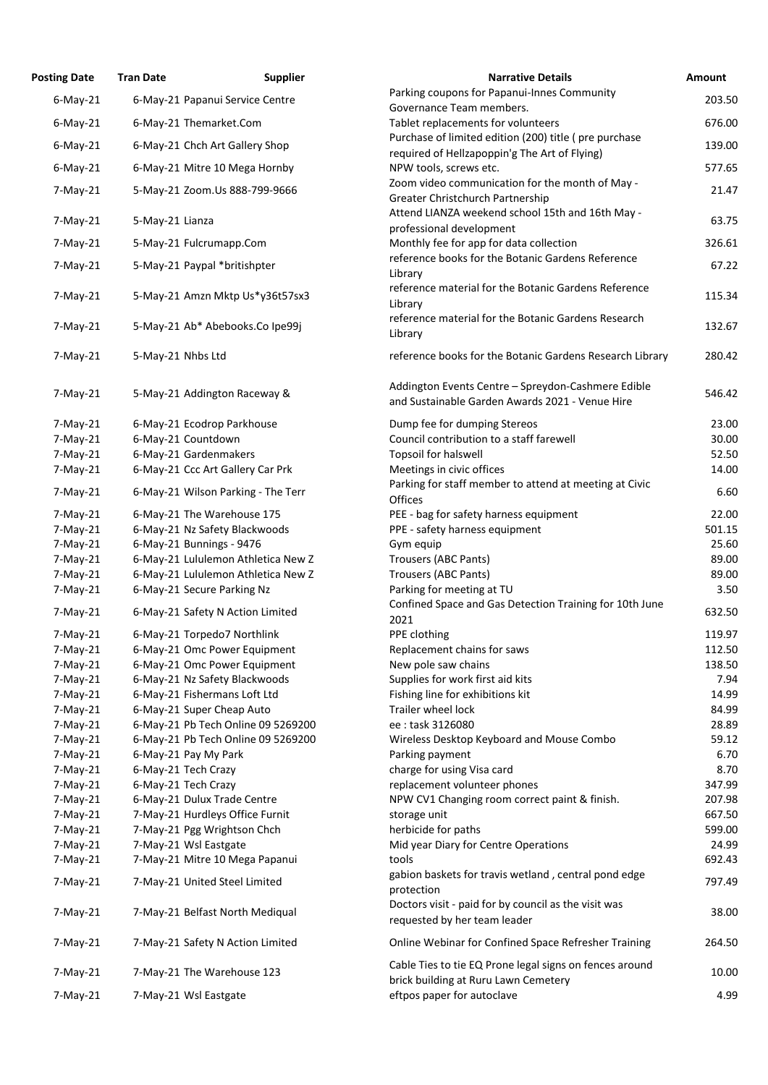| <b>Posting Date</b> | <b>Tran Date</b>    | <b>Supplier</b>                    | <b>Narrative Details</b>                                                                        | <b>Amount</b> |
|---------------------|---------------------|------------------------------------|-------------------------------------------------------------------------------------------------|---------------|
| $6$ -May-21         |                     | 6-May-21 Papanui Service Centre    | Parking coupons for Papanui-Innes Community                                                     | 203.50        |
|                     |                     |                                    | Governance Team members.                                                                        |               |
| $6$ -May-21         |                     | 6-May-21 Themarket.Com             | Tablet replacements for volunteers<br>Purchase of limited edition (200) title (pre purchase     | 676.00        |
| $6$ -May-21         |                     | 6-May-21 Chch Art Gallery Shop     | required of Hellzapoppin'g The Art of Flying)                                                   | 139.00        |
| $6$ -May-21         |                     | 6-May-21 Mitre 10 Mega Hornby      | NPW tools, screws etc.                                                                          | 577.65        |
| $7-May-21$          |                     | 5-May-21 Zoom.Us 888-799-9666      | Zoom video communication for the month of May -                                                 | 21.47         |
|                     |                     |                                    | Greater Christchurch Partnership                                                                |               |
| $7$ -May-21         | 5-May-21 Lianza     |                                    | Attend LIANZA weekend school 15th and 16th May -<br>professional development                    | 63.75         |
| $7$ -May-21         |                     | 5-May-21 Fulcrumapp.Com            | Monthly fee for app for data collection                                                         | 326.61        |
| $7$ -May-21         |                     | 5-May-21 Paypal *britishpter       | reference books for the Botanic Gardens Reference<br>Library                                    | 67.22         |
| $7$ -May-21         |                     | 5-May-21 Amzn Mktp Us*y36t57sx3    | reference material for the Botanic Gardens Reference<br>Library                                 | 115.34        |
| $7$ -May-21         |                     | 5-May-21 Ab* Abebooks.Co Ipe99j    | reference material for the Botanic Gardens Research<br>Library                                  | 132.67        |
| $7-May-21$          | 5-May-21 Nhbs Ltd   |                                    | reference books for the Botanic Gardens Research Library                                        | 280.42        |
| $7-May-21$          |                     | 5-May-21 Addington Raceway &       | Addington Events Centre - Spreydon-Cashmere Edible                                              | 546.42        |
|                     |                     |                                    | and Sustainable Garden Awards 2021 - Venue Hire                                                 |               |
| $7-May-21$          |                     | 6-May-21 Ecodrop Parkhouse         | Dump fee for dumping Stereos                                                                    | 23.00         |
| $7-May-21$          |                     | 6-May-21 Countdown                 | Council contribution to a staff farewell                                                        | 30.00         |
| $7-May-21$          |                     | 6-May-21 Gardenmakers              | Topsoil for halswell                                                                            | 52.50         |
| $7$ -May-21         |                     | 6-May-21 Ccc Art Gallery Car Prk   | Meetings in civic offices                                                                       | 14.00         |
| $7$ -May-21         |                     | 6-May-21 Wilson Parking - The Terr | Parking for staff member to attend at meeting at Civic<br>Offices                               | 6.60          |
| $7-May-21$          |                     | 6-May-21 The Warehouse 175         | PEE - bag for safety harness equipment                                                          | 22.00         |
| $7$ -May-21         |                     | 6-May-21 Nz Safety Blackwoods      | PPE - safety harness equipment                                                                  | 501.15        |
| $7-May-21$          |                     | 6-May-21 Bunnings - 9476           | Gym equip                                                                                       | 25.60         |
| $7-May-21$          |                     | 6-May-21 Lululemon Athletica New Z | Trousers (ABC Pants)                                                                            | 89.00         |
| $7-May-21$          |                     | 6-May-21 Lululemon Athletica New Z | Trousers (ABC Pants)                                                                            | 89.00         |
| $7$ -May-21         |                     | 6-May-21 Secure Parking Nz         | Parking for meeting at TU                                                                       | 3.50          |
| $7$ -May-21         |                     | 6-May-21 Safety N Action Limited   | Confined Space and Gas Detection Training for 10th June<br>2021                                 | 632.50        |
| $7$ -May-21         |                     | 6-May-21 Torpedo7 Northlink        | PPE clothing                                                                                    | 119.97        |
| $7$ -May-21         |                     | 6-May-21 Omc Power Equipment       | Replacement chains for saws                                                                     | 112.50        |
| $7-May-21$          |                     | 6-May-21 Omc Power Equipment       | New pole saw chains                                                                             | 138.50        |
| $7-May-21$          |                     | 6-May-21 Nz Safety Blackwoods      | Supplies for work first aid kits                                                                | 7.94          |
| $7$ -May-21         |                     | 6-May-21 Fishermans Loft Ltd       | Fishing line for exhibitions kit                                                                | 14.99         |
| $7-May-21$          |                     | 6-May-21 Super Cheap Auto          | Trailer wheel lock                                                                              | 84.99         |
| $7-May-21$          |                     | 6-May-21 Pb Tech Online 09 5269200 | ee: task 3126080                                                                                | 28.89         |
| $7$ -May-21         |                     | 6-May-21 Pb Tech Online 09 5269200 | Wireless Desktop Keyboard and Mouse Combo                                                       | 59.12         |
| $7-May-21$          |                     | 6-May-21 Pay My Park               | Parking payment                                                                                 | 6.70          |
| $7$ -May-21         | 6-May-21 Tech Crazy |                                    | charge for using Visa card                                                                      | 8.70          |
| $7$ -May-21         | 6-May-21 Tech Crazy |                                    | replacement volunteer phones                                                                    | 347.99        |
| $7$ -May-21         |                     | 6-May-21 Dulux Trade Centre        | NPW CV1 Changing room correct paint & finish.                                                   | 207.98        |
| $7$ -May-21         |                     | 7-May-21 Hurdleys Office Furnit    | storage unit                                                                                    | 667.50        |
| $7-May-21$          |                     | 7-May-21 Pgg Wrightson Chch        | herbicide for paths                                                                             | 599.00        |
| $7$ -May-21         |                     | 7-May-21 Wsl Eastgate              | Mid year Diary for Centre Operations                                                            | 24.99         |
| $7$ -May-21         |                     | 7-May-21 Mitre 10 Mega Papanui     | tools                                                                                           | 692.43        |
| $7-May-21$          |                     | 7-May-21 United Steel Limited      | gabion baskets for travis wetland, central pond edge<br>protection                              | 797.49        |
| $7$ -May-21         |                     | 7-May-21 Belfast North Mediqual    | Doctors visit - paid for by council as the visit was<br>requested by her team leader            | 38.00         |
| $7-May-21$          |                     | 7-May-21 Safety N Action Limited   | Online Webinar for Confined Space Refresher Training                                            | 264.50        |
| $7-May-21$          |                     | 7-May-21 The Warehouse 123         | Cable Ties to tie EQ Prone legal signs on fences around<br>brick building at Ruru Lawn Cemetery | 10.00         |
| $7$ -May-21         |                     | 7-May-21 Wsl Eastgate              | eftpos paper for autoclave                                                                      | 4.99          |
|                     |                     |                                    |                                                                                                 |               |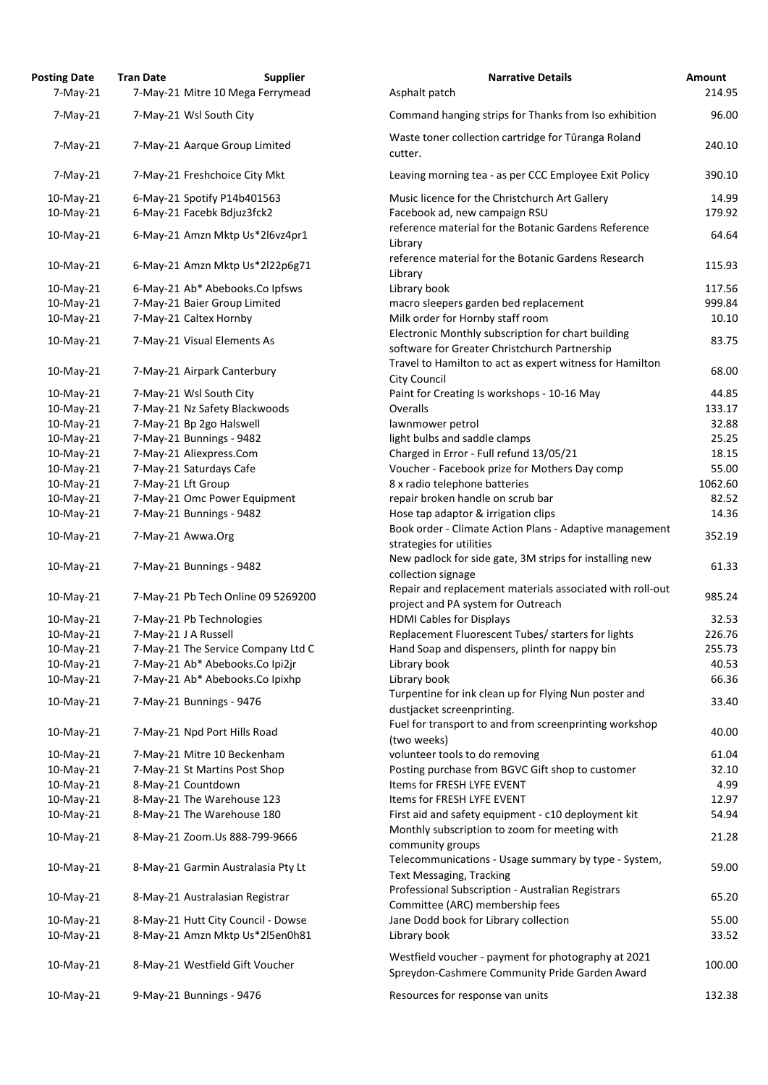| <b>Posting Date</b><br>$7-May-21$ | <b>Tran Date</b>              | <b>Supplier</b><br>7-May-21 Mitre 10 Mega Ferrymead | <b>Narrative Details</b><br>Asphalt patch                                                             |
|-----------------------------------|-------------------------------|-----------------------------------------------------|-------------------------------------------------------------------------------------------------------|
|                                   |                               |                                                     |                                                                                                       |
| $7$ -May-21                       | 7-May-21 Wsl South City       |                                                     | Command hanging strips for Thanks from Iso exhibition                                                 |
| $7$ -May-21                       |                               | 7-May-21 Aarque Group Limited                       | Waste toner collection cartridge for Tūranga Roland<br>cutter.                                        |
| $7-May-21$                        | 7-May-21 Freshchoice City Mkt |                                                     | Leaving morning tea - as per CCC Employee Exit Policy                                                 |
| 10-May-21                         | 6-May-21 Spotify P14b401563   |                                                     | Music licence for the Christchurch Art Gallery                                                        |
| 10-May-21                         | 6-May-21 Facebk Bdjuz3fck2    |                                                     | Facebook ad, new campaign RSU                                                                         |
| 10-May-21                         |                               | 6-May-21 Amzn Mktp Us*2l6vz4pr1                     | reference material for the Botanic Gardens Reference<br>Library                                       |
| 10-May-21                         |                               | 6-May-21 Amzn Mktp Us*2l22p6g71                     | reference material for the Botanic Gardens Research<br>Library                                        |
| 10-May-21                         |                               | 6-May-21 Ab* Abebooks.Co Ipfsws                     | Library book                                                                                          |
| 10-May-21                         | 7-May-21 Baier Group Limited  |                                                     | macro sleepers garden bed replacement                                                                 |
| 10-May-21                         | 7-May-21 Caltex Hornby        |                                                     | Milk order for Hornby staff room                                                                      |
| 10-May-21                         | 7-May-21 Visual Elements As   |                                                     | Electronic Monthly subscription for chart building<br>software for Greater Christchurch Partnership   |
| 10-May-21                         | 7-May-21 Airpark Canterbury   |                                                     | Travel to Hamilton to act as expert witness for Hamilton<br><b>City Council</b>                       |
| 10-May-21                         | 7-May-21 Wsl South City       |                                                     | Paint for Creating Is workshops - 10-16 May                                                           |
| 10-May-21                         |                               | 7-May-21 Nz Safety Blackwoods                       | Overalls                                                                                              |
| 10-May-21                         | 7-May-21 Bp 2go Halswell      |                                                     | lawnmower petrol                                                                                      |
| 10-May-21                         | 7-May-21 Bunnings - 9482      |                                                     | light bulbs and saddle clamps                                                                         |
| 10-May-21                         | 7-May-21 Aliexpress.Com       |                                                     | Charged in Error - Full refund 13/05/21                                                               |
| 10-May-21                         | 7-May-21 Saturdays Cafe       |                                                     | Voucher - Facebook prize for Mothers Day comp                                                         |
| 10-May-21                         | 7-May-21 Lft Group            |                                                     | 8 x radio telephone batteries                                                                         |
| 10-May-21                         |                               | 7-May-21 Omc Power Equipment                        | repair broken handle on scrub bar                                                                     |
| 10-May-21                         | 7-May-21 Bunnings - 9482      |                                                     | Hose tap adaptor & irrigation clips                                                                   |
| $10$ -May-21                      | 7-May-21 Awwa.Org             |                                                     | Book order - Climate Action Plans - Adaptive managemer                                                |
|                                   |                               |                                                     | strategies for utilities                                                                              |
| 10-May-21                         | 7-May-21 Bunnings - 9482      |                                                     | New padlock for side gate, 3M strips for installing new<br>collection signage                         |
| $10$ -May-21                      |                               | 7-May-21 Pb Tech Online 09 5269200                  | Repair and replacement materials associated with roll-ou<br>project and PA system for Outreach        |
| 10-May-21                         | 7-May-21 Pb Technologies      |                                                     | <b>HDMI Cables for Displays</b>                                                                       |
| 10-May-21                         | 7-May-21 J A Russell          |                                                     | Replacement Fluorescent Tubes/ starters for lights                                                    |
| 10-May-21                         |                               | 7-May-21 The Service Company Ltd C                  | Hand Soap and dispensers, plinth for nappy bin                                                        |
| 10-May-21                         |                               | 7-May-21 Ab* Abebooks.Co Ipi2jr                     | Library book                                                                                          |
| 10-May-21                         |                               | 7-May-21 Ab* Abebooks.Co Ipixhp                     | Library book                                                                                          |
| 10-May-21                         | 7-May-21 Bunnings - 9476      |                                                     | Turpentine for ink clean up for Flying Nun poster and<br>dustjacket screenprinting.                   |
| 10-May-21                         | 7-May-21 Npd Port Hills Road  |                                                     | Fuel for transport to and from screenprinting workshop<br>(two weeks)                                 |
| 10-May-21                         | 7-May-21 Mitre 10 Beckenham   |                                                     | volunteer tools to do removing                                                                        |
| 10-May-21                         | 7-May-21 St Martins Post Shop |                                                     | Posting purchase from BGVC Gift shop to customer                                                      |
| 10-May-21                         | 8-May-21 Countdown            |                                                     | Items for FRESH LYFE EVENT                                                                            |
| 10-May-21                         | 8-May-21 The Warehouse 123    |                                                     | Items for FRESH LYFE EVENT                                                                            |
| 10-May-21                         | 8-May-21 The Warehouse 180    |                                                     | First aid and safety equipment - c10 deployment kit                                                   |
| 10-May-21                         |                               | 8-May-21 Zoom.Us 888-799-9666                       | Monthly subscription to zoom for meeting with<br>community groups                                     |
| 10-May-21                         |                               | 8-May-21 Garmin Australasia Pty Lt                  | Telecommunications - Usage summary by type - System,<br><b>Text Messaging, Tracking</b>               |
| 10-May-21                         |                               | 8-May-21 Australasian Registrar                     | Professional Subscription - Australian Registrars<br>Committee (ARC) membership fees                  |
| 10-May-21                         |                               | 8-May-21 Hutt City Council - Dowse                  | Jane Dodd book for Library collection                                                                 |
| 10-May-21                         |                               | 8-May-21 Amzn Mktp Us*2l5en0h81                     | Library book                                                                                          |
| 10-May-21                         |                               | 8-May-21 Westfield Gift Voucher                     | Westfield voucher - payment for photography at 2021<br>Spreydon-Cashmere Community Pride Garden Award |
| 10-May-21                         | 9-May-21 Bunnings - 9476      |                                                     | Resources for response van units                                                                      |

| <b>Posting Date</b><br>$7-May-21$ | <b>Tran Date</b> | <b>Supplier</b><br>7-May-21 Mitre 10 Mega Ferrymead | <b>Narrative Details</b><br>Asphalt patch                                                             | Amount<br>214.95 |
|-----------------------------------|------------------|-----------------------------------------------------|-------------------------------------------------------------------------------------------------------|------------------|
| $7-May-21$                        |                  | 7-May-21 Wsl South City                             | Command hanging strips for Thanks from Iso exhibition                                                 | 96.00            |
| $7-May-21$                        |                  | 7-May-21 Aarque Group Limited                       | Waste toner collection cartridge for Tūranga Roland<br>cutter.                                        | 240.10           |
| $7-May-21$                        |                  | 7-May-21 Freshchoice City Mkt                       | Leaving morning tea - as per CCC Employee Exit Policy                                                 | 390.10           |
|                                   |                  |                                                     |                                                                                                       |                  |
| $10$ -May-21                      |                  | 6-May-21 Spotify P14b401563                         | Music licence for the Christchurch Art Gallery                                                        | 14.99            |
| 10-May-21                         |                  | 6-May-21 Facebk Bdjuz3fck2                          | Facebook ad, new campaign RSU<br>reference material for the Botanic Gardens Reference                 | 179.92           |
| $10$ -May-21                      |                  | 6-May-21 Amzn Mktp Us*2l6vz4pr1                     | Library                                                                                               | 64.64            |
| 10-May-21                         |                  | 6-May-21 Amzn Mktp Us*2l22p6g71                     | reference material for the Botanic Gardens Research<br>Library                                        | 115.93           |
| 10-May-21                         |                  | 6-May-21 Ab* Abebooks.Co Ipfsws                     | Library book                                                                                          | 117.56           |
| 10-May-21                         |                  | 7-May-21 Baier Group Limited                        | macro sleepers garden bed replacement                                                                 | 999.84           |
| 10-May-21                         |                  | 7-May-21 Caltex Hornby                              | Milk order for Hornby staff room                                                                      | 10.10            |
| $10$ -May-21                      |                  | 7-May-21 Visual Elements As                         | Electronic Monthly subscription for chart building<br>software for Greater Christchurch Partnership   | 83.75            |
| $10$ -May-21                      |                  | 7-May-21 Airpark Canterbury                         | Travel to Hamilton to act as expert witness for Hamilton<br><b>City Council</b>                       | 68.00            |
| $10$ -May-21                      |                  | 7-May-21 Wsl South City                             | Paint for Creating Is workshops - 10-16 May                                                           | 44.85            |
| 10-May-21                         |                  | 7-May-21 Nz Safety Blackwoods                       | <b>Overalls</b>                                                                                       | 133.17           |
| 10-May-21                         |                  | 7-May-21 Bp 2go Halswell                            | lawnmower petrol                                                                                      | 32.88            |
| 10-May-21                         |                  | 7-May-21 Bunnings - 9482                            | light bulbs and saddle clamps                                                                         | 25.25            |
| 10-May-21                         |                  | 7-May-21 Aliexpress.Com                             | Charged in Error - Full refund 13/05/21                                                               | 18.15            |
| 10-May-21                         |                  | 7-May-21 Saturdays Cafe                             | Voucher - Facebook prize for Mothers Day comp                                                         | 55.00            |
| 10-May-21                         |                  | 7-May-21 Lft Group                                  | 8 x radio telephone batteries                                                                         | 1062.60          |
| 10-May-21                         |                  | 7-May-21 Omc Power Equipment                        | repair broken handle on scrub bar                                                                     | 82.52            |
| 10-May-21                         |                  | 7-May-21 Bunnings - 9482                            | Hose tap adaptor & irrigation clips                                                                   | 14.36            |
|                                   |                  |                                                     | Book order - Climate Action Plans - Adaptive management                                               |                  |
| 10-May-21                         |                  | 7-May-21 Awwa.Org                                   | strategies for utilities                                                                              | 352.19           |
| $10$ -May-21                      |                  | 7-May-21 Bunnings - 9482                            | New padlock for side gate, 3M strips for installing new<br>collection signage                         | 61.33            |
| $10$ -May-21                      |                  | 7-May-21 Pb Tech Online 09 5269200                  | Repair and replacement materials associated with roll-out<br>project and PA system for Outreach       | 985.24           |
| $10$ -May-21                      |                  | 7-May-21 Pb Technologies                            | <b>HDMI Cables for Displays</b>                                                                       | 32.53            |
| 10-May-21                         |                  | 7-May-21 J A Russell                                | Replacement Fluorescent Tubes/ starters for lights                                                    | 226.76           |
| 10-May-21                         |                  | 7-May-21 The Service Company Ltd C                  | Hand Soap and dispensers, plinth for nappy bin                                                        | 255.73           |
| 10-May-21                         |                  | 7-May-21 Ab* Abebooks.Co Ipi2jr                     | Library book                                                                                          | 40.53            |
| $10$ -May-21                      |                  | 7-May-21 Ab* Abebooks.Co Ipixhp                     | Library book                                                                                          | 66.36            |
| $10$ -May-21                      |                  | 7-May-21 Bunnings - 9476                            | Turpentine for ink clean up for Flying Nun poster and                                                 | 33.40            |
|                                   |                  |                                                     | dustjacket screenprinting.<br>Fuel for transport to and from screenprinting workshop                  |                  |
| $10$ -May-21                      |                  | 7-May-21 Npd Port Hills Road                        | (two weeks)                                                                                           | 40.00            |
| 10-May-21                         |                  | 7-May-21 Mitre 10 Beckenham                         | volunteer tools to do removing                                                                        | 61.04            |
| 10-May-21                         |                  | 7-May-21 St Martins Post Shop                       | Posting purchase from BGVC Gift shop to customer                                                      | 32.10            |
| 10-May-21                         |                  | 8-May-21 Countdown                                  | Items for FRESH LYFE EVENT                                                                            | 4.99             |
| 10-May-21                         |                  | 8-May-21 The Warehouse 123                          | Items for FRESH LYFE EVENT                                                                            | 12.97            |
| 10-May-21                         |                  | 8-May-21 The Warehouse 180                          | First aid and safety equipment - c10 deployment kit<br>Monthly subscription to zoom for meeting with  | 54.94            |
| $10$ -May-21                      |                  | 8-May-21 Zoom.Us 888-799-9666                       | community groups                                                                                      | 21.28            |
| 10-May-21                         |                  | 8-May-21 Garmin Australasia Pty Lt                  | Telecommunications - Usage summary by type - System,<br><b>Text Messaging, Tracking</b>               | 59.00            |
| $10$ -May-21                      |                  | 8-May-21 Australasian Registrar                     | Professional Subscription - Australian Registrars<br>Committee (ARC) membership fees                  | 65.20            |
| 10-May-21                         |                  | 8-May-21 Hutt City Council - Dowse                  | Jane Dodd book for Library collection                                                                 | 55.00            |
| $10$ -May-21                      |                  | 8-May-21 Amzn Mktp Us*2l5en0h81                     | Library book                                                                                          | 33.52            |
| 10-May-21                         |                  | 8-May-21 Westfield Gift Voucher                     | Westfield voucher - payment for photography at 2021<br>Spreydon-Cashmere Community Pride Garden Award | 100.00           |
| 10-May-21                         |                  | 9-May-21 Bunnings - 9476                            | Resources for response van units                                                                      | 132.38           |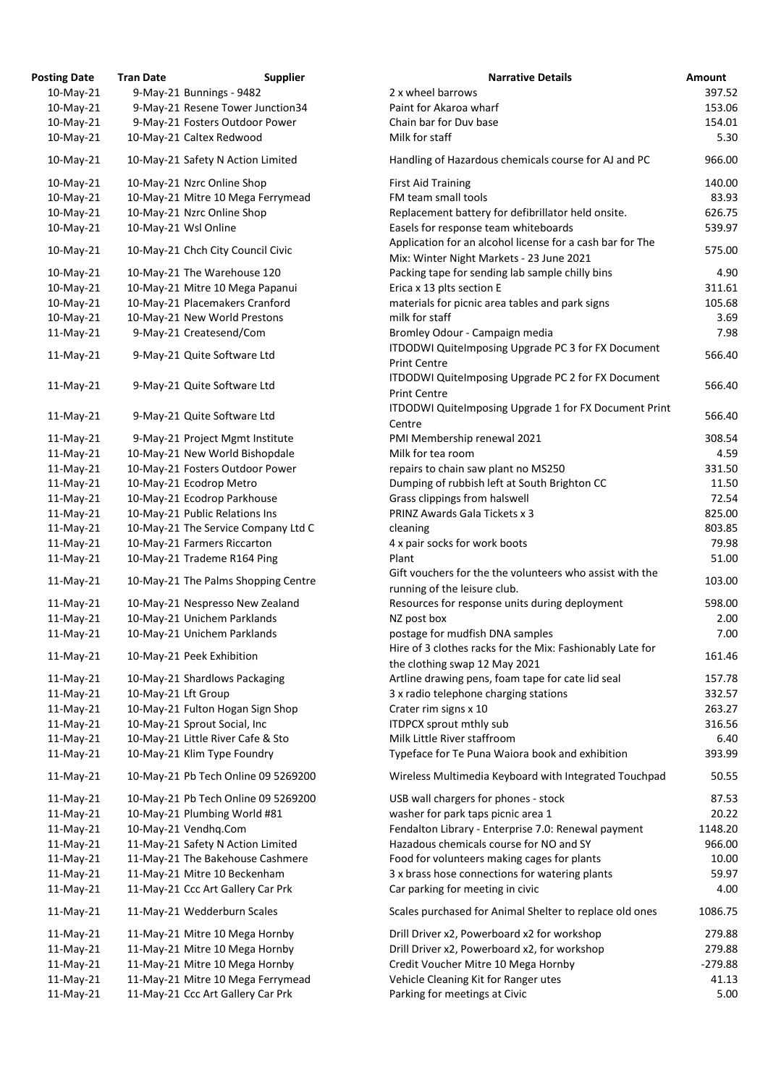| <b>Posting Date</b> | <b>Tran Date</b>                  | <b>Supplier</b>                     | <b>Narrative Details</b>                                                                              |
|---------------------|-----------------------------------|-------------------------------------|-------------------------------------------------------------------------------------------------------|
| 10-May-21           | 9-May-21 Bunnings - 9482          |                                     | 2 x wheel barrows                                                                                     |
| 10-May-21           |                                   | 9-May-21 Resene Tower Junction34    | Paint for Akaroa wharf                                                                                |
| 10-May-21           | 9-May-21 Fosters Outdoor Power    |                                     | Chain bar for Duv base                                                                                |
| 10-May-21           | 10-May-21 Caltex Redwood          |                                     | Milk for staff                                                                                        |
| 10-May-21           | 10-May-21 Safety N Action Limited |                                     | Handling of Hazardous chemicals course for AJ and PC                                                  |
| 10-May-21           | 10-May-21 Nzrc Online Shop        |                                     | <b>First Aid Training</b>                                                                             |
| 10-May-21           |                                   | 10-May-21 Mitre 10 Mega Ferrymead   | FM team small tools                                                                                   |
| 10-May-21           | 10-May-21 Nzrc Online Shop        |                                     | Replacement battery for defibrillator held onsite.                                                    |
| 10-May-21           | 10-May-21 Wsl Online              |                                     | Easels for response team whiteboards                                                                  |
| 10-May-21           | 10-May-21 Chch City Council Civic |                                     | Application for an alcohol license for a cash bar for The<br>Mix: Winter Night Markets - 23 June 2021 |
| 10-May-21           | 10-May-21 The Warehouse 120       |                                     | Packing tape for sending lab sample chilly bins                                                       |
| 10-May-21           | 10-May-21 Mitre 10 Mega Papanui   |                                     | Erica x 13 plts section E                                                                             |
| 10-May-21           | 10-May-21 Placemakers Cranford    |                                     | materials for picnic area tables and park signs                                                       |
| 10-May-21           | 10-May-21 New World Prestons      |                                     | milk for staff                                                                                        |
| 11-May-21           | 9-May-21 Createsend/Com           |                                     | Bromley Odour - Campaign media                                                                        |
|                     |                                   |                                     | ITDODWI QuiteImposing Upgrade PC 3 for FX Documen                                                     |
| $11$ -May-21        | 9-May-21 Quite Software Ltd       |                                     | <b>Print Centre</b>                                                                                   |
| $11$ -May-21        | 9-May-21 Quite Software Ltd       |                                     | ITDODWI QuiteImposing Upgrade PC 2 for FX Documen                                                     |
|                     |                                   |                                     | <b>Print Centre</b>                                                                                   |
| $11$ -May-21        | 9-May-21 Quite Software Ltd       |                                     | ITDODWI QuiteImposing Upgrade 1 for FX Document Pr                                                    |
|                     |                                   |                                     | Centre                                                                                                |
| 11-May-21           | 9-May-21 Project Mgmt Institute   |                                     | PMI Membership renewal 2021                                                                           |
| 11-May-21           | 10-May-21 New World Bishopdale    |                                     | Milk for tea room                                                                                     |
| $11$ -May-21        | 10-May-21 Fosters Outdoor Power   |                                     | repairs to chain saw plant no MS250                                                                   |
| 11-May-21           | 10-May-21 Ecodrop Metro           |                                     | Dumping of rubbish left at South Brighton CC                                                          |
| 11-May-21           | 10-May-21 Ecodrop Parkhouse       |                                     | Grass clippings from halswell                                                                         |
| $11-May-21$         | 10-May-21 Public Relations Ins    |                                     | <b>PRINZ Awards Gala Tickets x 3</b>                                                                  |
| 11-May-21           |                                   | 10-May-21 The Service Company Ltd C | cleaning                                                                                              |
| 11-May-21           | 10-May-21 Farmers Riccarton       |                                     | 4 x pair socks for work boots                                                                         |
| $11$ -May-21        | 10-May-21 Trademe R164 Ping       |                                     | Plant                                                                                                 |
| $11$ -May-21        |                                   | 10-May-21 The Palms Shopping Centre | Gift vouchers for the the volunteers who assist with the<br>running of the leisure club.              |
| 11-May-21           | 10-May-21 Nespresso New Zealand   |                                     | Resources for response units during deployment                                                        |
| $11$ -May-21        | 10-May-21 Unichem Parklands       |                                     | NZ post box                                                                                           |
| 11-May-21           | 10-May-21 Unichem Parklands       |                                     | postage for mudfish DNA samples                                                                       |
|                     |                                   |                                     | Hire of 3 clothes racks for the Mix: Fashionably Late for                                             |
| $11$ -May-21        | 10-May-21 Peek Exhibition         |                                     | the clothing swap 12 May 2021                                                                         |
| $11$ -May-21        | 10-May-21 Shardlows Packaging     |                                     | Artline drawing pens, foam tape for cate lid seal                                                     |
| 11-May-21           | 10-May-21 Lft Group               |                                     | 3 x radio telephone charging stations                                                                 |
| 11-May-21           | 10-May-21 Fulton Hogan Sign Shop  |                                     | Crater rim signs x 10                                                                                 |
| 11-May-21           | 10-May-21 Sprout Social, Inc      |                                     | <b>ITDPCX sprout mthly sub</b>                                                                        |
| 11-May-21           | 10-May-21 Little River Cafe & Sto |                                     | Milk Little River staffroom                                                                           |
| $11$ -May-21        | 10-May-21 Klim Type Foundry       |                                     | Typeface for Te Puna Waiora book and exhibition                                                       |
| $11$ -May-21        |                                   | 10-May-21 Pb Tech Online 09 5269200 | Wireless Multimedia Keyboard with Integrated Touchpa                                                  |
| $11$ -May-21        |                                   | 10-May-21 Pb Tech Online 09 5269200 | USB wall chargers for phones - stock                                                                  |
| $11$ -May-21        | 10-May-21 Plumbing World #81      |                                     | washer for park taps picnic area 1                                                                    |
| $11$ -May-21        | 10-May-21 Vendhq.Com              |                                     | Fendalton Library - Enterprise 7.0: Renewal payment                                                   |
| 11-May-21           | 11-May-21 Safety N Action Limited |                                     | Hazadous chemicals course for NO and SY                                                               |
| $11$ -May-21        |                                   | 11-May-21 The Bakehouse Cashmere    | Food for volunteers making cages for plants                                                           |
| $11$ -May-21        | 11-May-21 Mitre 10 Beckenham      |                                     | 3 x brass hose connections for watering plants                                                        |
| $11-May-21$         | 11-May-21 Ccc Art Gallery Car Prk |                                     | Car parking for meeting in civic                                                                      |
|                     |                                   |                                     |                                                                                                       |
| $11$ -May-21        | 11-May-21 Wedderburn Scales       |                                     | Scales purchased for Animal Shelter to replace old ones                                               |
| $11-May-21$         | 11-May-21 Mitre 10 Mega Hornby    |                                     | Drill Driver x2, Powerboard x2 for workshop                                                           |
| $11$ -May-21        | 11-May-21 Mitre 10 Mega Hornby    |                                     | Drill Driver x2, Powerboard x2, for workshop                                                          |
| 11-May-21           | 11-May-21 Mitre 10 Mega Hornby    |                                     | Credit Voucher Mitre 10 Mega Hornby                                                                   |
| 11-May-21           |                                   | 11-May-21 Mitre 10 Mega Ferrymead   | Vehicle Cleaning Kit for Ranger utes                                                                  |
| 11-May-21           | 11-May-21 Ccc Art Gallery Car Prk |                                     | Parking for meetings at Civic                                                                         |

| ting Date: | Tran Date           | <b>Supplier</b>                     | <b>Narrative Details</b>                                                                              | <b>Amount</b> |
|------------|---------------------|-------------------------------------|-------------------------------------------------------------------------------------------------------|---------------|
| 10-May-21  |                     | 9-May-21 Bunnings - 9482            | 2 x wheel barrows                                                                                     | 397.52        |
| 10-May-21  |                     | 9-May-21 Resene Tower Junction34    | Paint for Akaroa wharf                                                                                | 153.06        |
| 10-May-21  |                     | 9-May-21 Fosters Outdoor Power      | Chain bar for Duv base                                                                                | 154.01        |
| 10-May-21  |                     | 10-May-21 Caltex Redwood            | Milk for staff                                                                                        | 5.30          |
| 10-May-21  |                     | 10-May-21 Safety N Action Limited   | Handling of Hazardous chemicals course for AJ and PC                                                  | 966.00        |
| 10-May-21  |                     | 10-May-21 Nzrc Online Shop          | <b>First Aid Training</b>                                                                             | 140.00        |
| 10-May-21  |                     | 10-May-21 Mitre 10 Mega Ferrymead   | FM team small tools                                                                                   | 83.93         |
| 10-May-21  |                     | 10-May-21 Nzrc Online Shop          | Replacement battery for defibrillator held onsite.                                                    | 626.75        |
| 10-May-21  |                     | 10-May-21 Wsl Online                | Easels for response team whiteboards                                                                  | 539.97        |
| 10-May-21  |                     | 10-May-21 Chch City Council Civic   | Application for an alcohol license for a cash bar for The<br>Mix: Winter Night Markets - 23 June 2021 | 575.00        |
| 10-May-21  |                     | 10-May-21 The Warehouse 120         | Packing tape for sending lab sample chilly bins                                                       | 4.90          |
| 10-May-21  |                     | 10-May-21 Mitre 10 Mega Papanui     | Erica x 13 plts section E                                                                             | 311.61        |
| 10-May-21  |                     | 10-May-21 Placemakers Cranford      | materials for picnic area tables and park signs                                                       | 105.68        |
| 10-May-21  |                     | 10-May-21 New World Prestons        | milk for staff                                                                                        | 3.69          |
| 11-May-21  |                     | 9-May-21 Createsend/Com             | Bromley Odour - Campaign media                                                                        | 7.98          |
| 11-May-21  |                     | 9-May-21 Quite Software Ltd         | ITDODWI QuiteImposing Upgrade PC 3 for FX Document<br><b>Print Centre</b>                             | 566.40        |
| 11-May-21  |                     | 9-May-21 Quite Software Ltd         | ITDODWI QuiteImposing Upgrade PC 2 for FX Document<br><b>Print Centre</b>                             | 566.40        |
|            |                     |                                     | ITDODWI QuiteImposing Upgrade 1 for FX Document Print                                                 |               |
| 11-May-21  |                     | 9-May-21 Quite Software Ltd         | Centre                                                                                                | 566.40        |
| 11-May-21  |                     | 9-May-21 Project Mgmt Institute     | PMI Membership renewal 2021                                                                           | 308.54        |
| 11-May-21  |                     | 10-May-21 New World Bishopdale      | Milk for tea room                                                                                     | 4.59          |
| 11-May-21  |                     | 10-May-21 Fosters Outdoor Power     | repairs to chain saw plant no MS250                                                                   | 331.50        |
| 11-May-21  |                     | 10-May-21 Ecodrop Metro             | Dumping of rubbish left at South Brighton CC                                                          | 11.50         |
| 11-May-21  |                     | 10-May-21 Ecodrop Parkhouse         | Grass clippings from halswell                                                                         | 72.54         |
| 11-May-21  |                     | 10-May-21 Public Relations Ins      | PRINZ Awards Gala Tickets x 3                                                                         | 825.00        |
| 11-May-21  |                     | 10-May-21 The Service Company Ltd C | cleaning                                                                                              | 803.85        |
| 11-May-21  |                     | 10-May-21 Farmers Riccarton         | 4 x pair socks for work boots                                                                         | 79.98         |
| 11-May-21  |                     | 10-May-21 Trademe R164 Ping         | Plant                                                                                                 | 51.00         |
| 11-May-21  |                     | 10-May-21 The Palms Shopping Centre | Gift vouchers for the the volunteers who assist with the<br>running of the leisure club.              | 103.00        |
| 11-May-21  |                     | 10-May-21 Nespresso New Zealand     | Resources for response units during deployment                                                        | 598.00        |
| 11-May-21  |                     | 10-May-21 Unichem Parklands         | NZ post box                                                                                           | 2.00          |
| 11-May-21  |                     | 10-May-21 Unichem Parklands         | postage for mudfish DNA samples<br>Hire of 3 clothes racks for the Mix: Fashionably Late for          | 7.00          |
| 11-May-21  |                     | 10-May-21 Peek Exhibition           | the clothing swap 12 May 2021                                                                         | 161.46        |
| 11-May-21  |                     | 10-May-21 Shardlows Packaging       | Artline drawing pens, foam tape for cate lid seal                                                     | 157.78        |
| 11-May-21  | 10-May-21 Lft Group |                                     | 3 x radio telephone charging stations                                                                 | 332.57        |
| 11-May-21  |                     | 10-May-21 Fulton Hogan Sign Shop    | Crater rim signs x 10                                                                                 | 263.27        |
| 11-May-21  |                     | 10-May-21 Sprout Social, Inc        | <b>ITDPCX sprout mthly sub</b>                                                                        | 316.56        |
| 11-May-21  |                     | 10-May-21 Little River Cafe & Sto   | Milk Little River staffroom                                                                           | 6.40          |
| 11-May-21  |                     | 10-May-21 Klim Type Foundry         | Typeface for Te Puna Waiora book and exhibition                                                       | 393.99        |
| 11-May-21  |                     | 10-May-21 Pb Tech Online 09 5269200 | Wireless Multimedia Keyboard with Integrated Touchpad                                                 | 50.55         |
| 11-May-21  |                     | 10-May-21 Pb Tech Online 09 5269200 | USB wall chargers for phones - stock                                                                  | 87.53         |
| 11-May-21  |                     | 10-May-21 Plumbing World #81        | washer for park taps picnic area 1                                                                    | 20.22         |
| 11-May-21  |                     | 10-May-21 Vendhq.Com                | Fendalton Library - Enterprise 7.0: Renewal payment                                                   | 1148.20       |
| 11-May-21  |                     | 11-May-21 Safety N Action Limited   | Hazadous chemicals course for NO and SY                                                               | 966.00        |
| 11-May-21  |                     | 11-May-21 The Bakehouse Cashmere    | Food for volunteers making cages for plants                                                           | 10.00         |
| 11-May-21  |                     | 11-May-21 Mitre 10 Beckenham        | 3 x brass hose connections for watering plants                                                        | 59.97         |
| 11-May-21  |                     | 11-May-21 Ccc Art Gallery Car Prk   | Car parking for meeting in civic                                                                      | 4.00          |
| 11-May-21  |                     | 11-May-21 Wedderburn Scales         | Scales purchased for Animal Shelter to replace old ones                                               | 1086.75       |
| 11-May-21  |                     | 11-May-21 Mitre 10 Mega Hornby      | Drill Driver x2, Powerboard x2 for workshop                                                           | 279.88        |
| 11-May-21  |                     | 11-May-21 Mitre 10 Mega Hornby      | Drill Driver x2, Powerboard x2, for workshop                                                          | 279.88        |
| 11-May-21  |                     | 11-May-21 Mitre 10 Mega Hornby      | Credit Voucher Mitre 10 Mega Hornby                                                                   | $-279.88$     |
| 11-May-21  |                     | 11-May-21 Mitre 10 Mega Ferrymead   | Vehicle Cleaning Kit for Ranger utes                                                                  | 41.13         |
| 11-May-21  |                     | 11-May-21 Ccc Art Gallery Car Prk   | Parking for meetings at Civic                                                                         | 5.00          |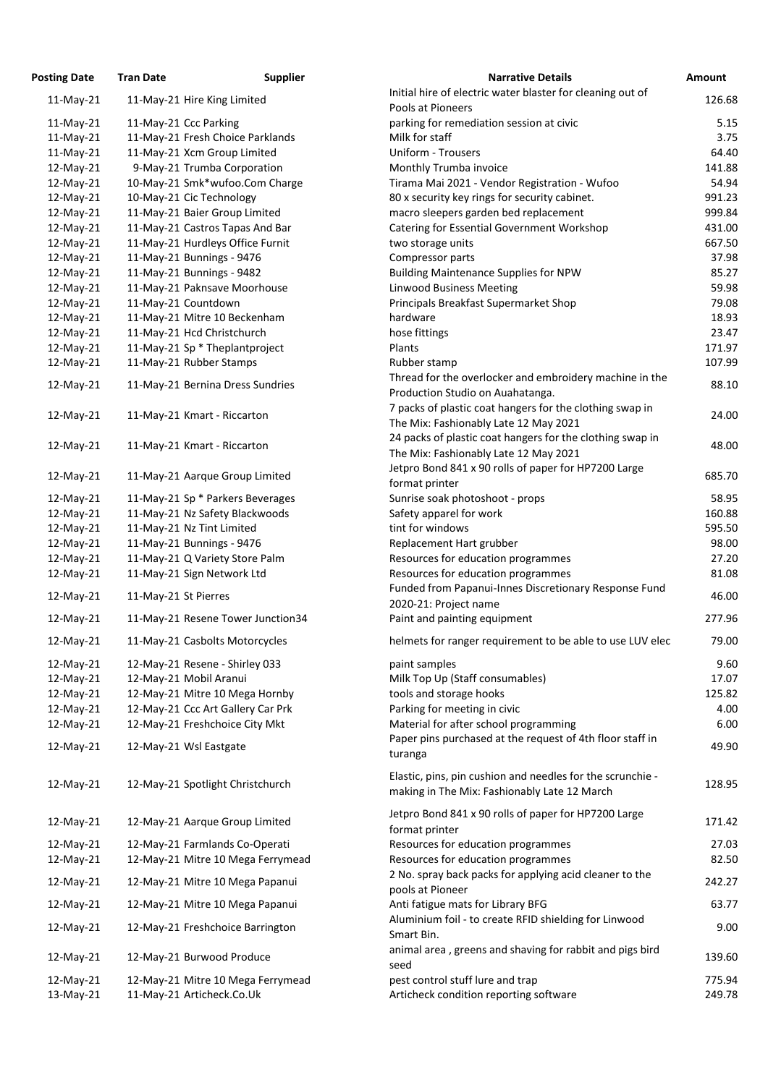| Posting Date | <b>Tran Date</b>      | <b>Supplier</b>                                            | <b>Narrative Details</b>                                                                                   |
|--------------|-----------------------|------------------------------------------------------------|------------------------------------------------------------------------------------------------------------|
| $11$ -May-21 |                       | 11-May-21 Hire King Limited                                | Initial hire of electric water blaster for cleaning out of                                                 |
|              |                       |                                                            | Pools at Pioneers                                                                                          |
| 11-May-21    | 11-May-21 Ccc Parking |                                                            | parking for remediation session at civic                                                                   |
| 11-May-21    |                       | 11-May-21 Fresh Choice Parklands                           | Milk for staff                                                                                             |
| $11-May-21$  |                       | 11-May-21 Xcm Group Limited                                | <b>Uniform - Trousers</b>                                                                                  |
| 12-May-21    |                       | 9-May-21 Trumba Corporation                                | Monthly Trumba invoice                                                                                     |
| 12-May-21    |                       | 10-May-21 Smk*wufoo.Com Charge                             | Tirama Mai 2021 - Vendor Registration - Wufoo                                                              |
| 12-May-21    |                       | 10-May-21 Cic Technology                                   | 80 x security key rings for security cabinet.                                                              |
| 12-May-21    |                       | 11-May-21 Baier Group Limited                              | macro sleepers garden bed replacement                                                                      |
| 12-May-21    |                       | 11-May-21 Castros Tapas And Bar                            | Catering for Essential Government Workshop                                                                 |
| 12-May-21    |                       | 11-May-21 Hurdleys Office Furnit                           | two storage units                                                                                          |
| 12-May-21    |                       | 11-May-21 Bunnings - 9476                                  | Compressor parts                                                                                           |
| 12-May-21    |                       | 11-May-21 Bunnings - 9482<br>11-May-21 Paknsave Moorhouse  | <b>Building Maintenance Supplies for NPW</b><br><b>Linwood Business Meeting</b>                            |
| 12-May-21    |                       |                                                            |                                                                                                            |
| 12-May-21    | 11-May-21 Countdown   |                                                            | Principals Breakfast Supermarket Shop<br>hardware                                                          |
| 12-May-21    |                       | 11-May-21 Mitre 10 Beckenham<br>11-May-21 Hcd Christchurch |                                                                                                            |
| 12-May-21    |                       | 11-May-21 Sp * Theplantproject                             | hose fittings<br>Plants                                                                                    |
| 12-May-21    |                       |                                                            |                                                                                                            |
| 12-May-21    |                       | 11-May-21 Rubber Stamps                                    | Rubber stamp                                                                                               |
| 12-May-21    |                       | 11-May-21 Bernina Dress Sundries                           | Thread for the overlocker and embroidery machine in the                                                    |
|              |                       |                                                            | Production Studio on Auahatanga.                                                                           |
| 12-May-21    |                       | 11-May-21 Kmart - Riccarton                                | 7 packs of plastic coat hangers for the clothing swap in                                                   |
|              |                       |                                                            | The Mix: Fashionably Late 12 May 2021                                                                      |
| 12-May-21    |                       | 11-May-21 Kmart - Riccarton                                | 24 packs of plastic coat hangers for the clothing swap in                                                  |
|              |                       |                                                            | The Mix: Fashionably Late 12 May 2021                                                                      |
| 12-May-21    |                       | 11-May-21 Aarque Group Limited                             | Jetpro Bond 841 x 90 rolls of paper for HP7200 Large                                                       |
|              |                       |                                                            | format printer                                                                                             |
| 12-May-21    |                       | 11-May-21 Sp * Parkers Beverages                           | Sunrise soak photoshoot - props                                                                            |
| 12-May-21    |                       | 11-May-21 Nz Safety Blackwoods                             | Safety apparel for work                                                                                    |
| 12-May-21    |                       | 11-May-21 Nz Tint Limited                                  | tint for windows                                                                                           |
| 12-May-21    |                       | 11-May-21 Bunnings - 9476                                  | Replacement Hart grubber                                                                                   |
| 12-May-21    |                       | 11-May-21 Q Variety Store Palm                             | Resources for education programmes                                                                         |
| 12-May-21    |                       | 11-May-21 Sign Network Ltd                                 | Resources for education programmes<br>Funded from Papanui-Innes Discretionary Response Fund                |
| 12-May-21    | 11-May-21 St Pierres  |                                                            | 2020-21: Project name                                                                                      |
| 12-May-21    |                       | 11-May-21 Resene Tower Junction34                          | Paint and painting equipment                                                                               |
|              |                       |                                                            |                                                                                                            |
| 12-May-21    |                       | 11-May-21 Casbolts Motorcycles                             | helmets for ranger requirement to be able to use LUV eled                                                  |
| 12-May-21    |                       | 12-May-21 Resene - Shirley 033                             | paint samples                                                                                              |
| 12-May-21    |                       | 12-May-21 Mobil Aranui                                     | Milk Top Up (Staff consumables)                                                                            |
| 12-May-21    |                       | 12-May-21 Mitre 10 Mega Hornby                             | tools and storage hooks                                                                                    |
| 12-May-21    |                       | 12-May-21 Ccc Art Gallery Car Prk                          | Parking for meeting in civic                                                                               |
| 12-May-21    |                       | 12-May-21 Freshchoice City Mkt                             | Material for after school programming                                                                      |
| 12-May-21    |                       | 12-May-21 Wsl Eastgate                                     | Paper pins purchased at the request of 4th floor staff in                                                  |
|              |                       |                                                            | turanga                                                                                                    |
| 12-May-21    |                       | 12-May-21 Spotlight Christchurch                           | Elastic, pins, pin cushion and needles for the scrunchie -<br>making in The Mix: Fashionably Late 12 March |
| 12-May-21    |                       | 12-May-21 Aarque Group Limited                             | Jetpro Bond 841 x 90 rolls of paper for HP7200 Large                                                       |
|              |                       |                                                            | format printer                                                                                             |
| 12-May-21    |                       | 12-May-21 Farmlands Co-Operati                             | Resources for education programmes<br>Resources for education programmes                                   |
| 12-May-21    |                       | 12-May-21 Mitre 10 Mega Ferrymead                          | 2 No. spray back packs for applying acid cleaner to the                                                    |
| 12-May-21    |                       | 12-May-21 Mitre 10 Mega Papanui                            | pools at Pioneer                                                                                           |
| 12-May-21    |                       | 12-May-21 Mitre 10 Mega Papanui                            | Anti fatigue mats for Library BFG                                                                          |
| 12-May-21    |                       | 12-May-21 Freshchoice Barrington                           | Aluminium foil - to create RFID shielding for Linwood<br>Smart Bin.                                        |
| 12-May-21    |                       | 12-May-21 Burwood Produce                                  | animal area, greens and shaving for rabbit and pigs bird<br>seed                                           |
| 12-May-21    |                       | 12-May-21 Mitre 10 Mega Ferrymead                          | pest control stuff lure and trap                                                                           |
| 13-May-21    |                       | 11-May-21 Articheck.Co.Uk                                  | Articheck condition reporting software                                                                     |
|              |                       |                                                            |                                                                                                            |

| <b>Posting Date</b>    | <b>Tran Date</b>     | <b>Supplier</b>                                                | <b>Narrative Details</b>                                                                                   | <b>Amount</b>    |
|------------------------|----------------------|----------------------------------------------------------------|------------------------------------------------------------------------------------------------------------|------------------|
| $11$ -May-21           |                      | 11-May-21 Hire King Limited                                    | Initial hire of electric water blaster for cleaning out of                                                 | 126.68           |
|                        |                      |                                                                | Pools at Pioneers                                                                                          |                  |
| $11$ -May-21           |                      | 11-May-21 Ccc Parking                                          | parking for remediation session at civic                                                                   | 5.15             |
| $11-May-21$            |                      | 11-May-21 Fresh Choice Parklands                               | Milk for staff                                                                                             | 3.75             |
| $11$ -May-21           |                      | 11-May-21 Xcm Group Limited                                    | <b>Uniform - Trousers</b>                                                                                  | 64.40            |
| 12-May-21              |                      | 9-May-21 Trumba Corporation                                    | Monthly Trumba invoice                                                                                     | 141.88           |
| $12$ -May-21           |                      | 10-May-21 Smk*wufoo.Com Charge                                 | Tirama Mai 2021 - Vendor Registration - Wufoo                                                              | 54.94            |
| 12-May-21              |                      | 10-May-21 Cic Technology                                       | 80 x security key rings for security cabinet.                                                              | 991.23           |
| 12-May-21              |                      | 11-May-21 Baier Group Limited                                  | macro sleepers garden bed replacement                                                                      | 999.84           |
| 12-May-21              |                      | 11-May-21 Castros Tapas And Bar                                | <b>Catering for Essential Government Workshop</b>                                                          | 431.00           |
| 12-May-21              |                      | 11-May-21 Hurdleys Office Furnit                               | two storage units                                                                                          | 667.50           |
| 12-May-21              |                      | 11-May-21 Bunnings - 9476                                      | Compressor parts                                                                                           | 37.98            |
| 12-May-21              |                      | 11-May-21 Bunnings - 9482                                      | <b>Building Maintenance Supplies for NPW</b>                                                               | 85.27            |
| 12-May-21              |                      | 11-May-21 Paknsave Moorhouse                                   | <b>Linwood Business Meeting</b>                                                                            | 59.98            |
| 12-May-21              |                      | 11-May-21 Countdown                                            | Principals Breakfast Supermarket Shop                                                                      | 79.08            |
| 12-May-21              |                      | 11-May-21 Mitre 10 Beckenham                                   | hardware                                                                                                   | 18.93            |
| 12-May-21              |                      | 11-May-21 Hcd Christchurch                                     | hose fittings                                                                                              | 23.47            |
| 12-May-21              |                      | 11-May-21 Sp * Theplantproject                                 | Plants                                                                                                     | 171.97           |
| 12-May-21              |                      | 11-May-21 Rubber Stamps                                        | Rubber stamp                                                                                               | 107.99           |
|                        |                      |                                                                | Thread for the overlocker and embroidery machine in the                                                    |                  |
| $12$ -May-21           |                      | 11-May-21 Bernina Dress Sundries                               | Production Studio on Auahatanga.                                                                           | 88.10            |
| 12-May-21              |                      | 11-May-21 Kmart - Riccarton                                    | 7 packs of plastic coat hangers for the clothing swap in<br>The Mix: Fashionably Late 12 May 2021          | 24.00            |
| 12-May-21              |                      | 11-May-21 Kmart - Riccarton                                    | 24 packs of plastic coat hangers for the clothing swap in                                                  | 48.00            |
|                        |                      |                                                                | The Mix: Fashionably Late 12 May 2021                                                                      |                  |
| 12-May-21              |                      | 11-May-21 Aarque Group Limited                                 | Jetpro Bond 841 x 90 rolls of paper for HP7200 Large                                                       | 685.70           |
|                        |                      |                                                                | format printer                                                                                             |                  |
| $12$ -May-21           |                      | 11-May-21 Sp * Parkers Beverages                               | Sunrise soak photoshoot - props                                                                            | 58.95            |
| 12-May-21              |                      | 11-May-21 Nz Safety Blackwoods                                 | Safety apparel for work                                                                                    | 160.88           |
| 12-May-21              |                      | 11-May-21 Nz Tint Limited                                      | tint for windows                                                                                           | 595.50           |
| 12-May-21              |                      | 11-May-21 Bunnings - 9476                                      | Replacement Hart grubber                                                                                   | 98.00            |
| 12-May-21              |                      | 11-May-21 Q Variety Store Palm                                 | Resources for education programmes                                                                         | 27.20            |
| 12-May-21              |                      | 11-May-21 Sign Network Ltd                                     | Resources for education programmes                                                                         | 81.08            |
| 12-May-21              | 11-May-21 St Pierres |                                                                | Funded from Papanui-Innes Discretionary Response Fund<br>2020-21: Project name                             | 46.00            |
| 12-May-21              |                      | 11-May-21 Resene Tower Junction34                              | Paint and painting equipment                                                                               | 277.96           |
| 12-May-21              |                      | 11-May-21 Casbolts Motorcycles                                 | helmets for ranger requirement to be able to use LUV elec                                                  | 79.00            |
| 12-May-21              |                      | 12-May-21 Resene - Shirley 033                                 | paint samples                                                                                              | 9.60             |
| 12-May-21              |                      | 12-May-21 Mobil Aranui                                         | Milk Top Up (Staff consumables)                                                                            | 17.07            |
| 12-May-21              |                      | 12-May-21 Mitre 10 Mega Hornby                                 | tools and storage hooks                                                                                    | 125.82           |
| 12-May-21              |                      | 12-May-21 Ccc Art Gallery Car Prk                              | Parking for meeting in civic                                                                               | 4.00             |
| $12$ -May-21           |                      | 12-May-21 Freshchoice City Mkt                                 | Material for after school programming                                                                      | 6.00             |
| 12-May-21              |                      | 12-May-21 Wsl Eastgate                                         | Paper pins purchased at the request of 4th floor staff in<br>turanga                                       | 49.90            |
| 12-May-21              |                      | 12-May-21 Spotlight Christchurch                               | Elastic, pins, pin cushion and needles for the scrunchie -<br>making in The Mix: Fashionably Late 12 March | 128.95           |
| 12-May-21              |                      | 12-May-21 Aarque Group Limited                                 | Jetpro Bond 841 x 90 rolls of paper for HP7200 Large<br>format printer                                     | 171.42           |
| 12-May-21              |                      | 12-May-21 Farmlands Co-Operati                                 | Resources for education programmes                                                                         | 27.03            |
| 12-May-21              |                      | 12-May-21 Mitre 10 Mega Ferrymead                              | Resources for education programmes                                                                         | 82.50            |
| 12-May-21              |                      | 12-May-21 Mitre 10 Mega Papanui                                | 2 No. spray back packs for applying acid cleaner to the                                                    | 242.27           |
| 12-May-21              |                      | 12-May-21 Mitre 10 Mega Papanui                                | pools at Pioneer<br>Anti fatigue mats for Library BFG                                                      | 63.77            |
|                        |                      |                                                                | Aluminium foil - to create RFID shielding for Linwood                                                      |                  |
| $12$ -May-21           |                      | 12-May-21 Freshchoice Barrington                               | Smart Bin.<br>animal area, greens and shaving for rabbit and pigs bird                                     | 9.00             |
| 12-May-21              |                      | 12-May-21 Burwood Produce                                      | seed                                                                                                       | 139.60           |
| 12-May-21<br>13-May-21 |                      | 12-May-21 Mitre 10 Mega Ferrymead<br>11-May-21 Articheck.Co.Uk | pest control stuff lure and trap<br>Articheck condition reporting software                                 | 775.94<br>249.78 |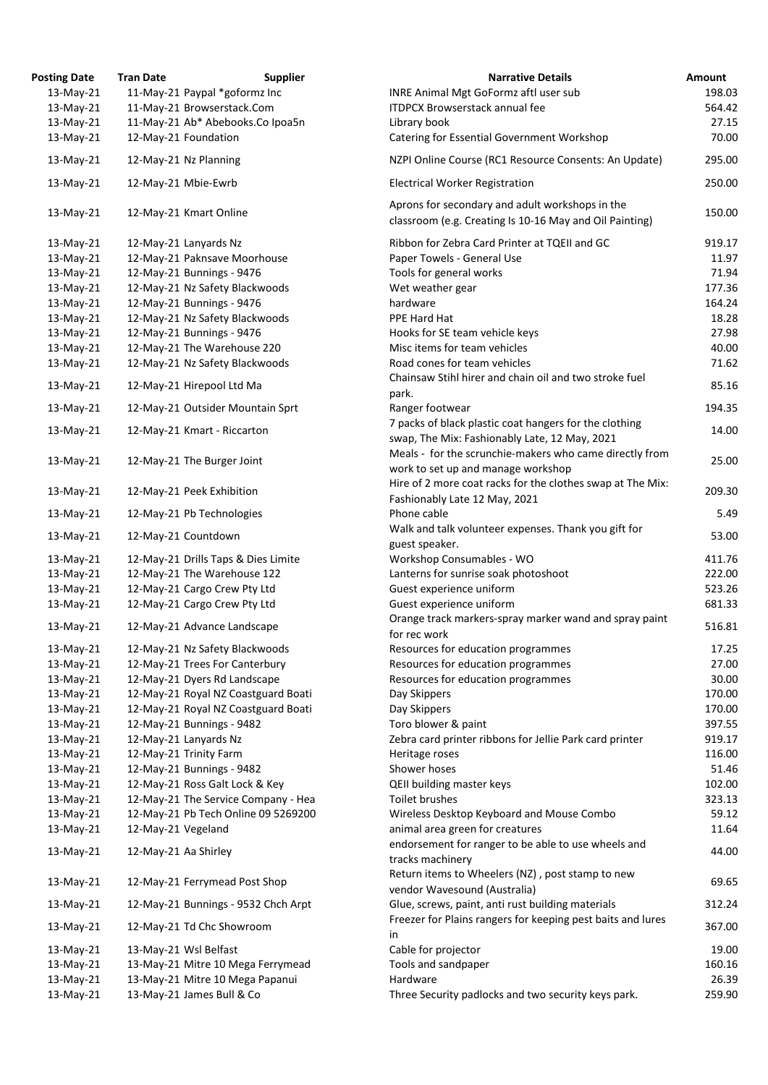| <b>Osting Date</b> | <b>Tran Date</b>     | <b>Supplier</b>                     | <b>Narrative Details</b>                                                                                      |
|--------------------|----------------------|-------------------------------------|---------------------------------------------------------------------------------------------------------------|
| 13-May-21          |                      | 11-May-21 Paypal *goformz Inc       | <b>INRE Animal Mgt GoFormz aftl user sub</b>                                                                  |
| 13-May-21          |                      | 11-May-21 Browserstack.Com          | <b>ITDPCX Browserstack annual fee</b>                                                                         |
| 13-May-21          |                      | 11-May-21 Ab* Abebooks.Co Ipoa5n    | Library book                                                                                                  |
| 13-May-21          |                      | 12-May-21 Foundation                | Catering for Essential Government Workshop                                                                    |
| 13-May-21          |                      | 12-May-21 Nz Planning               | NZPI Online Course (RC1 Resource Consents: An Upda                                                            |
| 13-May-21          |                      | 12-May-21 Mbie-Ewrb                 | <b>Electrical Worker Registration</b>                                                                         |
| $13$ -May-21       |                      | 12-May-21 Kmart Online              | Aprons for secondary and adult workshops in the<br>classroom (e.g. Creating Is 10-16 May and Oil Painting     |
| $13$ -May-21       |                      | 12-May-21 Lanyards Nz               | Ribbon for Zebra Card Printer at TQEII and GC                                                                 |
| 13-May-21          |                      | 12-May-21 Paknsave Moorhouse        | Paper Towels - General Use                                                                                    |
| 13-May-21          |                      | 12-May-21 Bunnings - 9476           | Tools for general works                                                                                       |
| 13-May-21          |                      | 12-May-21 Nz Safety Blackwoods      | Wet weather gear                                                                                              |
| 13-May-21          |                      | 12-May-21 Bunnings - 9476           | hardware                                                                                                      |
| 13-May-21          |                      | 12-May-21 Nz Safety Blackwoods      | PPE Hard Hat                                                                                                  |
| 13-May-21          |                      | 12-May-21 Bunnings - 9476           | Hooks for SE team vehicle keys                                                                                |
| 13-May-21          |                      | 12-May-21 The Warehouse 220         | Misc items for team vehicles                                                                                  |
| 13-May-21          |                      | 12-May-21 Nz Safety Blackwoods      | Road cones for team vehicles                                                                                  |
|                    |                      |                                     | Chainsaw Stihl hirer and chain oil and two stroke fuel                                                        |
| 13-May-21          |                      | 12-May-21 Hirepool Ltd Ma           | park.                                                                                                         |
| 13-May-21          |                      | 12-May-21 Outsider Mountain Sprt    | Ranger footwear                                                                                               |
| 13-May-21          |                      | 12-May-21 Kmart - Riccarton         | 7 packs of black plastic coat hangers for the clothing<br>swap, The Mix: Fashionably Late, 12 May, 2021       |
| 13-May-21          |                      | 12-May-21 The Burger Joint          | Meals - for the scrunchie-makers who came directly f<br>work to set up and manage workshop                    |
| 13-May-21          |                      | 12-May-21 Peek Exhibition           | Hire of 2 more coat racks for the clothes swap at The<br>Fashionably Late 12 May, 2021                        |
| 13-May-21          |                      | 12-May-21 Pb Technologies           | Phone cable                                                                                                   |
| 13-May-21          |                      | 12-May-21 Countdown                 | Walk and talk volunteer expenses. Thank you gift for<br>guest speaker.                                        |
| 13-May-21          |                      | 12-May-21 Drills Taps & Dies Limite | Workshop Consumables - WO                                                                                     |
| 13-May-21          |                      | 12-May-21 The Warehouse 122         | Lanterns for sunrise soak photoshoot                                                                          |
| 13-May-21          |                      | 12-May-21 Cargo Crew Pty Ltd        | Guest experience uniform                                                                                      |
| 13-May-21          |                      | 12-May-21 Cargo Crew Pty Ltd        | Guest experience uniform                                                                                      |
| 13-May-21          |                      | 12-May-21 Advance Landscape         | Orange track markers-spray marker wand and spray p<br>for rec work                                            |
|                    |                      |                                     |                                                                                                               |
| 13-May-21          |                      | 12-May-21 Nz Safety Blackwoods      | Resources for education programmes                                                                            |
| 13-May-21          |                      | 12-May-21 Trees For Canterbury      | Resources for education programmes                                                                            |
| 13-May-21          |                      | 12-May-21 Dyers Rd Landscape        | Resources for education programmes                                                                            |
| 13-May-21          |                      | 12-May-21 Royal NZ Coastguard Boati | Day Skippers                                                                                                  |
| 13-May-21          |                      | 12-May-21 Royal NZ Coastguard Boati | Day Skippers                                                                                                  |
| 13-May-21          |                      | 12-May-21 Bunnings - 9482           | Toro blower & paint                                                                                           |
| 13-May-21          |                      | 12-May-21 Lanyards Nz               | Zebra card printer ribbons for Jellie Park card printer                                                       |
| 13-May-21          |                      | 12-May-21 Trinity Farm              | Heritage roses                                                                                                |
| 13-May-21          |                      | 12-May-21 Bunnings - 9482           | Shower hoses                                                                                                  |
| 13-May-21          |                      | 12-May-21 Ross Galt Lock & Key      | <b>QEII building master keys</b>                                                                              |
| 13-May-21          |                      | 12-May-21 The Service Company - Hea | Toilet brushes                                                                                                |
| 13-May-21          |                      | 12-May-21 Pb Tech Online 09 5269200 | Wireless Desktop Keyboard and Mouse Combo                                                                     |
| 13-May-21          | 12-May-21 Vegeland   |                                     | animal area green for creatures                                                                               |
| 13-May-21          | 12-May-21 Aa Shirley |                                     | endorsement for ranger to be able to use wheels and<br>tracks machinery                                       |
| 13-May-21          |                      | 12-May-21 Ferrymead Post Shop       | Return items to Wheelers (NZ), post stamp to new<br>vendor Wavesound (Australia)                              |
| 13-May-21          |                      | 12-May-21 Bunnings - 9532 Chch Arpt | Glue, screws, paint, anti rust building materials<br>Freezer for Plains rangers for keeping pest baits and lu |
| 13-May-21          |                      | 12-May-21 Td Chc Showroom           | in                                                                                                            |
| 13-May-21          |                      | 13-May-21 Wsl Belfast               | Cable for projector                                                                                           |
| 13-May-21          |                      | 13-May-21 Mitre 10 Mega Ferrymead   | Tools and sandpaper                                                                                           |
| 13-May-21          |                      | 13-May-21 Mitre 10 Mega Papanui     | Hardware                                                                                                      |
| 13-May-21          |                      | 13-May-21 James Bull & Co           | Three Security padlocks and two security keys park.                                                           |

| <b>Posting Date</b> | <b>Tran Date</b>     | <b>Supplier</b>                     | <b>Narrative Details</b>                                                                                | Amount |
|---------------------|----------------------|-------------------------------------|---------------------------------------------------------------------------------------------------------|--------|
| 13-May-21           |                      | 11-May-21 Paypal *goformz Inc       | INRE Animal Mgt GoFormz aftl user sub                                                                   | 198.03 |
| 13-May-21           |                      | 11-May-21 Browserstack.Com          | <b>ITDPCX Browserstack annual fee</b>                                                                   | 564.42 |
| 13-May-21           |                      | 11-May-21 Ab* Abebooks.Co Ipoa5n    | Library book                                                                                            | 27.15  |
| $13$ -May-21        |                      | 12-May-21 Foundation                | Catering for Essential Government Workshop                                                              | 70.00  |
| 13-May-21           |                      | 12-May-21 Nz Planning               | NZPI Online Course (RC1 Resource Consents: An Update)                                                   | 295.00 |
| 13-May-21           |                      | 12-May-21 Mbie-Ewrb                 | <b>Electrical Worker Registration</b>                                                                   | 250.00 |
|                     |                      |                                     | Aprons for secondary and adult workshops in the                                                         |        |
| $13$ -May-21        |                      | 12-May-21 Kmart Online              | classroom (e.g. Creating Is 10-16 May and Oil Painting)                                                 | 150.00 |
| 13-May-21           |                      | 12-May-21 Lanyards Nz               | Ribbon for Zebra Card Printer at TQEII and GC                                                           | 919.17 |
| 13-May-21           |                      | 12-May-21 Paknsave Moorhouse        | Paper Towels - General Use                                                                              | 11.97  |
| 13-May-21           |                      | 12-May-21 Bunnings - 9476           | Tools for general works                                                                                 | 71.94  |
| 13-May-21           |                      | 12-May-21 Nz Safety Blackwoods      | Wet weather gear                                                                                        | 177.36 |
| 13-May-21           |                      | 12-May-21 Bunnings - 9476           | hardware                                                                                                | 164.24 |
| 13-May-21           |                      | 12-May-21 Nz Safety Blackwoods      | PPE Hard Hat                                                                                            | 18.28  |
| 13-May-21           |                      | 12-May-21 Bunnings - 9476           | Hooks for SE team vehicle keys                                                                          | 27.98  |
| $13$ -May-21        |                      | 12-May-21 The Warehouse 220         | Misc items for team vehicles                                                                            | 40.00  |
| 13-May-21           |                      | 12-May-21 Nz Safety Blackwoods      | Road cones for team vehicles                                                                            | 71.62  |
|                     |                      |                                     | Chainsaw Stihl hirer and chain oil and two stroke fuel                                                  |        |
| $13$ -May-21        |                      | 12-May-21 Hirepool Ltd Ma           | park.                                                                                                   | 85.16  |
| $13$ -May-21        |                      | 12-May-21 Outsider Mountain Sprt    | Ranger footwear                                                                                         | 194.35 |
| 13-May-21           |                      | 12-May-21 Kmart - Riccarton         | 7 packs of black plastic coat hangers for the clothing<br>swap, The Mix: Fashionably Late, 12 May, 2021 | 14.00  |
|                     |                      |                                     | Meals - for the scrunchie-makers who came directly from                                                 |        |
| 13-May-21           |                      | 12-May-21 The Burger Joint          | work to set up and manage workshop                                                                      | 25.00  |
|                     |                      |                                     |                                                                                                         |        |
| $13$ -May-21        |                      | 12-May-21 Peek Exhibition           | Hire of 2 more coat racks for the clothes swap at The Mix:                                              | 209.30 |
| 13-May-21           |                      | 12-May-21 Pb Technologies           | Fashionably Late 12 May, 2021<br>Phone cable                                                            | 5.49   |
| 13-May-21           |                      | 12-May-21 Countdown                 | Walk and talk volunteer expenses. Thank you gift for<br>guest speaker.                                  | 53.00  |
|                     |                      | 12-May-21 Drills Taps & Dies Limite | Workshop Consumables - WO                                                                               | 411.76 |
| 13-May-21           |                      |                                     |                                                                                                         |        |
| 13-May-21           |                      | 12-May-21 The Warehouse 122         | Lanterns for sunrise soak photoshoot                                                                    | 222.00 |
| 13-May-21           |                      | 12-May-21 Cargo Crew Pty Ltd        | Guest experience uniform                                                                                | 523.26 |
| 13-May-21           |                      | 12-May-21 Cargo Crew Pty Ltd        | Guest experience uniform                                                                                | 681.33 |
| 13-May-21           |                      | 12-May-21 Advance Landscape         | Orange track markers-spray marker wand and spray paint<br>for rec work                                  | 516.81 |
| 13-May-21           |                      | 12-May-21 Nz Safety Blackwoods      | Resources for education programmes                                                                      | 17.25  |
| 13-May-21           |                      | 12-May-21 Trees For Canterbury      | Resources for education programmes                                                                      | 27.00  |
| 13-May-21           |                      | 12-May-21 Dyers Rd Landscape        | Resources for education programmes                                                                      | 30.00  |
| 13-May-21           |                      | 12-May-21 Royal NZ Coastguard Boati | Day Skippers                                                                                            | 170.00 |
| 13-May-21           |                      | 12-May-21 Royal NZ Coastguard Boati | Day Skippers                                                                                            | 170.00 |
| 13-May-21           |                      | 12-May-21 Bunnings - 9482           | Toro blower & paint                                                                                     | 397.55 |
| 13-May-21           |                      | 12-May-21 Lanyards Nz               | Zebra card printer ribbons for Jellie Park card printer                                                 | 919.17 |
| 13-May-21           |                      | 12-May-21 Trinity Farm              | Heritage roses                                                                                          | 116.00 |
| 13-May-21           |                      | 12-May-21 Bunnings - 9482           | Shower hoses                                                                                            | 51.46  |
| 13-May-21           |                      | 12-May-21 Ross Galt Lock & Key      | <b>QEII building master keys</b>                                                                        | 102.00 |
| 13-May-21           |                      | 12-May-21 The Service Company - Hea | Toilet brushes                                                                                          | 323.13 |
| 13-May-21           |                      | 12-May-21 Pb Tech Online 09 5269200 | Wireless Desktop Keyboard and Mouse Combo                                                               | 59.12  |
| 13-May-21           | 12-May-21 Vegeland   |                                     | animal area green for creatures                                                                         | 11.64  |
| 13-May-21           | 12-May-21 Aa Shirley |                                     | endorsement for ranger to be able to use wheels and<br>tracks machinery                                 | 44.00  |
| 13-May-21           |                      | 12-May-21 Ferrymead Post Shop       | Return items to Wheelers (NZ), post stamp to new<br>vendor Wavesound (Australia)                        | 69.65  |
| 13-May-21           |                      | 12-May-21 Bunnings - 9532 Chch Arpt | Glue, screws, paint, anti rust building materials                                                       | 312.24 |
| 13-May-21           |                      | 12-May-21 Td Chc Showroom           | Freezer for Plains rangers for keeping pest baits and lures<br>in                                       | 367.00 |
| 13-May-21           |                      | 13-May-21 Wsl Belfast               | Cable for projector                                                                                     | 19.00  |
| 13-May-21           |                      | 13-May-21 Mitre 10 Mega Ferrymead   | Tools and sandpaper                                                                                     | 160.16 |
| 13-May-21           |                      | 13-May-21 Mitre 10 Mega Papanui     | Hardware                                                                                                | 26.39  |
| 13-May-21           |                      | 13-May-21 James Bull & Co           | Three Security padlocks and two security keys park.                                                     | 259.90 |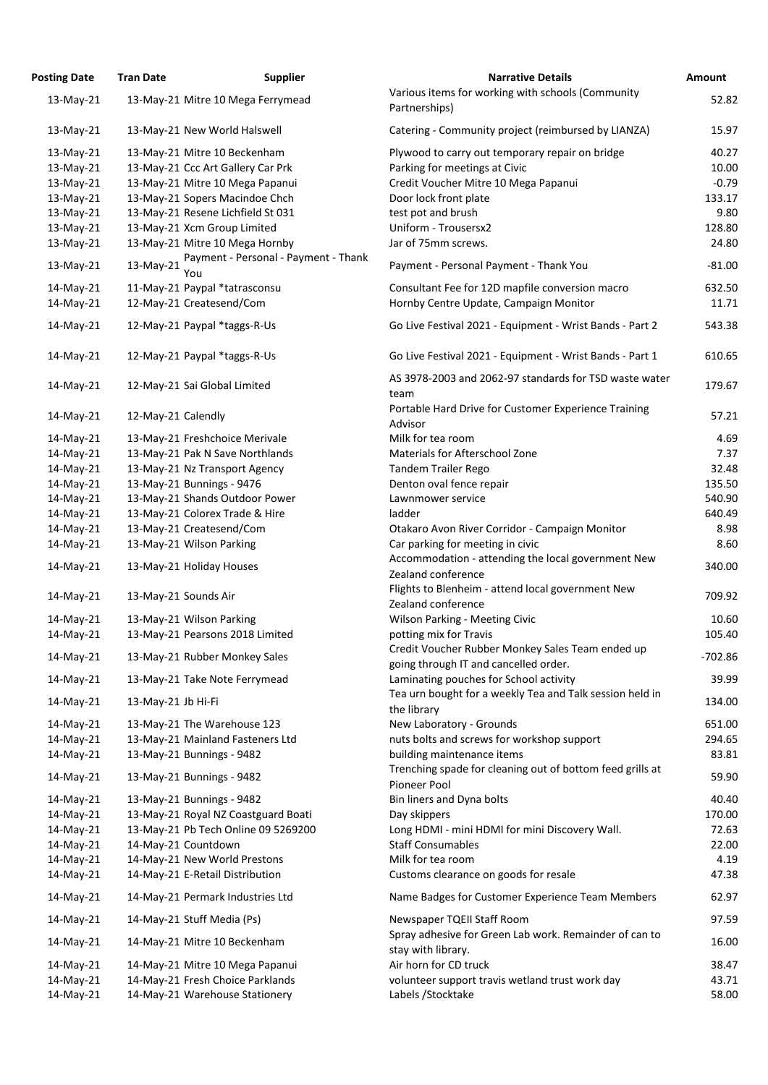| <b>Posting Date</b> | <b>Tran Date</b>   | <b>Supplier</b>                             | <b>Narrative Details</b>                                                                  | <b>Amount</b> |
|---------------------|--------------------|---------------------------------------------|-------------------------------------------------------------------------------------------|---------------|
| 13-May-21           |                    | 13-May-21 Mitre 10 Mega Ferrymead           | Various items for working with schools (Community                                         | 52.82         |
|                     |                    |                                             | Partnerships)                                                                             |               |
| 13-May-21           |                    | 13-May-21 New World Halswell                | Catering - Community project (reimbursed by LIANZA)                                       | 15.97         |
| 13-May-21           |                    | 13-May-21 Mitre 10 Beckenham                | Plywood to carry out temporary repair on bridge                                           | 40.27         |
| 13-May-21           |                    | 13-May-21 Ccc Art Gallery Car Prk           | Parking for meetings at Civic                                                             | 10.00         |
| 13-May-21           |                    | 13-May-21 Mitre 10 Mega Papanui             | Credit Voucher Mitre 10 Mega Papanui                                                      | $-0.79$       |
| 13-May-21           |                    | 13-May-21 Sopers Macindoe Chch              | Door lock front plate                                                                     | 133.17        |
| 13-May-21           |                    | 13-May-21 Resene Lichfield St 031           | test pot and brush                                                                        | 9.80          |
| 13-May-21           |                    | 13-May-21 Xcm Group Limited                 | Uniform - Trousersx2                                                                      | 128.80        |
| 13-May-21           |                    | 13-May-21 Mitre 10 Mega Hornby              | Jar of 75mm screws.                                                                       | 24.80         |
| 13-May-21           | 13-May-21          | Payment - Personal - Payment - Thank<br>You | Payment - Personal Payment - Thank You                                                    | $-81.00$      |
| 14-May-21           |                    | 11-May-21 Paypal *tatrasconsu               | Consultant Fee for 12D mapfile conversion macro                                           | 632.50        |
| 14-May-21           |                    | 12-May-21 Createsend/Com                    | Hornby Centre Update, Campaign Monitor                                                    | 11.71         |
| 14-May-21           |                    | 12-May-21 Paypal *taggs-R-Us                | Go Live Festival 2021 - Equipment - Wrist Bands - Part 2                                  | 543.38        |
|                     |                    |                                             |                                                                                           |               |
| 14-May-21           |                    | 12-May-21 Paypal *taggs-R-Us                | Go Live Festival 2021 - Equipment - Wrist Bands - Part 1                                  | 610.65        |
| 14-May-21           |                    | 12-May-21 Sai Global Limited                | AS 3978-2003 and 2062-97 standards for TSD waste water<br>team                            | 179.67        |
| 14-May-21           | 12-May-21 Calendly |                                             | Portable Hard Drive for Customer Experience Training<br>Advisor                           | 57.21         |
| 14-May-21           |                    | 13-May-21 Freshchoice Merivale              | Milk for tea room                                                                         | 4.69          |
| 14-May-21           |                    | 13-May-21 Pak N Save Northlands             | Materials for Afterschool Zone                                                            | 7.37          |
| 14-May-21           |                    | 13-May-21 Nz Transport Agency               | <b>Tandem Trailer Rego</b>                                                                | 32.48         |
| 14-May-21           |                    | 13-May-21 Bunnings - 9476                   | Denton oval fence repair                                                                  | 135.50        |
| 14-May-21           |                    | 13-May-21 Shands Outdoor Power              | Lawnmower service                                                                         | 540.90        |
| 14-May-21           |                    | 13-May-21 Colorex Trade & Hire              | ladder                                                                                    | 640.49        |
| 14-May-21           |                    | 13-May-21 Createsend/Com                    | Otakaro Avon River Corridor - Campaign Monitor                                            | 8.98          |
| 14-May-21           |                    | 13-May-21 Wilson Parking                    | Car parking for meeting in civic                                                          | 8.60          |
|                     |                    |                                             | Accommodation - attending the local government New                                        |               |
| 14-May-21           |                    | 13-May-21 Holiday Houses                    | Zealand conference                                                                        | 340.00        |
| 14-May-21           |                    | 13-May-21 Sounds Air                        | Flights to Blenheim - attend local government New<br>Zealand conference                   | 709.92        |
| 14-May-21           |                    | 13-May-21 Wilson Parking                    | <b>Wilson Parking - Meeting Civic</b>                                                     | 10.60         |
| 14-May-21           |                    | 13-May-21 Pearsons 2018 Limited             | potting mix for Travis                                                                    | 105.40        |
| 14-May-21           |                    | 13-May-21 Rubber Monkey Sales               | Credit Voucher Rubber Monkey Sales Team ended up<br>going through IT and cancelled order. | $-702.86$     |
| 14-May-21           |                    | 13-May-21 Take Note Ferrymead               | Laminating pouches for School activity                                                    | 39.99         |
| 14-May-21           | 13-May-21 Jb Hi-Fi |                                             | Tea urn bought for a weekly Tea and Talk session held in                                  | 134.00        |
|                     |                    |                                             | the library                                                                               |               |
| 14-May-21           |                    | 13-May-21 The Warehouse 123                 | New Laboratory - Grounds                                                                  | 651.00        |
| 14-May-21           |                    | 13-May-21 Mainland Fasteners Ltd            | nuts bolts and screws for workshop support                                                | 294.65        |
| 14-May-21           |                    | 13-May-21 Bunnings - 9482                   | building maintenance items<br>Trenching spade for cleaning out of bottom feed grills at   | 83.81         |
| 14-May-21           |                    | 13-May-21 Bunnings - 9482                   | Pioneer Pool                                                                              | 59.90         |
| 14-May-21           |                    | 13-May-21 Bunnings - 9482                   | Bin liners and Dyna bolts                                                                 | 40.40         |
| 14-May-21           |                    | 13-May-21 Royal NZ Coastguard Boati         | Day skippers                                                                              | 170.00        |
| 14-May-21           |                    | 13-May-21 Pb Tech Online 09 5269200         | Long HDMI - mini HDMI for mini Discovery Wall.                                            | 72.63         |
| 14-May-21           |                    | 14-May-21 Countdown                         | <b>Staff Consumables</b>                                                                  | 22.00         |
| 14-May-21           |                    | 14-May-21 New World Prestons                | Milk for tea room                                                                         | 4.19          |
| 14-May-21           |                    | 14-May-21 E-Retail Distribution             | Customs clearance on goods for resale                                                     | 47.38         |
| 14-May-21           |                    | 14-May-21 Permark Industries Ltd            | Name Badges for Customer Experience Team Members                                          | 62.97         |
| 14-May-21           |                    | 14-May-21 Stuff Media (Ps)                  | Newspaper TQEII Staff Room                                                                | 97.59         |
| 14-May-21           |                    | 14-May-21 Mitre 10 Beckenham                | Spray adhesive for Green Lab work. Remainder of can to<br>stay with library.              | 16.00         |
| 14-May-21           |                    | 14-May-21 Mitre 10 Mega Papanui             | Air horn for CD truck                                                                     | 38.47         |
| 14-May-21           |                    | 14-May-21 Fresh Choice Parklands            | volunteer support travis wetland trust work day                                           | 43.71         |
| 14-May-21           |                    | 14-May-21 Warehouse Stationery              | Labels / Stocktake                                                                        | 58.00         |

179.67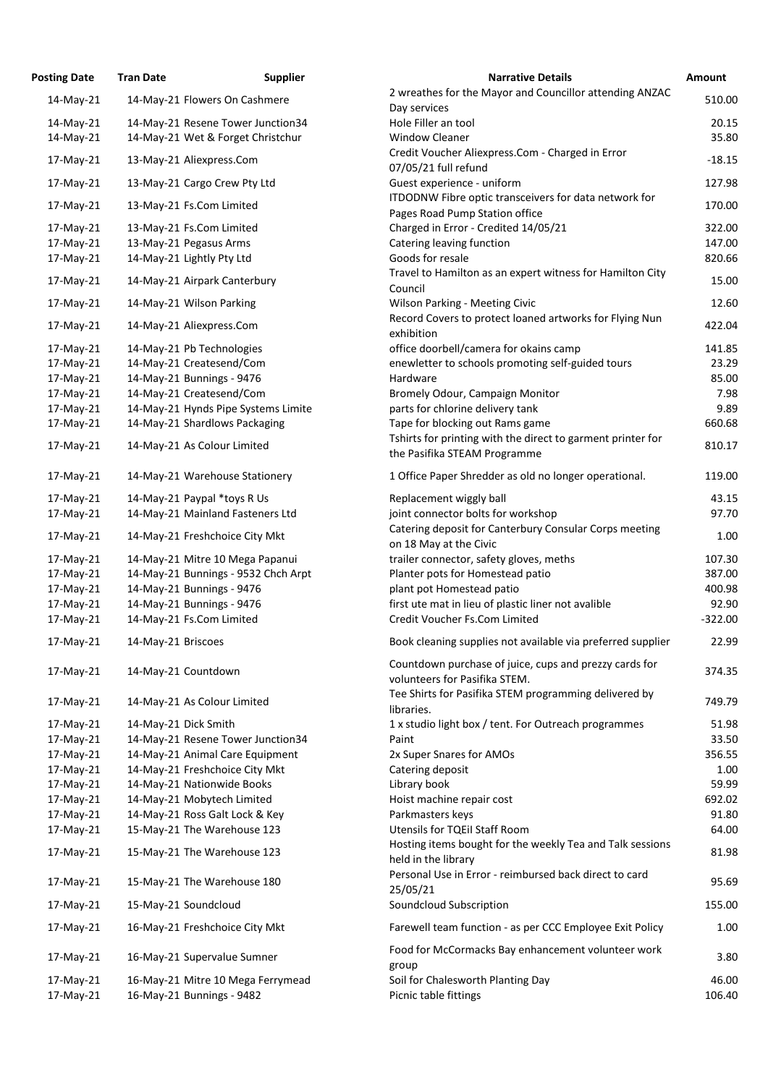| osting Date | <b>Tran Date</b>     | <b>Supplier</b>                     | <b>Narrative Details</b>                                                               |
|-------------|----------------------|-------------------------------------|----------------------------------------------------------------------------------------|
| 14-May-21   |                      | 14-May-21 Flowers On Cashmere       | 2 wreathes for the Mayor and Councillor attending AN                                   |
|             |                      |                                     | Day services                                                                           |
| 14-May-21   |                      | 14-May-21 Resene Tower Junction34   | Hole Filler an tool                                                                    |
| 14-May-21   |                      | 14-May-21 Wet & Forget Christchur   | <b>Window Cleaner</b>                                                                  |
| 17-May-21   |                      | 13-May-21 Aliexpress.Com            | Credit Voucher Aliexpress.Com - Charged in Error<br>07/05/21 full refund               |
| 17-May-21   |                      | 13-May-21 Cargo Crew Pty Ltd        | Guest experience - uniform                                                             |
| 17-May-21   |                      | 13-May-21 Fs.Com Limited            | ITDODNW Fibre optic transceivers for data network fo<br>Pages Road Pump Station office |
| 17-May-21   |                      | 13-May-21 Fs.Com Limited            | Charged in Error - Credited 14/05/21                                                   |
| 17-May-21   |                      | 13-May-21 Pegasus Arms              | Catering leaving function                                                              |
| 17-May-21   |                      | 14-May-21 Lightly Pty Ltd           | Goods for resale                                                                       |
| 17-May-21   |                      | 14-May-21 Airpark Canterbury        | Travel to Hamilton as an expert witness for Hamilton (<br>Council                      |
| 17-May-21   |                      | 14-May-21 Wilson Parking            | <b>Wilson Parking - Meeting Civic</b>                                                  |
| 17-May-21   |                      | 14-May-21 Aliexpress.Com            | Record Covers to protect loaned artworks for Flying N                                  |
|             |                      |                                     | exhibition                                                                             |
| 17-May-21   |                      | 14-May-21 Pb Technologies           | office doorbell/camera for okains camp                                                 |
| 17-May-21   |                      | 14-May-21 Createsend/Com            | enewletter to schools promoting self-guided tours                                      |
| 17-May-21   |                      | 14-May-21 Bunnings - 9476           | Hardware                                                                               |
| 17-May-21   |                      | 14-May-21 Createsend/Com            | Bromely Odour, Campaign Monitor                                                        |
| 17-May-21   |                      | 14-May-21 Hynds Pipe Systems Limite | parts for chlorine delivery tank                                                       |
| 17-May-21   |                      | 14-May-21 Shardlows Packaging       | Tape for blocking out Rams game                                                        |
| 17-May-21   |                      | 14-May-21 As Colour Limited         | Tshirts for printing with the direct to garment printer t                              |
|             |                      |                                     | the Pasifika STEAM Programme                                                           |
| 17-May-21   |                      | 14-May-21 Warehouse Stationery      | 1 Office Paper Shredder as old no longer operational.                                  |
| 17-May-21   |                      | 14-May-21 Paypal *toys R Us         | Replacement wiggly ball                                                                |
| 17-May-21   |                      | 14-May-21 Mainland Fasteners Ltd    | joint connector bolts for workshop                                                     |
| 17-May-21   |                      | 14-May-21 Freshchoice City Mkt      | Catering deposit for Canterbury Consular Corps meeti<br>on 18 May at the Civic         |
| 17-May-21   |                      | 14-May-21 Mitre 10 Mega Papanui     | trailer connector, safety gloves, meths                                                |
| 17-May-21   |                      | 14-May-21 Bunnings - 9532 Chch Arpt | Planter pots for Homestead patio                                                       |
| 17-May-21   |                      | 14-May-21 Bunnings - 9476           | plant pot Homestead patio                                                              |
| 17-May-21   |                      | 14-May-21 Bunnings - 9476           | first ute mat in lieu of plastic liner not avalible                                    |
| 17-May-21   |                      | 14-May-21 Fs.Com Limited            | Credit Voucher Fs.Com Limited                                                          |
|             |                      |                                     |                                                                                        |
| 17-May-21   | 14-May-21 Briscoes   |                                     | Book cleaning supplies not available via preferred sup                                 |
| 17-May-21   |                      | 14-May-21 Countdown                 | Countdown purchase of juice, cups and prezzy cards fo<br>volunteers for Pasifika STEM. |
| 17-May-21   |                      | 14-May-21 As Colour Limited         | Tee Shirts for Pasifika STEM programming delivered by<br>libraries.                    |
| 17-May-21   | 14-May-21 Dick Smith |                                     | 1 x studio light box / tent. For Outreach programmes                                   |
| 17-May-21   |                      | 14-May-21 Resene Tower Junction34   | Paint                                                                                  |
| 17-May-21   |                      | 14-May-21 Animal Care Equipment     | 2x Super Snares for AMOs                                                               |
| 17-May-21   |                      | 14-May-21 Freshchoice City Mkt      | Catering deposit                                                                       |
| 17-May-21   |                      | 14-May-21 Nationwide Books          | Library book                                                                           |
| 17-May-21   |                      | 14-May-21 Mobytech Limited          | Hoist machine repair cost                                                              |
| 17-May-21   |                      | 14-May-21 Ross Galt Lock & Key      | Parkmasters keys                                                                       |
| 17-May-21   |                      | 15-May-21 The Warehouse 123         | <b>Utensils for TQEil Staff Room</b>                                                   |
| 17-May-21   |                      | 15-May-21 The Warehouse 123         | Hosting items bought for the weekly Tea and Talk sess<br>held in the library           |
| 17-May-21   |                      | 15-May-21 The Warehouse 180         | Personal Use in Error - reimbursed back direct to card<br>25/05/21                     |
| 17-May-21   |                      | 15-May-21 Soundcloud                | Soundcloud Subscription                                                                |
| 17-May-21   |                      | 16-May-21 Freshchoice City Mkt      | Farewell team function - as per CCC Employee Exit Pol                                  |
| 17-May-21   |                      | 16-May-21 Supervalue Sumner         | Food for McCormacks Bay enhancement volunteer wo                                       |
| 17-May-21   |                      | 16-May-21 Mitre 10 Mega Ferrymead   | group<br>Soil for Chalesworth Planting Day                                             |
| 17-May-21   |                      | 16-May-21 Bunnings - 9482           | Picnic table fittings                                                                  |
|             |                      |                                     |                                                                                        |

| <b>Posting Date</b> | <b>Tran Date</b>     | <b>Supplier</b>                     | <b>Narrative Details</b>                                                                | <b>Amount</b> |
|---------------------|----------------------|-------------------------------------|-----------------------------------------------------------------------------------------|---------------|
| 14-May-21           |                      | 14-May-21 Flowers On Cashmere       | 2 wreathes for the Mayor and Councillor attending ANZAC<br>Day services                 | 510.00        |
| 14-May-21           |                      | 14-May-21 Resene Tower Junction34   | Hole Filler an tool                                                                     | 20.15         |
| 14-May-21           |                      | 14-May-21 Wet & Forget Christchur   | <b>Window Cleaner</b>                                                                   | 35.80         |
| 17-May-21           |                      | 13-May-21 Aliexpress.Com            | Credit Voucher Aliexpress.Com - Charged in Error<br>07/05/21 full refund                | $-18.15$      |
| 17-May-21           |                      | 13-May-21 Cargo Crew Pty Ltd        | Guest experience - uniform                                                              | 127.98        |
| 17-May-21           |                      | 13-May-21 Fs.Com Limited            | ITDODNW Fibre optic transceivers for data network for<br>Pages Road Pump Station office | 170.00        |
| 17-May-21           |                      | 13-May-21 Fs.Com Limited            | Charged in Error - Credited 14/05/21                                                    | 322.00        |
| 17-May-21           |                      | 13-May-21 Pegasus Arms              | Catering leaving function                                                               | 147.00        |
| 17-May-21           |                      | 14-May-21 Lightly Pty Ltd           | Goods for resale                                                                        | 820.66        |
| 17-May-21           |                      | 14-May-21 Airpark Canterbury        | Travel to Hamilton as an expert witness for Hamilton City<br>Council                    | 15.00         |
| 17-May-21           |                      | 14-May-21 Wilson Parking            | <b>Wilson Parking - Meeting Civic</b>                                                   | 12.60         |
| 17-May-21           |                      | 14-May-21 Aliexpress.Com            | Record Covers to protect loaned artworks for Flying Nun<br>exhibition                   | 422.04        |
| 17-May-21           |                      | 14-May-21 Pb Technologies           | office doorbell/camera for okains camp                                                  | 141.85        |
| 17-May-21           |                      | 14-May-21 Createsend/Com            | enewletter to schools promoting self-guided tours                                       | 23.29         |
| 17-May-21           |                      | 14-May-21 Bunnings - 9476           | Hardware                                                                                | 85.00         |
| 17-May-21           |                      | 14-May-21 Createsend/Com            | <b>Bromely Odour, Campaign Monitor</b>                                                  | 7.98          |
| 17-May-21           |                      | 14-May-21 Hynds Pipe Systems Limite | parts for chlorine delivery tank                                                        | 9.89          |
| 17-May-21           |                      | 14-May-21 Shardlows Packaging       | Tape for blocking out Rams game                                                         | 660.68        |
|                     |                      |                                     | Tshirts for printing with the direct to garment printer for                             |               |
| 17-May-21           |                      | 14-May-21 As Colour Limited         | the Pasifika STEAM Programme                                                            | 810.17        |
| 17-May-21           |                      | 14-May-21 Warehouse Stationery      | 1 Office Paper Shredder as old no longer operational.                                   | 119.00        |
| 17-May-21           |                      | 14-May-21 Paypal *toys R Us         | Replacement wiggly ball                                                                 | 43.15         |
| 17-May-21           |                      | 14-May-21 Mainland Fasteners Ltd    | joint connector bolts for workshop                                                      | 97.70         |
| 17-May-21           |                      | 14-May-21 Freshchoice City Mkt      | Catering deposit for Canterbury Consular Corps meeting<br>on 18 May at the Civic        | 1.00          |
| 17-May-21           |                      | 14-May-21 Mitre 10 Mega Papanui     | trailer connector, safety gloves, meths                                                 | 107.30        |
| 17-May-21           |                      | 14-May-21 Bunnings - 9532 Chch Arpt | Planter pots for Homestead patio                                                        | 387.00        |
| 17-May-21           |                      | 14-May-21 Bunnings - 9476           | plant pot Homestead patio                                                               | 400.98        |
| 17-May-21           |                      | 14-May-21 Bunnings - 9476           | first ute mat in lieu of plastic liner not avalible                                     | 92.90         |
| 17-May-21           |                      | 14-May-21 Fs.Com Limited            | Credit Voucher Fs.Com Limited                                                           | $-322.00$     |
| 17-May-21           | 14-May-21 Briscoes   |                                     | Book cleaning supplies not available via preferred supplier                             | 22.99         |
| 17-May-21           |                      | 14-May-21 Countdown                 | Countdown purchase of juice, cups and prezzy cards for<br>volunteers for Pasifika STEM. | 374.35        |
| 17-May-21           |                      | 14-May-21 As Colour Limited         | Tee Shirts for Pasifika STEM programming delivered by<br>libraries.                     | 749.79        |
| 17-May-21           | 14-May-21 Dick Smith |                                     | 1 x studio light box / tent. For Outreach programmes                                    | 51.98         |
| 17-May-21           |                      | 14-May-21 Resene Tower Junction34   | Paint                                                                                   | 33.50         |
| 17-May-21           |                      | 14-May-21 Animal Care Equipment     | 2x Super Snares for AMOs                                                                | 356.55        |
| 17-May-21           |                      | 14-May-21 Freshchoice City Mkt      | Catering deposit                                                                        | 1.00          |
| 17-May-21           |                      | 14-May-21 Nationwide Books          | Library book                                                                            | 59.99         |
| 17-May-21           |                      | 14-May-21 Mobytech Limited          | Hoist machine repair cost                                                               | 692.02        |
| 17-May-21           |                      | 14-May-21 Ross Galt Lock & Key      | Parkmasters keys                                                                        | 91.80         |
| 17-May-21           |                      | 15-May-21 The Warehouse 123         | <b>Utensils for TQEil Staff Room</b>                                                    | 64.00         |
| 17-May-21           |                      | 15-May-21 The Warehouse 123         | Hosting items bought for the weekly Tea and Talk sessions<br>held in the library        | 81.98         |
| 17-May-21           |                      | 15-May-21 The Warehouse 180         | Personal Use in Error - reimbursed back direct to card                                  | 95.69         |
| 17-May-21           |                      | 15-May-21 Soundcloud                | 25/05/21<br>Soundcloud Subscription                                                     | 155.00        |
| 17-May-21           |                      | 16-May-21 Freshchoice City Mkt      | Farewell team function - as per CCC Employee Exit Policy                                | 1.00          |
| 17-May-21           |                      | 16-May-21 Supervalue Sumner         | Food for McCormacks Bay enhancement volunteer work<br>group                             | 3.80          |
| 17-May-21           |                      | 16-May-21 Mitre 10 Mega Ferrymead   | Soil for Chalesworth Planting Day                                                       | 46.00         |
| 17-May-21           |                      | 16-May-21 Bunnings - 9482           | Picnic table fittings                                                                   | 106.40        |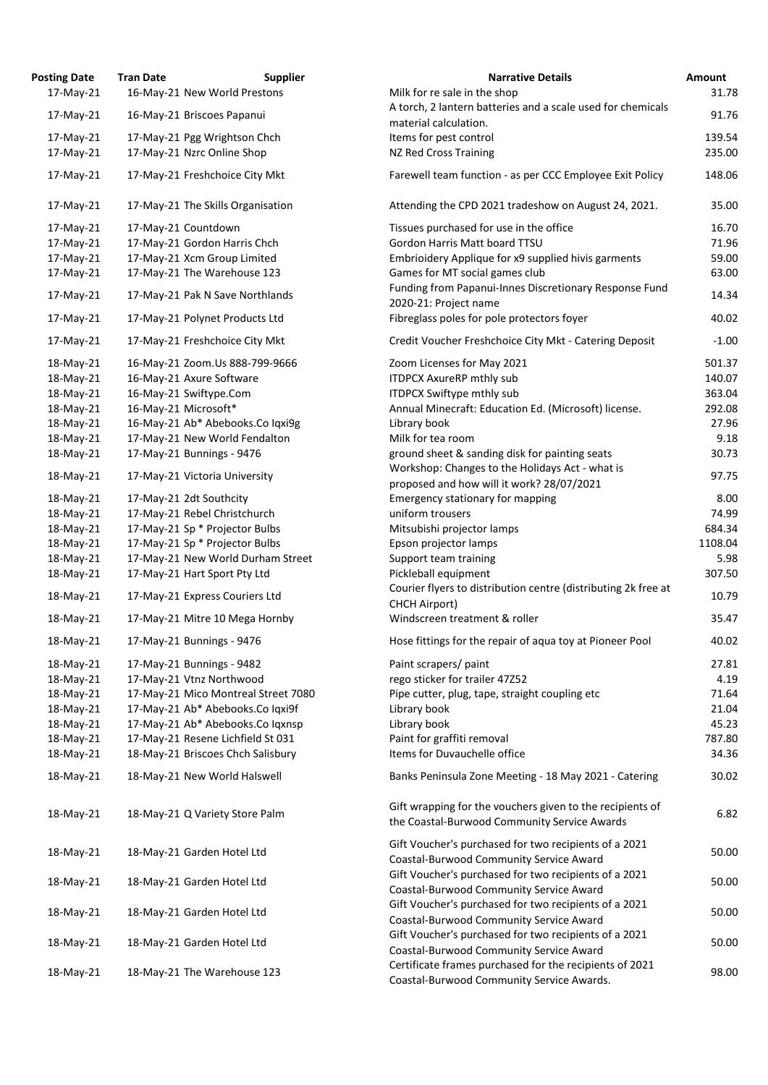| 17-May-21 | 16-May-21 New World Prestons        |                                                                                                        |
|-----------|-------------------------------------|--------------------------------------------------------------------------------------------------------|
|           |                                     | Milk for re sale in the shop                                                                           |
| 17-May-21 | 16-May-21 Briscoes Papanui          | A torch, 2 lantern batteries and a scale used for chemi                                                |
|           |                                     | material calculation.                                                                                  |
| 17-May-21 | 17-May-21 Pgg Wrightson Chch        | Items for pest control                                                                                 |
| 17-May-21 | 17-May-21 Nzrc Online Shop          | <b>NZ Red Cross Training</b>                                                                           |
| 17-May-21 | 17-May-21 Freshchoice City Mkt      | Farewell team function - as per CCC Employee Exit Pol                                                  |
| 17-May-21 | 17-May-21 The Skills Organisation   | Attending the CPD 2021 tradeshow on August 24, 202                                                     |
| 17-May-21 | 17-May-21 Countdown                 | Tissues purchased for use in the office                                                                |
| 17-May-21 | 17-May-21 Gordon Harris Chch        | Gordon Harris Matt board TTSU                                                                          |
| 17-May-21 | 17-May-21 Xcm Group Limited         | Embrioidery Applique for x9 supplied hivis garments                                                    |
| 17-May-21 | 17-May-21 The Warehouse 123         | Games for MT social games club                                                                         |
| 17-May-21 | 17-May-21 Pak N Save Northlands     | Funding from Papanui-Innes Discretionary Response F<br>2020-21: Project name                           |
| 17-May-21 | 17-May-21 Polynet Products Ltd      | Fibreglass poles for pole protectors foyer                                                             |
| 17-May-21 | 17-May-21 Freshchoice City Mkt      | Credit Voucher Freshchoice City Mkt - Catering Depos                                                   |
| 18-May-21 | 16-May-21 Zoom.Us 888-799-9666      | Zoom Licenses for May 2021                                                                             |
| 18-May-21 | 16-May-21 Axure Software            | <b>ITDPCX AxureRP mthly sub</b>                                                                        |
| 18-May-21 | 16-May-21 Swiftype.Com              | <b>ITDPCX Swiftype mthly sub</b>                                                                       |
| 18-May-21 | 16-May-21 Microsoft*                | Annual Minecraft: Education Ed. (Microsoft) license.                                                   |
| 18-May-21 | 16-May-21 Ab* Abebooks.Co Iqxi9g    | Library book                                                                                           |
| 18-May-21 | 17-May-21 New World Fendalton       | Milk for tea room                                                                                      |
| 18-May-21 | 17-May-21 Bunnings - 9476           | ground sheet & sanding disk for painting seats                                                         |
|           |                                     | Workshop: Changes to the Holidays Act - what is                                                        |
| 18-May-21 | 17-May-21 Victoria University       | proposed and how will it work? 28/07/2021                                                              |
| 18-May-21 | 17-May-21 2dt Southcity             | <b>Emergency stationary for mapping</b>                                                                |
| 18-May-21 | 17-May-21 Rebel Christchurch        | uniform trousers                                                                                       |
| 18-May-21 | 17-May-21 Sp * Projector Bulbs      | Mitsubishi projector lamps                                                                             |
| 18-May-21 | 17-May-21 Sp * Projector Bulbs      | Epson projector lamps                                                                                  |
| 18-May-21 | 17-May-21 New World Durham Street   | Support team training                                                                                  |
| 18-May-21 | 17-May-21 Hart Sport Pty Ltd        | Pickleball equipment                                                                                   |
| 18-May-21 | 17-May-21 Express Couriers Ltd      | Courier flyers to distribution centre (distributing 2k fre<br><b>CHCH Airport)</b>                     |
| 18-May-21 | 17-May-21 Mitre 10 Mega Hornby      | Windscreen treatment & roller                                                                          |
| 18-May-21 | 17-May-21 Bunnings - 9476           | Hose fittings for the repair of aqua toy at Pioneer Poo                                                |
| 18-May-21 | 17-May-21 Bunnings - 9482           | Paint scrapers/ paint                                                                                  |
| 18-May-21 | 17-May-21 Vtnz Northwood            | rego sticker for trailer 47Z52                                                                         |
| 18-May-21 | 17-May-21 Mico Montreal Street 7080 | Pipe cutter, plug, tape, straight coupling etc                                                         |
| 18-May-21 | 17-May-21 Ab* Abebooks.Co Iqxi9f    | Library book                                                                                           |
| 18-May-21 | 17-May-21 Ab* Abebooks.Co Iqxnsp    | Library book                                                                                           |
| 18-May-21 | 17-May-21 Resene Lichfield St 031   | Paint for graffiti removal                                                                             |
| 18-May-21 | 18-May-21 Briscoes Chch Salisbury   | Items for Duvauchelle office                                                                           |
| 18-May-21 | 18-May-21 New World Halswell        | Banks Peninsula Zone Meeting - 18 May 2021 - Caterir                                                   |
| 18-May-21 | 18-May-21 Q Variety Store Palm      | Gift wrapping for the vouchers given to the recipients<br>the Coastal-Burwood Community Service Awards |
| 18-May-21 | 18-May-21 Garden Hotel Ltd          | Gift Voucher's purchased for two recipients of a 2021<br>Coastal-Burwood Community Service Award       |
| 18-May-21 | 18-May-21 Garden Hotel Ltd          | Gift Voucher's purchased for two recipients of a 2021<br>Coastal-Burwood Community Service Award       |
| 18-May-21 | 18-May-21 Garden Hotel Ltd          | Gift Voucher's purchased for two recipients of a 2021<br>Coastal-Burwood Community Service Award       |
| 18-May-21 | 18-May-21 Garden Hotel Ltd          | Gift Voucher's purchased for two recipients of a 2021<br>Coastal-Burwood Community Service Award       |
| 18-May-21 | 18-May-21 The Warehouse 123         | Certificate frames purchased for the recipients of 202<br>Coastal Burwood Community Service Awards     |

| <b>Posting Date</b> | <b>Tran Date</b> | <b>Supplier</b>                     | <b>Narrative Details</b>                                                                                  | Amount  |
|---------------------|------------------|-------------------------------------|-----------------------------------------------------------------------------------------------------------|---------|
| 17-May-21           |                  | 16-May-21 New World Prestons        | Milk for re sale in the shop                                                                              | 31.78   |
|                     |                  |                                     | A torch, 2 lantern batteries and a scale used for chemicals                                               |         |
| 17-May-21           |                  | 16-May-21 Briscoes Papanui          | material calculation.                                                                                     | 91.76   |
| 17-May-21           |                  | 17-May-21 Pgg Wrightson Chch        | Items for pest control                                                                                    | 139.54  |
| 17-May-21           |                  | 17-May-21 Nzrc Online Shop          | <b>NZ Red Cross Training</b>                                                                              | 235.00  |
|                     |                  |                                     |                                                                                                           |         |
| 17-May-21           |                  | 17-May-21 Freshchoice City Mkt      | Farewell team function - as per CCC Employee Exit Policy                                                  | 148.06  |
| 17-May-21           |                  | 17-May-21 The Skills Organisation   | Attending the CPD 2021 tradeshow on August 24, 2021.                                                      | 35.00   |
| 17-May-21           |                  | 17-May-21 Countdown                 | Tissues purchased for use in the office                                                                   | 16.70   |
| 17-May-21           |                  | 17-May-21 Gordon Harris Chch        | Gordon Harris Matt board TTSU                                                                             | 71.96   |
| 17-May-21           |                  | 17-May-21 Xcm Group Limited         | Embrioidery Applique for x9 supplied hivis garments                                                       | 59.00   |
| 17-May-21           |                  | 17-May-21 The Warehouse 123         | Games for MT social games club                                                                            | 63.00   |
|                     |                  |                                     | Funding from Papanui-Innes Discretionary Response Fund                                                    |         |
| 17-May-21           |                  | 17-May-21 Pak N Save Northlands     | 2020-21: Project name                                                                                     | 14.34   |
| 17-May-21           |                  | 17-May-21 Polynet Products Ltd      | Fibreglass poles for pole protectors foyer                                                                | 40.02   |
| 17-May-21           |                  | 17-May-21 Freshchoice City Mkt      | Credit Voucher Freshchoice City Mkt - Catering Deposit                                                    | $-1.00$ |
| 18-May-21           |                  | 16-May-21 Zoom.Us 888-799-9666      | Zoom Licenses for May 2021                                                                                | 501.37  |
| 18-May-21           |                  | 16-May-21 Axure Software            | <b>ITDPCX AxureRP mthly sub</b>                                                                           | 140.07  |
| 18-May-21           |                  | 16-May-21 Swiftype.Com              | ITDPCX Swiftype mthly sub                                                                                 | 363.04  |
| 18-May-21           |                  | 16-May-21 Microsoft*                | Annual Minecraft: Education Ed. (Microsoft) license.                                                      | 292.08  |
| 18-May-21           |                  | 16-May-21 Ab* Abebooks.Co Iqxi9g    | Library book                                                                                              | 27.96   |
| 18-May-21           |                  | 17-May-21 New World Fendalton       | Milk for tea room                                                                                         | 9.18    |
| 18-May-21           |                  | 17-May-21 Bunnings - 9476           | ground sheet & sanding disk for painting seats                                                            | 30.73   |
|                     |                  |                                     | Workshop: Changes to the Holidays Act - what is                                                           |         |
| 18-May-21           |                  | 17-May-21 Victoria University       | proposed and how will it work? 28/07/2021                                                                 | 97.75   |
| 18-May-21           |                  | 17-May-21 2dt Southcity             | <b>Emergency stationary for mapping</b>                                                                   | 8.00    |
| 18-May-21           |                  | 17-May-21 Rebel Christchurch        | uniform trousers                                                                                          | 74.99   |
| 18-May-21           |                  | 17-May-21 Sp * Projector Bulbs      | Mitsubishi projector lamps                                                                                | 684.34  |
| 18-May-21           |                  | 17-May-21 Sp * Projector Bulbs      | Epson projector lamps                                                                                     | 1108.04 |
| 18-May-21           |                  | 17-May-21 New World Durham Street   | Support team training                                                                                     | 5.98    |
| 18-May-21           |                  | 17-May-21 Hart Sport Pty Ltd        | Pickleball equipment                                                                                      | 307.50  |
|                     |                  |                                     | Courier flyers to distribution centre (distributing 2k free at                                            |         |
| 18-May-21           |                  | 17-May-21 Express Couriers Ltd      | <b>CHCH Airport)</b>                                                                                      | 10.79   |
| 18-May-21           |                  | 17-May-21 Mitre 10 Mega Hornby      | Windscreen treatment & roller                                                                             | 35.47   |
| 18-May-21           |                  | 17-May-21 Bunnings - 9476           | Hose fittings for the repair of aqua toy at Pioneer Pool                                                  | 40.02   |
| 18-May-21           |                  | 17-May-21 Bunnings - 9482           | Paint scrapers/ paint                                                                                     | 27.81   |
| 18-May-21           |                  | 17-May-21 Vtnz Northwood            | rego sticker for trailer 47252                                                                            | 4.19    |
| 18-May-21           |                  | 17-May-21 Mico Montreal Street 7080 | Pipe cutter, plug, tape, straight coupling etc                                                            | 71.64   |
| 18-May-21           |                  | 17-May-21 Ab* Abebooks.Co Iqxi9f    | Library book                                                                                              | 21.04   |
| 18-May-21           |                  | 17-May-21 Ab* Abebooks.Co Iqxnsp    | Library book                                                                                              | 45.23   |
|                     |                  |                                     |                                                                                                           |         |
| 18-May-21           |                  | 17-May-21 Resene Lichfield St 031   | Paint for graffiti removal                                                                                | 787.80  |
| 18-May-21           |                  | 18-May-21 Briscoes Chch Salisbury   | Items for Duvauchelle office                                                                              | 34.36   |
| 18-May-21           |                  | 18-May-21 New World Halswell        | Banks Peninsula Zone Meeting - 18 May 2021 - Catering                                                     | 30.02   |
| 18-May-21           |                  | 18-May-21 Q Variety Store Palm      | Gift wrapping for the vouchers given to the recipients of<br>the Coastal-Burwood Community Service Awards | 6.82    |
| 18-May-21           |                  | 18-May-21 Garden Hotel Ltd          | Gift Voucher's purchased for two recipients of a 2021<br>Coastal-Burwood Community Service Award          | 50.00   |
| 18-May-21           |                  | 18-May-21 Garden Hotel Ltd          | Gift Voucher's purchased for two recipients of a 2021<br>Coastal-Burwood Community Service Award          | 50.00   |
| 18-May-21           |                  | 18-May-21 Garden Hotel Ltd          | Gift Voucher's purchased for two recipients of a 2021<br>Coastal-Burwood Community Service Award          | 50.00   |
| 18-May-21           |                  | 18-May-21 Garden Hotel Ltd          | Gift Voucher's purchased for two recipients of a 2021<br>Coastal-Burwood Community Service Award          | 50.00   |
| 18-May-21           |                  | 18-May-21 The Warehouse 123         | Certificate frames purchased for the recipients of 2021<br>Coastal-Burwood Community Service Awards.      | 98.00   |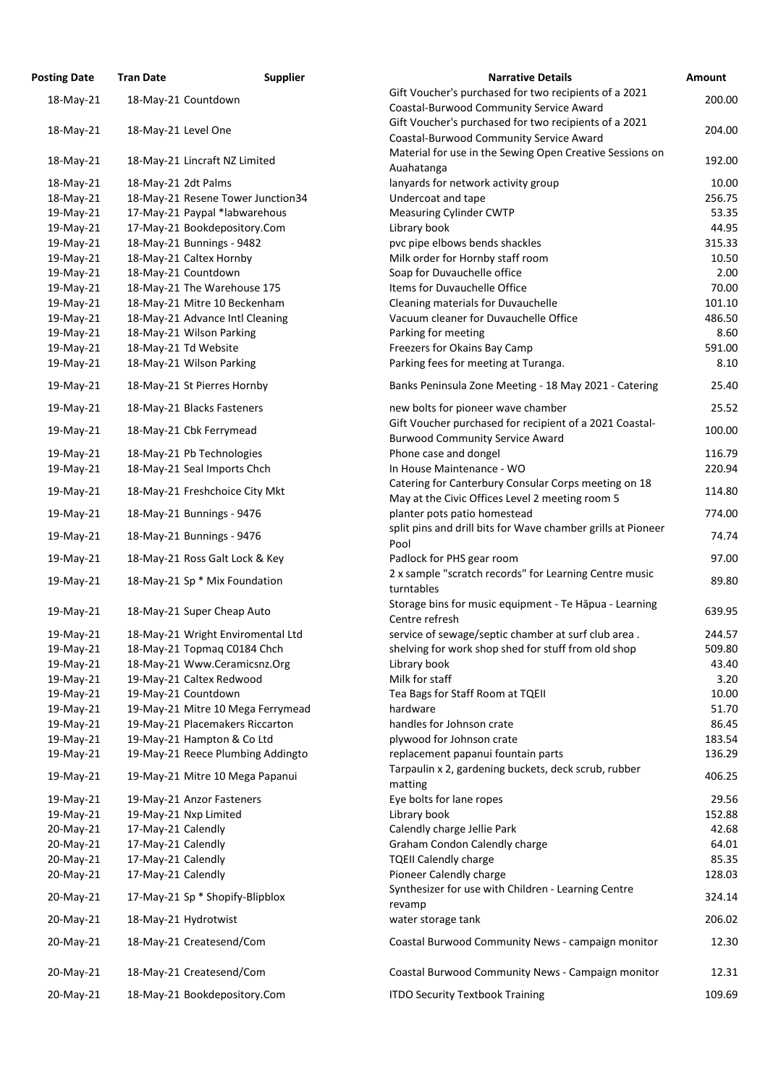| <b>Posting Date</b>    | <b>Tran Date</b>    | <b>Supplier</b>                   | <b>Narrative Details</b>                                             | <b>Amount</b>   |
|------------------------|---------------------|-----------------------------------|----------------------------------------------------------------------|-----------------|
| 18-May-21              |                     | 18-May-21 Countdown               | Gift Voucher's purchased for two recipients of a 2021                | 200.00          |
|                        |                     |                                   | Coastal-Burwood Community Service Award                              |                 |
| 18-May-21              | 18-May-21 Level One |                                   | Gift Voucher's purchased for two recipients of a 2021                | 204.00          |
|                        |                     |                                   | Coastal-Burwood Community Service Award                              |                 |
| 18-May-21              |                     | 18-May-21 Lincraft NZ Limited     | Material for use in the Sewing Open Creative Sessions on             | 192.00          |
|                        |                     |                                   | Auahatanga                                                           |                 |
| 18-May-21<br>18-May-21 | 18-May-21 2dt Palms | 18-May-21 Resene Tower Junction34 | lanyards for network activity group<br>Undercoat and tape            | 10.00<br>256.75 |
| 19-May-21              |                     | 17-May-21 Paypal *labwarehous     | <b>Measuring Cylinder CWTP</b>                                       | 53.35           |
| 19-May-21              |                     | 17-May-21 Bookdepository.Com      | Library book                                                         | 44.95           |
| 19-May-21              |                     | 18-May-21 Bunnings - 9482         | pvc pipe elbows bends shackles                                       | 315.33          |
| 19-May-21              |                     | 18-May-21 Caltex Hornby           | Milk order for Hornby staff room                                     | 10.50           |
| 19-May-21              |                     | 18-May-21 Countdown               | Soap for Duvauchelle office                                          | 2.00            |
| 19-May-21              |                     | 18-May-21 The Warehouse 175       | <b>Items for Duvauchelle Office</b>                                  | 70.00           |
| 19-May-21              |                     | 18-May-21 Mitre 10 Beckenham      | Cleaning materials for Duvauchelle                                   | 101.10          |
| 19-May-21              |                     | 18-May-21 Advance Intl Cleaning   | Vacuum cleaner for Duvauchelle Office                                | 486.50          |
| 19-May-21              |                     | 18-May-21 Wilson Parking          | Parking for meeting                                                  | 8.60            |
| 19-May-21              |                     | 18-May-21 Td Website              | Freezers for Okains Bay Camp                                         | 591.00          |
| 19-May-21              |                     | 18-May-21 Wilson Parking          | Parking fees for meeting at Turanga.                                 | 8.10            |
| 19-May-21              |                     | 18-May-21 St Pierres Hornby       | Banks Peninsula Zone Meeting - 18 May 2021 - Catering                | 25.40           |
| 19-May-21              |                     | 18-May-21 Blacks Fasteners        | new bolts for pioneer wave chamber                                   | 25.52           |
|                        |                     |                                   | Gift Voucher purchased for recipient of a 2021 Coastal-              |                 |
| 19-May-21              |                     | 18-May-21 Cbk Ferrymead           | <b>Burwood Community Service Award</b>                               | 100.00          |
| 19-May-21              |                     | 18-May-21 Pb Technologies         | Phone case and dongel                                                | 116.79          |
| 19-May-21              |                     | 18-May-21 Seal Imports Chch       | In House Maintenance - WO                                            | 220.94          |
|                        |                     | 18-May-21 Freshchoice City Mkt    | Catering for Canterbury Consular Corps meeting on 18                 | 114.80          |
| 19-May-21              |                     |                                   | May at the Civic Offices Level 2 meeting room 5                      |                 |
| 19-May-21              |                     | 18-May-21 Bunnings - 9476         | planter pots patio homestead                                         | 774.00          |
| 19-May-21              |                     | 18-May-21 Bunnings - 9476         | split pins and drill bits for Wave chamber grills at Pioneer<br>Pool | 74.74           |
| 19-May-21              |                     | 18-May-21 Ross Galt Lock & Key    | Padlock for PHS gear room                                            | 97.00           |
| 19-May-21              |                     | 18-May-21 Sp * Mix Foundation     | 2 x sample "scratch records" for Learning Centre music<br>turntables | 89.80           |
| 19-May-21              |                     | 18-May-21 Super Cheap Auto        | Storage bins for music equipment - Te Hapua - Learning               | 639.95          |
|                        |                     |                                   | Centre refresh                                                       |                 |
| 19-May-21              |                     | 18-May-21 Wright Enviromental Ltd | service of sewage/septic chamber at surf club area.                  | 244.57          |
| 19-May-21              |                     | 18-May-21 Topmag C0184 Chch       | shelving for work shop shed for stuff from old shop                  | 509.80          |
| 19-May-21              |                     | 18-May-21 Www.Ceramicsnz.Org      | Library book                                                         | 43.40           |
| 19-May-21              |                     | 19-May-21 Caltex Redwood          | Milk for staff                                                       | 3.20            |
| 19-May-21              |                     | 19-May-21 Countdown               | Tea Bags for Staff Room at TQEII                                     | 10.00           |
| 19-May-21              |                     | 19-May-21 Mitre 10 Mega Ferrymead | hardware                                                             | 51.70           |
| 19-May-21              |                     | 19-May-21 Placemakers Riccarton   | handles for Johnson crate                                            | 86.45           |
| 19-May-21              |                     | 19-May-21 Hampton & Co Ltd        | plywood for Johnson crate                                            | 183.54          |
| 19-May-21              |                     | 19-May-21 Reece Plumbing Addingto | replacement papanui fountain parts                                   | 136.29          |
| 19-May-21              |                     | 19-May-21 Mitre 10 Mega Papanui   | Tarpaulin x 2, gardening buckets, deck scrub, rubber<br>matting      | 406.25          |
| 19-May-21              |                     | 19-May-21 Anzor Fasteners         | Eye bolts for lane ropes                                             | 29.56           |
| 19-May-21              |                     | 19-May-21 Nxp Limited             | Library book                                                         | 152.88          |
| 20-May-21              | 17-May-21 Calendly  |                                   | Calendly charge Jellie Park                                          | 42.68           |
| 20-May-21              | 17-May-21 Calendly  |                                   | <b>Graham Condon Calendly charge</b>                                 | 64.01           |
| 20-May-21              | 17-May-21 Calendly  |                                   | <b>TQEII Calendly charge</b>                                         | 85.35           |
| 20-May-21              | 17-May-21 Calendly  |                                   | Pioneer Calendly charge                                              | 128.03          |
| 20-May-21              |                     | 17-May-21 Sp * Shopify-Blipblox   | Synthesizer for use with Children - Learning Centre                  | 324.14          |
| 20-May-21              |                     | 18-May-21 Hydrotwist              | revamp<br>water storage tank                                         | 206.02          |
| 20-May-21              |                     | 18-May-21 Createsend/Com          | Coastal Burwood Community News - campaign monitor                    | 12.30           |
| 20-May-21              |                     | 18-May-21 Createsend/Com          | Coastal Burwood Community News - Campaign monitor                    | 12.31           |
| 20-May-21              |                     | 18-May-21 Bookdepository.Com      | <b>ITDO Security Textbook Training</b>                               | 109.69          |
|                        |                     |                                   |                                                                      |                 |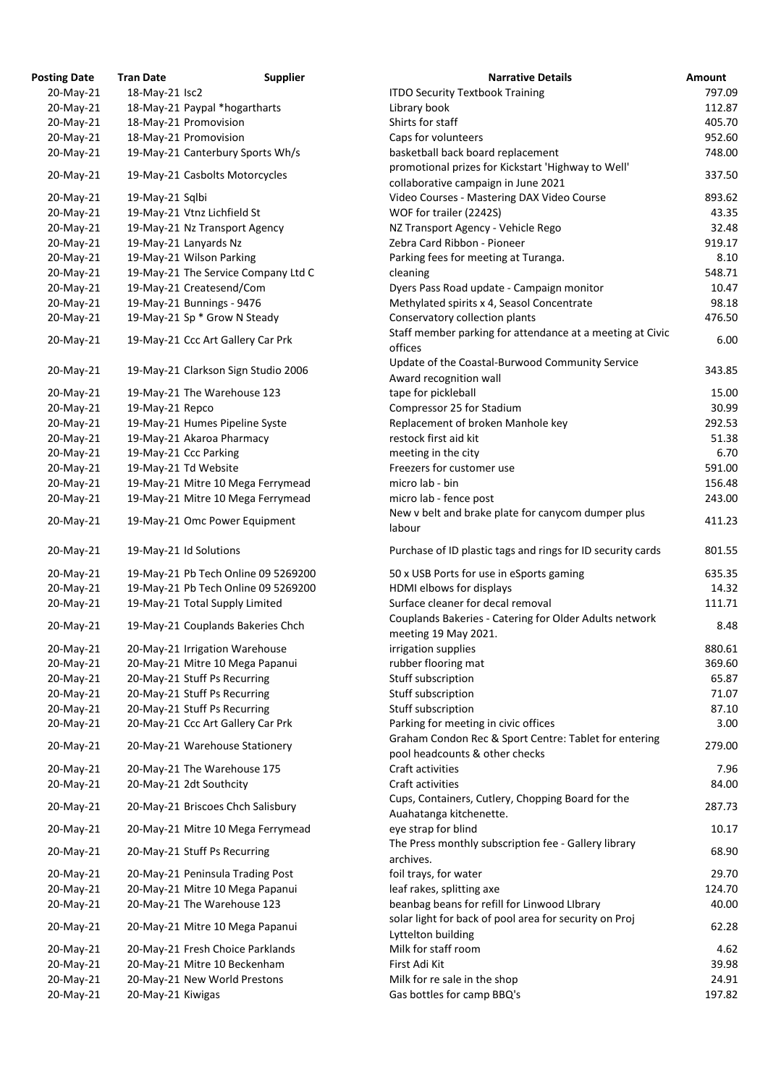| osting Date | <b>Tran Date</b>  | <b>Supplier</b>                     | <b>Narrative Details</b>                                 |
|-------------|-------------------|-------------------------------------|----------------------------------------------------------|
| 20-May-21   | 18-May-21 Isc2    |                                     | <b>ITDO Security Textbook Training</b>                   |
| 20-May-21   |                   | 18-May-21 Paypal *hogartharts       | Library book                                             |
| 20-May-21   |                   | 18-May-21 Promovision               | Shirts for staff                                         |
| 20-May-21   |                   | 18-May-21 Promovision               | Caps for volunteers                                      |
| 20-May-21   |                   | 19-May-21 Canterbury Sports Wh/s    | basketball back board replacement                        |
|             |                   |                                     | promotional prizes for Kickstart 'Highway to Well'       |
| 20-May-21   |                   | 19-May-21 Casbolts Motorcycles      | collaborative campaign in June 2021                      |
| 20-May-21   | 19-May-21 Sqlbi   |                                     | Video Courses - Mastering DAX Video Course               |
| 20-May-21   |                   | 19-May-21 Vtnz Lichfield St         | WOF for trailer (2242S)                                  |
| 20-May-21   |                   | 19-May-21 Nz Transport Agency       | NZ Transport Agency - Vehicle Rego                       |
| 20-May-21   |                   | 19-May-21 Lanyards Nz               | Zebra Card Ribbon - Pioneer                              |
| 20-May-21   |                   | 19-May-21 Wilson Parking            | Parking fees for meeting at Turanga.                     |
| 20-May-21   |                   | 19-May-21 The Service Company Ltd C | cleaning                                                 |
| 20-May-21   |                   | 19-May-21 Createsend/Com            | Dyers Pass Road update - Campaign monitor                |
|             |                   |                                     | Methylated spirits x 4, Seasol Concentrate               |
| 20-May-21   |                   | 19-May-21 Bunnings - 9476           |                                                          |
| 20-May-21   |                   | 19-May-21 Sp * Grow N Steady        | Conservatory collection plants                           |
| 20-May-21   |                   | 19-May-21 Ccc Art Gallery Car Prk   | Staff member parking for attendance at a meeting at      |
|             |                   |                                     | offices                                                  |
| 20-May-21   |                   | 19-May-21 Clarkson Sign Studio 2006 | Update of the Coastal-Burwood Community Service          |
|             |                   |                                     | Award recognition wall                                   |
| 20-May-21   |                   | 19-May-21 The Warehouse 123         | tape for pickleball                                      |
| 20-May-21   | 19-May-21 Repco   |                                     | Compressor 25 for Stadium                                |
| 20-May-21   |                   | 19-May-21 Humes Pipeline Syste      | Replacement of broken Manhole key                        |
| 20-May-21   |                   | 19-May-21 Akaroa Pharmacy           | restock first aid kit                                    |
| 20-May-21   |                   | 19-May-21 Ccc Parking               | meeting in the city                                      |
| 20-May-21   |                   | 19-May-21 Td Website                | Freezers for customer use                                |
| 20-May-21   |                   | 19-May-21 Mitre 10 Mega Ferrymead   | micro lab - bin                                          |
| 20-May-21   |                   | 19-May-21 Mitre 10 Mega Ferrymead   | micro lab - fence post                                   |
|             |                   |                                     | New v belt and brake plate for canycom dumper plus       |
| 20-May-21   |                   | 19-May-21 Omc Power Equipment       | labour                                                   |
| 20-May-21   |                   | 19-May-21 Id Solutions              | Purchase of ID plastic tags and rings for ID security ca |
| 20-May-21   |                   | 19-May-21 Pb Tech Online 09 5269200 | 50 x USB Ports for use in eSports gaming                 |
| 20-May-21   |                   | 19-May-21 Pb Tech Online 09 5269200 | HDMI elbows for displays                                 |
| 20-May-21   |                   | 19-May-21 Total Supply Limited      | Surface cleaner for decal removal                        |
|             |                   |                                     | Couplands Bakeries - Catering for Older Adults netwo     |
| 20-May-21   |                   | 19-May-21 Couplands Bakeries Chch   | meeting 19 May 2021.                                     |
|             |                   | 20-May-21 Irrigation Warehouse      | irrigation supplies                                      |
| 20-May-21   |                   |                                     |                                                          |
| 20-May-21   |                   | 20-May-21 Mitre 10 Mega Papanui     | rubber flooring mat                                      |
| 20-May-21   |                   | 20-May-21 Stuff Ps Recurring        | Stuff subscription                                       |
| 20-May-21   |                   | 20-May-21 Stuff Ps Recurring        | Stuff subscription                                       |
| 20-May-21   |                   | 20-May-21 Stuff Ps Recurring        | Stuff subscription                                       |
| 20-May-21   |                   | 20-May-21 Ccc Art Gallery Car Prk   | Parking for meeting in civic offices                     |
| 20-May-21   |                   | 20-May-21 Warehouse Stationery      | Graham Condon Rec & Sport Centre: Tablet for enteri      |
|             |                   |                                     | pool headcounts & other checks                           |
| 20-May-21   |                   | 20-May-21 The Warehouse 175         | Craft activities                                         |
| 20-May-21   |                   | 20-May-21 2dt Southcity             | Craft activities                                         |
| 20-May-21   |                   | 20-May-21 Briscoes Chch Salisbury   | Cups, Containers, Cutlery, Chopping Board for the        |
|             |                   |                                     | Auahatanga kitchenette.                                  |
| 20-May-21   |                   | 20-May-21 Mitre 10 Mega Ferrymead   | eye strap for blind                                      |
| 20-May-21   |                   | 20-May-21 Stuff Ps Recurring        | The Press monthly subscription fee - Gallery library     |
|             |                   |                                     | archives.                                                |
| 20-May-21   |                   | 20-May-21 Peninsula Trading Post    | foil trays, for water                                    |
| 20-May-21   |                   | 20-May-21 Mitre 10 Mega Papanui     | leaf rakes, splitting axe                                |
| 20-May-21   |                   | 20-May-21 The Warehouse 123         | beanbag beans for refill for Linwood LIbrary             |
|             |                   |                                     | solar light for back of pool area for security on Proj   |
| 20-May-21   |                   | 20-May-21 Mitre 10 Mega Papanui     | Lyttelton building                                       |
| 20-May-21   |                   | 20-May-21 Fresh Choice Parklands    | Milk for staff room                                      |
| 20-May-21   |                   | 20-May-21 Mitre 10 Beckenham        | First Adi Kit                                            |
| 20-May-21   |                   | 20-May-21 New World Prestons        | Milk for re sale in the shop                             |
| 20-May-21   | 20-May-21 Kiwigas |                                     | Gas bottles for camp BBO's                               |

| <b>Posting Date</b> | <b>Tran Date</b>  | <b>Supplier</b>                     | <b>Narrative Details</b>                                                                               | Amount |
|---------------------|-------------------|-------------------------------------|--------------------------------------------------------------------------------------------------------|--------|
| 20-May-21           | 18-May-21 Isc2    |                                     | <b>ITDO Security Textbook Training</b>                                                                 | 797.09 |
| 20-May-21           |                   | 18-May-21 Paypal *hogartharts       | Library book                                                                                           | 112.87 |
| 20-May-21           |                   | 18-May-21 Promovision               | Shirts for staff                                                                                       | 405.70 |
| 20-May-21           |                   | 18-May-21 Promovision               | Caps for volunteers                                                                                    | 952.60 |
| 20-May-21           |                   | 19-May-21 Canterbury Sports Wh/s    | basketball back board replacement                                                                      | 748.00 |
|                     |                   |                                     | promotional prizes for Kickstart 'Highway to Well'                                                     |        |
| 20-May-21           |                   | 19-May-21 Casbolts Motorcycles      | collaborative campaign in June 2021                                                                    | 337.50 |
| 20-May-21           | 19-May-21 Sqlbi   |                                     | Video Courses - Mastering DAX Video Course                                                             | 893.62 |
| 20-May-21           |                   | 19-May-21 Vtnz Lichfield St         | WOF for trailer (2242S)                                                                                | 43.35  |
| 20-May-21           |                   | 19-May-21 Nz Transport Agency       | NZ Transport Agency - Vehicle Rego                                                                     | 32.48  |
| 20-May-21           |                   | 19-May-21 Lanyards Nz               | Zebra Card Ribbon - Pioneer                                                                            | 919.17 |
| 20-May-21           |                   | 19-May-21 Wilson Parking            | Parking fees for meeting at Turanga.                                                                   | 8.10   |
| 20-May-21           |                   | 19-May-21 The Service Company Ltd C | cleaning                                                                                               | 548.71 |
| 20-May-21           |                   | 19-May-21 Createsend/Com            | Dyers Pass Road update - Campaign monitor                                                              | 10.47  |
| 20-May-21           |                   | 19-May-21 Bunnings - 9476           | Methylated spirits x 4, Seasol Concentrate                                                             | 98.18  |
| 20-May-21           |                   | 19-May-21 Sp * Grow N Steady        | Conservatory collection plants                                                                         | 476.50 |
|                     |                   |                                     | Staff member parking for attendance at a meeting at Civic                                              |        |
| 20-May-21           |                   | 19-May-21 Ccc Art Gallery Car Prk   | offices                                                                                                | 6.00   |
| 20-May-21           |                   | 19-May-21 Clarkson Sign Studio 2006 | Update of the Coastal-Burwood Community Service                                                        | 343.85 |
|                     |                   |                                     | Award recognition wall                                                                                 |        |
| 20-May-21           |                   | 19-May-21 The Warehouse 123         | tape for pickleball                                                                                    | 15.00  |
| 20-May-21           | 19-May-21 Repco   |                                     | Compressor 25 for Stadium                                                                              | 30.99  |
| 20-May-21           |                   | 19-May-21 Humes Pipeline Syste      | Replacement of broken Manhole key                                                                      | 292.53 |
| 20-May-21           |                   | 19-May-21 Akaroa Pharmacy           | restock first aid kit                                                                                  | 51.38  |
| 20-May-21           |                   | 19-May-21 Ccc Parking               | meeting in the city                                                                                    | 6.70   |
| 20-May-21           |                   | 19-May-21 Td Website                | Freezers for customer use                                                                              | 591.00 |
| 20-May-21           |                   | 19-May-21 Mitre 10 Mega Ferrymead   | micro lab - bin                                                                                        | 156.48 |
| 20-May-21           |                   | 19-May-21 Mitre 10 Mega Ferrymead   | micro lab - fence post                                                                                 | 243.00 |
| 20-May-21           |                   | 19-May-21 Omc Power Equipment       | New v belt and brake plate for canycom dumper plus<br>labour                                           | 411.23 |
| 20-May-21           |                   | 19-May-21 Id Solutions              | Purchase of ID plastic tags and rings for ID security cards                                            | 801.55 |
| 20-May-21           |                   | 19-May-21 Pb Tech Online 09 5269200 | 50 x USB Ports for use in eSports gaming                                                               | 635.35 |
| 20-May-21           |                   | 19-May-21 Pb Tech Online 09 5269200 | HDMI elbows for displays                                                                               | 14.32  |
| 20-May-21           |                   | 19-May-21 Total Supply Limited      | Surface cleaner for decal removal                                                                      | 111.71 |
|                     |                   |                                     | Couplands Bakeries - Catering for Older Adults network                                                 |        |
| 20-May-21           |                   | 19-May-21 Couplands Bakeries Chch   | meeting 19 May 2021.                                                                                   | 8.48   |
|                     |                   |                                     |                                                                                                        | 880.61 |
| 20-May-21           |                   | 20-May-21 Irrigation Warehouse      | irrigation supplies                                                                                    |        |
| 20-May-21           |                   | 20-May-21 Mitre 10 Mega Papanui     | rubber flooring mat                                                                                    | 369.60 |
| 20-May-21           |                   | 20-May-21 Stuff Ps Recurring        | Stuff subscription                                                                                     | 65.87  |
| 20-May-21           |                   | 20-May-21 Stuff Ps Recurring        | Stuff subscription                                                                                     | 71.07  |
| 20-May-21           |                   | 20-May-21 Stuff Ps Recurring        | Stuff subscription                                                                                     | 87.10  |
| 20-May-21           |                   | 20-May-21 Ccc Art Gallery Car Prk   | Parking for meeting in civic offices                                                                   | 3.00   |
| 20-May-21           |                   | 20-May-21 Warehouse Stationery      | Graham Condon Rec & Sport Centre: Tablet for entering<br>pool headcounts & other checks                | 279.00 |
| 20-May-21           |                   | 20-May-21 The Warehouse 175         | Craft activities                                                                                       | 7.96   |
| 20-May-21           |                   | 20-May-21 2dt Southcity             | Craft activities                                                                                       | 84.00  |
| 20-May-21           |                   | 20-May-21 Briscoes Chch Salisbury   | Cups, Containers, Cutlery, Chopping Board for the<br>Auahatanga kitchenette.                           | 287.73 |
| 20-May-21           |                   | 20-May-21 Mitre 10 Mega Ferrymead   | eye strap for blind                                                                                    | 10.17  |
| 20-May-21           |                   | 20-May-21 Stuff Ps Recurring        | The Press monthly subscription fee - Gallery library<br>archives.                                      | 68.90  |
| 20-May-21           |                   | 20-May-21 Peninsula Trading Post    | foil trays, for water                                                                                  | 29.70  |
| 20-May-21           |                   | 20-May-21 Mitre 10 Mega Papanui     | leaf rakes, splitting axe                                                                              | 124.70 |
| 20-May-21           |                   | 20-May-21 The Warehouse 123         | beanbag beans for refill for Linwood LIbrary<br>solar light for back of pool area for security on Proj | 40.00  |
| 20-May-21           |                   | 20-May-21 Mitre 10 Mega Papanui     | Lyttelton building                                                                                     | 62.28  |
| 20-May-21           |                   | 20-May-21 Fresh Choice Parklands    | Milk for staff room                                                                                    | 4.62   |
| 20-May-21           |                   | 20-May-21 Mitre 10 Beckenham        | First Adi Kit                                                                                          | 39.98  |
| 20-May-21           |                   | 20-May-21 New World Prestons        | Milk for re sale in the shop                                                                           | 24.91  |
| 20-May-21           | 20-May-21 Kiwigas |                                     | Gas bottles for camp BBQ's                                                                             | 197.82 |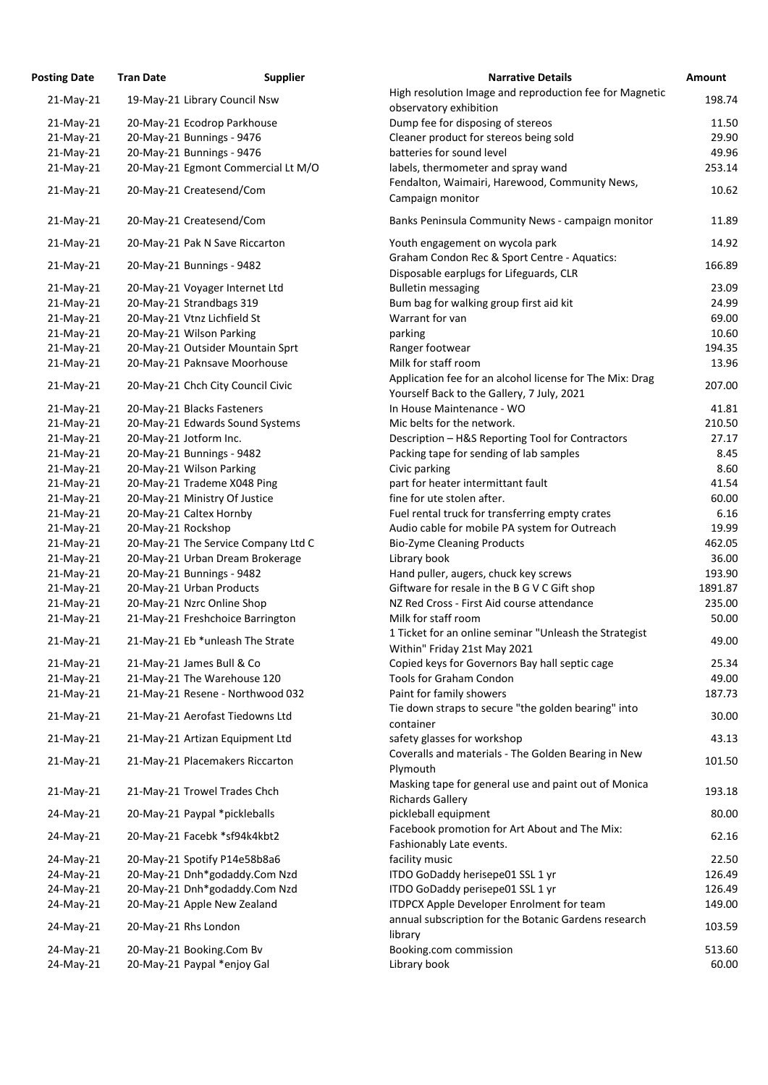| osting Date  | <b>Tran Date</b>                    | <b>Supplier</b> | <b>Narrative Details</b>                                                                |
|--------------|-------------------------------------|-----------------|-----------------------------------------------------------------------------------------|
| $21$ -May-21 | 19-May-21 Library Council Nsw       |                 | High resolution Image and reproduction fee for Magnetic                                 |
|              |                                     |                 | observatory exhibition                                                                  |
| 21-May-21    | 20-May-21 Ecodrop Parkhouse         |                 | Dump fee for disposing of stereos                                                       |
| $21$ -May-21 | 20-May-21 Bunnings - 9476           |                 | Cleaner product for stereos being sold                                                  |
| $21$ -May-21 | 20-May-21 Bunnings - 9476           |                 | batteries for sound level                                                               |
| $21$ -May-21 | 20-May-21 Egmont Commercial Lt M/O  |                 | labels, thermometer and spray wand                                                      |
| 21-May-21    | 20-May-21 Createsend/Com            |                 | Fendalton, Waimairi, Harewood, Community News,                                          |
|              |                                     |                 | Campaign monitor                                                                        |
| $21$ -May-21 | 20-May-21 Createsend/Com            |                 | Banks Peninsula Community News - campaign monitor                                       |
| $21$ -May-21 | 20-May-21 Pak N Save Riccarton      |                 | Youth engagement on wycola park                                                         |
| $21$ -May-21 | 20-May-21 Bunnings - 9482           |                 | Graham Condon Rec & Sport Centre - Aquatics:<br>Disposable earplugs for Lifeguards, CLR |
| 21-May-21    | 20-May-21 Voyager Internet Ltd      |                 | <b>Bulletin messaging</b>                                                               |
| $21$ -May-21 | 20-May-21 Strandbags 319            |                 | Bum bag for walking group first aid kit                                                 |
| $21$ -May-21 | 20-May-21 Vtnz Lichfield St         |                 | Warrant for van                                                                         |
| $21$ -May-21 | 20-May-21 Wilson Parking            |                 | parking                                                                                 |
| $21$ -May-21 | 20-May-21 Outsider Mountain Sprt    |                 | Ranger footwear                                                                         |
| $21$ -May-21 | 20-May-21 Paknsave Moorhouse        |                 | Milk for staff room                                                                     |
|              |                                     |                 | Application fee for an alcohol license for The Mix: Drag                                |
| $21$ -May-21 | 20-May-21 Chch City Council Civic   |                 | Yourself Back to the Gallery, 7 July, 2021                                              |
| 21-May-21    | 20-May-21 Blacks Fasteners          |                 | In House Maintenance - WO                                                               |
| 21-May-21    | 20-May-21 Edwards Sound Systems     |                 | Mic belts for the network.                                                              |
| $21$ -May-21 | 20-May-21 Jotform Inc.              |                 | Description - H&S Reporting Tool for Contractors                                        |
| 21-May-21    | 20-May-21 Bunnings - 9482           |                 | Packing tape for sending of lab samples                                                 |
| 21-May-21    | 20-May-21 Wilson Parking            |                 | Civic parking                                                                           |
| 21-May-21    | 20-May-21 Trademe X048 Ping         |                 | part for heater intermittant fault                                                      |
| 21-May-21    | 20-May-21 Ministry Of Justice       |                 | fine for ute stolen after.                                                              |
| 21-May-21    | 20-May-21 Caltex Hornby             |                 | Fuel rental truck for transferring empty crates                                         |
| $21$ -May-21 | 20-May-21 Rockshop                  |                 | Audio cable for mobile PA system for Outreach                                           |
| 21-May-21    | 20-May-21 The Service Company Ltd C |                 | <b>Bio-Zyme Cleaning Products</b>                                                       |
| 21-May-21    | 20-May-21 Urban Dream Brokerage     |                 | Library book                                                                            |
| 21-May-21    | 20-May-21 Bunnings - 9482           |                 | Hand puller, augers, chuck key screws                                                   |
| $21$ -May-21 | 20-May-21 Urban Products            |                 | Giftware for resale in the B G V C Gift shop                                            |
| 21-May-21    | 20-May-21 Nzrc Online Shop          |                 | NZ Red Cross - First Aid course attendance                                              |
| 21-May-21    | 21-May-21 Freshchoice Barrington    |                 | Milk for staff room                                                                     |
| $21$ -May-21 | 21-May-21 Eb *unleash The Strate    |                 | 1 Ticket for an online seminar "Unleash the Strategist                                  |
|              |                                     |                 | Within" Friday 21st May 2021                                                            |
| 21-May-21    | 21-May-21 James Bull & Co           |                 | Copied keys for Governors Bay hall septic cage                                          |
| 21-May-21    | 21-May-21 The Warehouse 120         |                 | <b>Tools for Graham Condon</b>                                                          |
| $21$ -May-21 | 21-May-21 Resene - Northwood 032    |                 | Paint for family showers                                                                |
| 21-May-21    | 21-May-21 Aerofast Tiedowns Ltd     |                 | Tie down straps to secure "the golden bearing" into                                     |
|              |                                     |                 | container                                                                               |
| $21$ -May-21 | 21-May-21 Artizan Equipment Ltd     |                 | safety glasses for workshop                                                             |
| 21-May-21    | 21-May-21 Placemakers Riccarton     |                 | Coveralls and materials - The Golden Bearing in New<br>Plymouth                         |
| $21$ -May-21 | 21-May-21 Trowel Trades Chch        |                 | Masking tape for general use and paint out of Monica<br><b>Richards Gallery</b>         |
| 24-May-21    | 20-May-21 Paypal *pickleballs       |                 | pickleball equipment                                                                    |
| 24-May-21    | 20-May-21 Facebk *sf94k4kbt2        |                 | Facebook promotion for Art About and The Mix:                                           |
|              |                                     |                 | Fashionably Late events.<br>facility music                                              |
| 24-May-21    | 20-May-21 Spotify P14e58b8a6        |                 |                                                                                         |
| 24-May-21    | 20-May-21 Dnh*godaddy.Com Nzd       |                 | ITDO GoDaddy herisepe01 SSL 1 yr                                                        |
| 24-May-21    | 20-May-21 Dnh*godaddy.Com Nzd       |                 | ITDO GoDaddy perisepe01 SSL 1 yr                                                        |
| 24-May-21    | 20-May-21 Apple New Zealand         |                 | ITDPCX Apple Developer Enrolment for team                                               |
| 24-May-21    | 20-May-21 Rhs London                |                 | annual subscription for the Botanic Gardens research<br>library                         |
| 24-May-21    | 20-May-21 Booking.Com Bv            |                 | Booking.com commission                                                                  |
| 24-May-21    | 20-May-21 Paypal *enjoy Gal         |                 | Library book                                                                            |

| <b>Posting Date</b> | <b>Tran Date</b>   | <b>Supplier</b>                     | <b>Narrative Details</b>                                                                               | <b>Amount</b> |
|---------------------|--------------------|-------------------------------------|--------------------------------------------------------------------------------------------------------|---------------|
| $21$ -May-21        |                    | 19-May-21 Library Council Nsw       | High resolution Image and reproduction fee for Magnetic<br>observatory exhibition                      | 198.74        |
| $21-May-21$         |                    | 20-May-21 Ecodrop Parkhouse         | Dump fee for disposing of stereos                                                                      | 11.50         |
| 21-May-21           |                    | 20-May-21 Bunnings - 9476           | Cleaner product for stereos being sold                                                                 | 29.90         |
| 21-May-21           |                    | 20-May-21 Bunnings - 9476           | batteries for sound level                                                                              | 49.96         |
| $21$ -May-21        |                    | 20-May-21 Egmont Commercial Lt M/O  | labels, thermometer and spray wand                                                                     | 253.14        |
|                     |                    |                                     | Fendalton, Waimairi, Harewood, Community News,                                                         |               |
| $21$ -May-21        |                    | 20-May-21 Createsend/Com            | Campaign monitor                                                                                       | 10.62         |
| 21-May-21           |                    | 20-May-21 Createsend/Com            | Banks Peninsula Community News - campaign monitor                                                      | 11.89         |
| $21$ -May-21        |                    | 20-May-21 Pak N Save Riccarton      | Youth engagement on wycola park                                                                        | 14.92         |
| $21-May-21$         |                    | 20-May-21 Bunnings - 9482           | Graham Condon Rec & Sport Centre - Aquatics:<br>Disposable earplugs for Lifeguards, CLR                | 166.89        |
| $21-May-21$         |                    | 20-May-21 Voyager Internet Ltd      | <b>Bulletin messaging</b>                                                                              | 23.09         |
| $21$ -May-21        |                    | 20-May-21 Strandbags 319            | Bum bag for walking group first aid kit                                                                | 24.99         |
| $21-May-21$         |                    | 20-May-21 Vtnz Lichfield St         | Warrant for van                                                                                        | 69.00         |
| $21$ -May-21        |                    | 20-May-21 Wilson Parking            | parking                                                                                                | 10.60         |
| $21$ -May-21        |                    | 20-May-21 Outsider Mountain Sprt    | Ranger footwear                                                                                        | 194.35        |
|                     |                    |                                     |                                                                                                        |               |
| $21$ -May-21        |                    | 20-May-21 Paknsave Moorhouse        | Milk for staff room                                                                                    | 13.96         |
| $21$ -May-21        |                    | 20-May-21 Chch City Council Civic   | Application fee for an alcohol license for The Mix: Drag<br>Yourself Back to the Gallery, 7 July, 2021 | 207.00        |
| $21-May-21$         |                    | 20-May-21 Blacks Fasteners          | In House Maintenance - WO                                                                              | 41.81         |
| 21-May-21           |                    | 20-May-21 Edwards Sound Systems     | Mic belts for the network.                                                                             | 210.50        |
| 21-May-21           |                    | 20-May-21 Jotform Inc.              | Description - H&S Reporting Tool for Contractors                                                       | 27.17         |
| $21$ -May-21        |                    | 20-May-21 Bunnings - 9482           | Packing tape for sending of lab samples                                                                | 8.45          |
| 21-May-21           |                    | 20-May-21 Wilson Parking            | Civic parking                                                                                          | 8.60          |
| $21$ -May-21        |                    | 20-May-21 Trademe X048 Ping         | part for heater intermittant fault                                                                     | 41.54         |
| $21$ -May-21        |                    | 20-May-21 Ministry Of Justice       | fine for ute stolen after.                                                                             | 60.00         |
|                     |                    |                                     |                                                                                                        |               |
| 21-May-21           |                    | 20-May-21 Caltex Hornby             | Fuel rental truck for transferring empty crates                                                        | 6.16          |
| $21$ -May-21        | 20-May-21 Rockshop |                                     | Audio cable for mobile PA system for Outreach                                                          | 19.99         |
| $21-May-21$         |                    | 20-May-21 The Service Company Ltd C | <b>Bio-Zyme Cleaning Products</b>                                                                      | 462.05        |
| $21$ -May-21        |                    | 20-May-21 Urban Dream Brokerage     | Library book                                                                                           | 36.00         |
| $21-May-21$         |                    | 20-May-21 Bunnings - 9482           | Hand puller, augers, chuck key screws                                                                  | 193.90        |
| 21-May-21           |                    | 20-May-21 Urban Products            | Giftware for resale in the B G V C Gift shop                                                           | 1891.87       |
| 21-May-21           |                    | 20-May-21 Nzrc Online Shop          | NZ Red Cross - First Aid course attendance                                                             | 235.00        |
| $21$ -May-21        |                    | 21-May-21 Freshchoice Barrington    | Milk for staff room                                                                                    | 50.00         |
| $21$ -May-21        |                    | 21-May-21 Eb *unleash The Strate    | 1 Ticket for an online seminar "Unleash the Strategist<br>Within" Friday 21st May 2021                 | 49.00         |
| $21$ -May-21        |                    | 21-May-21 James Bull & Co           | Copied keys for Governors Bay hall septic cage                                                         | 25.34         |
| $21$ -May-21        |                    | 21-May-21 The Warehouse 120         | <b>Tools for Graham Condon</b>                                                                         | 49.00         |
| $21$ -May-21        |                    | 21-May-21 Resene - Northwood 032    | Paint for family showers                                                                               | 187.73        |
| $21$ -May-21        |                    | 21-May-21 Aerofast Tiedowns Ltd     | Tie down straps to secure "the golden bearing" into<br>container                                       | 30.00         |
| $21$ -May-21        |                    | 21-May-21 Artizan Equipment Ltd     | safety glasses for workshop                                                                            | 43.13         |
| $21$ -May-21        |                    | 21-May-21 Placemakers Riccarton     | Coveralls and materials - The Golden Bearing in New<br>Plymouth                                        | 101.50        |
| $21$ -May-21        |                    | 21-May-21 Trowel Trades Chch        | Masking tape for general use and paint out of Monica<br><b>Richards Gallery</b>                        | 193.18        |
| 24-May-21           |                    | 20-May-21 Paypal *pickleballs       | pickleball equipment                                                                                   | 80.00         |
| 24-May-21           |                    | 20-May-21 Facebk *sf94k4kbt2        | Facebook promotion for Art About and The Mix:<br>Fashionably Late events.                              | 62.16         |
| 24-May-21           |                    | 20-May-21 Spotify P14e58b8a6        | facility music                                                                                         | 22.50         |
| 24-May-21           |                    | 20-May-21 Dnh*godaddy.Com Nzd       | ITDO GoDaddy herisepe01 SSL 1 yr                                                                       | 126.49        |
| 24-May-21           |                    | 20-May-21 Dnh*godaddy.Com Nzd       | ITDO GoDaddy perisepe01 SSL 1 yr                                                                       | 126.49        |
| 24-May-21           |                    | 20-May-21 Apple New Zealand         | ITDPCX Apple Developer Enrolment for team                                                              | 149.00        |
| 24-May-21           |                    | 20-May-21 Rhs London                | annual subscription for the Botanic Gardens research<br>library                                        | 103.59        |
| 24-May-21           |                    | 20-May-21 Booking.Com Bv            | Booking.com commission                                                                                 | 513.60        |
|                     |                    |                                     |                                                                                                        |               |
| 24-May-21           |                    | 20-May-21 Paypal *enjoy Gal         | Library book                                                                                           | 60.00         |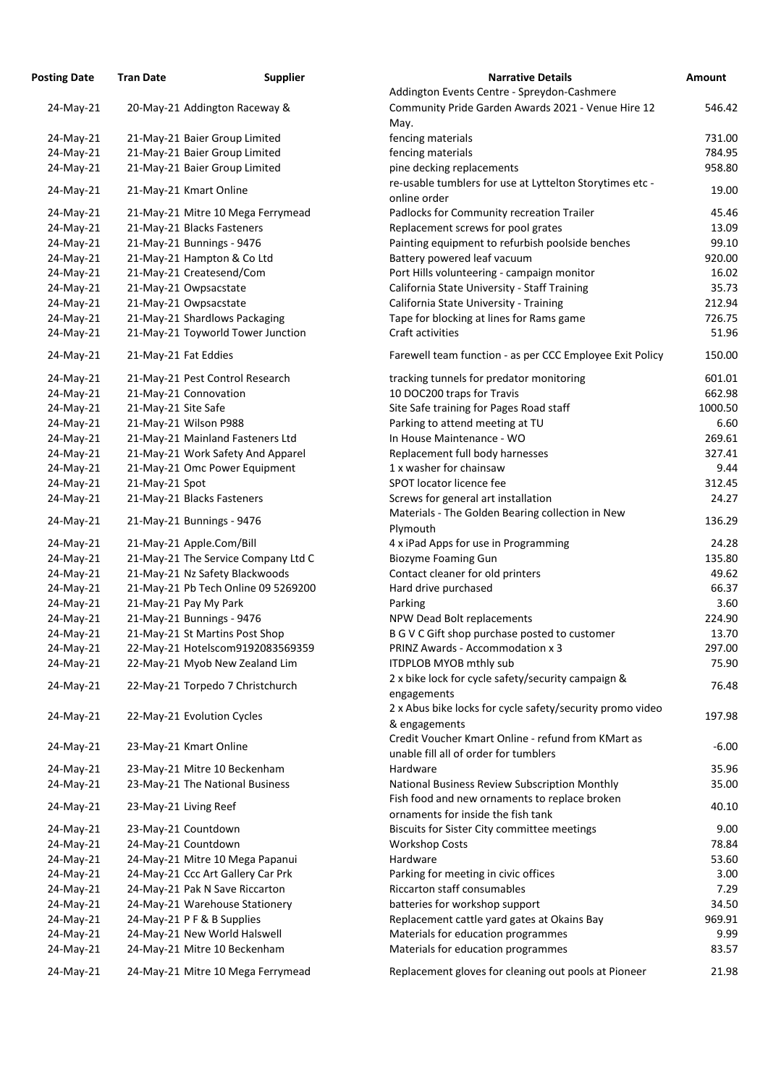| osting Date | <b>Tran Date</b>     | <b>Supplier</b>                     | <b>Narrative Details</b>                                                          |
|-------------|----------------------|-------------------------------------|-----------------------------------------------------------------------------------|
|             |                      |                                     | Addington Events Centre - Spreydon-Cashmere                                       |
| 24-May-21   |                      | 20-May-21 Addington Raceway &       | Community Pride Garden Awards 2021 - Venue Hire                                   |
|             |                      |                                     | May.                                                                              |
| 24-May-21   |                      | 21-May-21 Baier Group Limited       | fencing materials                                                                 |
| 24-May-21   |                      | 21-May-21 Baier Group Limited       | fencing materials                                                                 |
| 24-May-21   |                      | 21-May-21 Baier Group Limited       | pine decking replacements                                                         |
| 24-May-21   |                      | 21-May-21 Kmart Online              | re-usable tumblers for use at Lyttelton Storytimes et                             |
|             |                      |                                     | online order                                                                      |
| 24-May-21   |                      | 21-May-21 Mitre 10 Mega Ferrymead   | Padlocks for Community recreation Trailer                                         |
| 24-May-21   |                      | 21-May-21 Blacks Fasteners          | Replacement screws for pool grates                                                |
| 24-May-21   |                      | 21-May-21 Bunnings - 9476           | Painting equipment to refurbish poolside benches                                  |
| 24-May-21   |                      | 21-May-21 Hampton & Co Ltd          | Battery powered leaf vacuum                                                       |
| 24-May-21   |                      | 21-May-21 Createsend/Com            | Port Hills volunteering - campaign monitor                                        |
| 24-May-21   |                      | 21-May-21 Owpsacstate               | California State University - Staff Training                                      |
| 24-May-21   |                      | 21-May-21 Owpsacstate               | California State University - Training                                            |
| 24-May-21   |                      | 21-May-21 Shardlows Packaging       | Tape for blocking at lines for Rams game                                          |
| 24-May-21   |                      | 21-May-21 Toyworld Tower Junction   | Craft activities                                                                  |
| 24-May-21   | 21-May-21 Fat Eddies |                                     | Farewell team function - as per CCC Employee Exit Po                              |
| 24-May-21   |                      | 21-May-21 Pest Control Research     | tracking tunnels for predator monitoring                                          |
| 24-May-21   |                      | 21-May-21 Connovation               | 10 DOC200 traps for Travis                                                        |
| 24-May-21   | 21-May-21 Site Safe  |                                     | Site Safe training for Pages Road staff                                           |
| 24-May-21   |                      | 21-May-21 Wilson P988               | Parking to attend meeting at TU                                                   |
| 24-May-21   |                      | 21-May-21 Mainland Fasteners Ltd    | In House Maintenance - WO                                                         |
| 24-May-21   |                      | 21-May-21 Work Safety And Apparel   | Replacement full body harnesses                                                   |
| 24-May-21   |                      | 21-May-21 Omc Power Equipment       | 1 x washer for chainsaw                                                           |
| 24-May-21   | 21-May-21 Spot       |                                     | SPOT locator licence fee                                                          |
| 24-May-21   |                      | 21-May-21 Blacks Fasteners          | Screws for general art installation                                               |
|             |                      |                                     | Materials - The Golden Bearing collection in New                                  |
| 24-May-21   |                      | 21-May-21 Bunnings - 9476           | Plymouth                                                                          |
| 24-May-21   |                      | 21-May-21 Apple.Com/Bill            | 4 x iPad Apps for use in Programming                                              |
| 24-May-21   |                      | 21-May-21 The Service Company Ltd C | <b>Biozyme Foaming Gun</b>                                                        |
| 24-May-21   |                      | 21-May-21 Nz Safety Blackwoods      | Contact cleaner for old printers                                                  |
| 24-May-21   |                      | 21-May-21 Pb Tech Online 09 5269200 | Hard drive purchased                                                              |
| 24-May-21   |                      | 21-May-21 Pay My Park               | Parking                                                                           |
| 24-May-21   |                      | 21-May-21 Bunnings - 9476           | NPW Dead Bolt replacements                                                        |
| 24-May-21   |                      | 21-May-21 St Martins Post Shop      | B G V C Gift shop purchase posted to customer                                     |
| 24-May-21   |                      | 22-May-21 Hotelscom9192083569359    | PRINZ Awards - Accommodation x 3                                                  |
| 24-May-21   |                      | 22-May-21 Myob New Zealand Lim      | <b>ITDPLOB MYOB mthly sub</b>                                                     |
|             |                      |                                     | 2 x bike lock for cycle safety/security campaign &                                |
| 24-May-21   |                      | 22-May-21 Torpedo 7 Christchurch    | engagements                                                                       |
|             |                      |                                     | 2 x Abus bike locks for cycle safety/security promo vi                            |
| 24-May-21   |                      | 22-May-21 Evolution Cycles          | & engagements                                                                     |
|             |                      |                                     | Credit Voucher Kmart Online - refund from KMart as                                |
| 24-May-21   |                      | 23-May-21 Kmart Online              | unable fill all of order for tumblers                                             |
| 24-May-21   |                      | 23-May-21 Mitre 10 Beckenham        | Hardware                                                                          |
| 24-May-21   |                      | 23-May-21 The National Business     | National Business Review Subscription Monthly                                     |
| 24-May-21   |                      | 23-May-21 Living Reef               | Fish food and new ornaments to replace broken                                     |
| 24-May-21   |                      | 23-May-21 Countdown                 | ornaments for inside the fish tank<br>Biscuits for Sister City committee meetings |
| 24-May-21   |                      | 24-May-21 Countdown                 | <b>Workshop Costs</b>                                                             |
|             |                      |                                     |                                                                                   |
| 24-May-21   |                      | 24-May-21 Mitre 10 Mega Papanui     | Hardware                                                                          |
| 24-May-21   |                      | 24-May-21 Ccc Art Gallery Car Prk   | Parking for meeting in civic offices<br><b>Riccarton staff consumables</b>        |
| 24-May-21   |                      | 24-May-21 Pak N Save Riccarton      |                                                                                   |
| 24-May-21   |                      | 24-May-21 Warehouse Stationery      | batteries for workshop support                                                    |
| 24-May-21   |                      | 24-May-21 P F & B Supplies          | Replacement cattle yard gates at Okains Bay                                       |
| 24-May-21   |                      | 24-May-21 New World Halswell        | Materials for education programmes                                                |
| 24-May-21   |                      | 24-May-21 Mitre 10 Beckenham        | Materials for education programmes                                                |
| 24-May-21   |                      | 24-May-21 Mitre 10 Mega Ferrymead   | Replacement gloves for cleaning out pools at Pioneer                              |

| <b>Posting Date</b> | <b>Tran Date</b>     | <b>Supplier</b>                     | <b>Narrative Details</b>                                     | <b>Amount</b> |
|---------------------|----------------------|-------------------------------------|--------------------------------------------------------------|---------------|
|                     |                      |                                     | Addington Events Centre - Spreydon-Cashmere                  |               |
| 24-May-21           |                      | 20-May-21 Addington Raceway &       | Community Pride Garden Awards 2021 - Venue Hire 12           | 546.42        |
|                     |                      |                                     | May.                                                         |               |
| 24-May-21           |                      | 21-May-21 Baier Group Limited       | fencing materials                                            | 731.00        |
| 24-May-21           |                      | 21-May-21 Baier Group Limited       | fencing materials                                            | 784.95        |
| 24-May-21           |                      | 21-May-21 Baier Group Limited       | pine decking replacements                                    | 958.80        |
|                     |                      |                                     | re-usable tumblers for use at Lyttelton Storytimes etc -     |               |
| 24-May-21           |                      | 21-May-21 Kmart Online              | online order                                                 | 19.00         |
| 24-May-21           |                      | 21-May-21 Mitre 10 Mega Ferrymead   | Padlocks for Community recreation Trailer                    | 45.46         |
| 24-May-21           |                      | 21-May-21 Blacks Fasteners          | Replacement screws for pool grates                           | 13.09         |
|                     |                      |                                     |                                                              |               |
| 24-May-21           |                      | 21-May-21 Bunnings - 9476           | Painting equipment to refurbish poolside benches             | 99.10         |
| 24-May-21           |                      | 21-May-21 Hampton & Co Ltd          | Battery powered leaf vacuum                                  | 920.00        |
| 24-May-21           |                      | 21-May-21 Createsend/Com            | Port Hills volunteering - campaign monitor                   | 16.02         |
| 24-May-21           |                      | 21-May-21 Owpsacstate               | California State University - Staff Training                 | 35.73         |
| 24-May-21           |                      | 21-May-21 Owpsacstate               | California State University - Training                       | 212.94        |
| 24-May-21           |                      | 21-May-21 Shardlows Packaging       | Tape for blocking at lines for Rams game                     | 726.75        |
| 24-May-21           |                      | 21-May-21 Toyworld Tower Junction   | Craft activities                                             | 51.96         |
| 24-May-21           | 21-May-21 Fat Eddies |                                     | Farewell team function - as per CCC Employee Exit Policy     | 150.00        |
| 24-May-21           |                      | 21-May-21 Pest Control Research     | tracking tunnels for predator monitoring                     | 601.01        |
| 24-May-21           |                      | 21-May-21 Connovation               | 10 DOC200 traps for Travis                                   | 662.98        |
| 24-May-21           | 21-May-21 Site Safe  |                                     | Site Safe training for Pages Road staff                      | 1000.50       |
| 24-May-21           |                      | 21-May-21 Wilson P988               | Parking to attend meeting at TU                              | 6.60          |
|                     |                      |                                     |                                                              | 269.61        |
| 24-May-21           |                      | 21-May-21 Mainland Fasteners Ltd    | In House Maintenance - WO                                    |               |
| 24-May-21           |                      | 21-May-21 Work Safety And Apparel   | Replacement full body harnesses                              | 327.41        |
| 24-May-21           |                      | 21-May-21 Omc Power Equipment       | 1 x washer for chainsaw                                      | 9.44          |
| 24-May-21           | 21-May-21 Spot       |                                     | SPOT locator licence fee                                     | 312.45        |
| 24-May-21           |                      | 21-May-21 Blacks Fasteners          | Screws for general art installation                          | 24.27         |
| 24-May-21           |                      | 21-May-21 Bunnings - 9476           | Materials - The Golden Bearing collection in New<br>Plymouth | 136.29        |
| 24-May-21           |                      | 21-May-21 Apple.Com/Bill            | 4 x iPad Apps for use in Programming                         | 24.28         |
| 24-May-21           |                      | 21-May-21 The Service Company Ltd C | <b>Biozyme Foaming Gun</b>                                   | 135.80        |
| 24-May-21           |                      | 21-May-21 Nz Safety Blackwoods      | Contact cleaner for old printers                             | 49.62         |
| 24-May-21           |                      | 21-May-21 Pb Tech Online 09 5269200 | Hard drive purchased                                         | 66.37         |
| 24-May-21           |                      | 21-May-21 Pay My Park               | Parking                                                      | 3.60          |
| 24-May-21           |                      | 21-May-21 Bunnings - 9476           | NPW Dead Bolt replacements                                   | 224.90        |
|                     |                      |                                     |                                                              | 13.70         |
| 24-May-21           |                      | 21-May-21 St Martins Post Shop      | B G V C Gift shop purchase posted to customer                |               |
| 24-May-21           |                      | 22-May-21 Hotelscom9192083569359    | PRINZ Awards - Accommodation x 3                             | 297.00        |
| 24-May-21           |                      | 22-May-21 Myob New Zealand Lim      | ITDPLOB MYOB mthly sub                                       | 75.90         |
| 24-May-21           |                      | 22-May-21 Torpedo 7 Christchurch    | 2 x bike lock for cycle safety/security campaign &           | 76.48         |
|                     |                      |                                     | engagements                                                  |               |
| 24-May-21           |                      | 22-May-21 Evolution Cycles          | 2 x Abus bike locks for cycle safety/security promo video    | 197.98        |
|                     |                      |                                     | & engagements                                                |               |
| 24-May-21           |                      | 23-May-21 Kmart Online              | Credit Voucher Kmart Online - refund from KMart as           | $-6.00$       |
|                     |                      |                                     | unable fill all of order for tumblers                        |               |
| 24-May-21           |                      | 23-May-21 Mitre 10 Beckenham        | Hardware                                                     | 35.96         |
| 24-May-21           |                      | 23-May-21 The National Business     | National Business Review Subscription Monthly                | 35.00         |
| 24-May-21           |                      | 23-May-21 Living Reef               | Fish food and new ornaments to replace broken                | 40.10         |
|                     |                      |                                     | ornaments for inside the fish tank                           |               |
| 24-May-21           |                      | 23-May-21 Countdown                 | Biscuits for Sister City committee meetings                  | 9.00          |
| 24-May-21           |                      | 24-May-21 Countdown                 | <b>Workshop Costs</b>                                        | 78.84         |
| 24-May-21           |                      | 24-May-21 Mitre 10 Mega Papanui     | Hardware                                                     | 53.60         |
| 24-May-21           |                      | 24-May-21 Ccc Art Gallery Car Prk   | Parking for meeting in civic offices                         | 3.00          |
| 24-May-21           |                      | 24-May-21 Pak N Save Riccarton      | Riccarton staff consumables                                  | 7.29          |
| 24-May-21           |                      | 24-May-21 Warehouse Stationery      | batteries for workshop support                               | 34.50         |
| 24-May-21           |                      | 24-May-21 P F & B Supplies          | Replacement cattle yard gates at Okains Bay                  | 969.91        |
| 24-May-21           |                      | 24-May-21 New World Halswell        | Materials for education programmes                           | 9.99          |
| 24-May-21           |                      | 24-May-21 Mitre 10 Beckenham        | Materials for education programmes                           | 83.57         |
| 24-May-21           |                      | 24-May-21 Mitre 10 Mega Ferrymead   | Replacement gloves for cleaning out pools at Pioneer         | 21.98         |
|                     |                      |                                     |                                                              |               |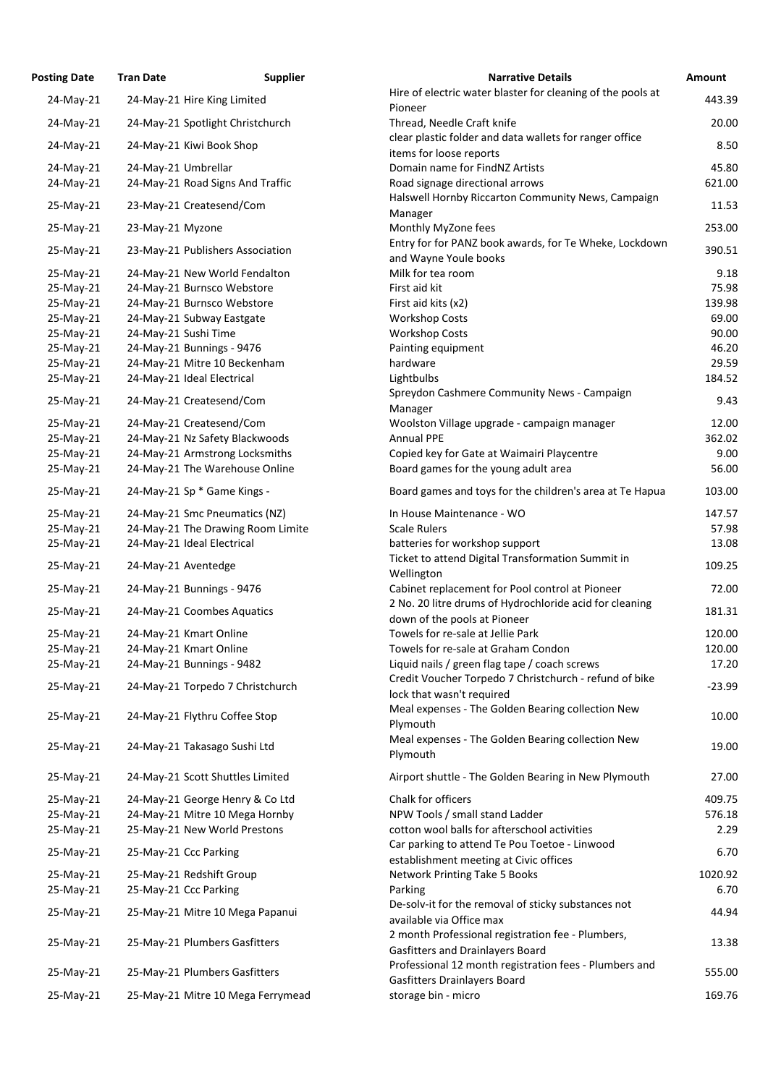| <b>Posting Date</b>    | <b>Tran Date</b>     | <b>Supplier</b>                                       | <b>Narrative Details</b>                                                                              |
|------------------------|----------------------|-------------------------------------------------------|-------------------------------------------------------------------------------------------------------|
| 24-May-21              |                      | 24-May-21 Hire King Limited                           | Hire of electric water blaster for cleaning of the pool                                               |
|                        |                      |                                                       | Pioneer                                                                                               |
| 24-May-21              |                      | 24-May-21 Spotlight Christchurch                      | Thread, Needle Craft knife                                                                            |
| 24-May-21              |                      | 24-May-21 Kiwi Book Shop                              | clear plastic folder and data wallets for ranger office<br>items for loose reports                    |
| 24-May-21              | 24-May-21 Umbrellar  |                                                       | Domain name for FindNZ Artists                                                                        |
| 24-May-21              |                      | 24-May-21 Road Signs And Traffic                      | Road signage directional arrows                                                                       |
| 25-May-21              |                      | 23-May-21 Createsend/Com                              | Halswell Hornby Riccarton Community News, Campa<br>Manager                                            |
| 25-May-21              | 23-May-21 Myzone     |                                                       | Monthly MyZone fees                                                                                   |
| 25-May-21              |                      | 23-May-21 Publishers Association                      | Entry for for PANZ book awards, for Te Wheke, Lockd<br>and Wayne Youle books                          |
| 25-May-21              |                      | 24-May-21 New World Fendalton                         | Milk for tea room                                                                                     |
| 25-May-21              |                      | 24-May-21 Burnsco Webstore                            | First aid kit                                                                                         |
| 25-May-21              |                      | 24-May-21 Burnsco Webstore                            | First aid kits (x2)                                                                                   |
| 25-May-21              |                      | 24-May-21 Subway Eastgate                             | <b>Workshop Costs</b>                                                                                 |
| 25-May-21              | 24-May-21 Sushi Time |                                                       | <b>Workshop Costs</b>                                                                                 |
| 25-May-21              |                      | 24-May-21 Bunnings - 9476                             | Painting equipment                                                                                    |
| 25-May-21              |                      | 24-May-21 Mitre 10 Beckenham                          | hardware                                                                                              |
| 25-May-21              |                      | 24-May-21 Ideal Electrical                            | Lightbulbs                                                                                            |
| 25-May-21              |                      | 24-May-21 Createsend/Com                              | Spreydon Cashmere Community News - Campaign<br>Manager                                                |
| 25-May-21              |                      | 24-May-21 Createsend/Com                              | Woolston Village upgrade - campaign manager                                                           |
| 25-May-21              |                      | 24-May-21 Nz Safety Blackwoods                        | <b>Annual PPE</b>                                                                                     |
| 25-May-21              |                      | 24-May-21 Armstrong Locksmiths                        | Copied key for Gate at Waimairi Playcentre                                                            |
| 25-May-21              |                      | 24-May-21 The Warehouse Online                        | Board games for the young adult area                                                                  |
| 25-May-21              |                      | 24-May-21 Sp * Game Kings -                           | Board games and toys for the children's area at Te Ha                                                 |
| 25-May-21              |                      | 24-May-21 Smc Pneumatics (NZ)                         | In House Maintenance - WO                                                                             |
| 25-May-21              |                      | 24-May-21 The Drawing Room Limite                     | <b>Scale Rulers</b>                                                                                   |
| 25-May-21              |                      | 24-May-21 Ideal Electrical                            | batteries for workshop support                                                                        |
|                        |                      |                                                       | Ticket to attend Digital Transformation Summit in                                                     |
| 25-May-21              | 24-May-21 Aventedge  |                                                       |                                                                                                       |
|                        |                      | 24-May-21 Bunnings - 9476                             | Wellington<br>Cabinet replacement for Pool control at Pioneer                                         |
| 25-May-21              |                      |                                                       | 2 No. 20 litre drums of Hydrochloride acid for cleanir                                                |
| 25-May-21              |                      | 24-May-21 Coombes Aquatics                            | down of the pools at Pioneer                                                                          |
| 25-May-21              |                      | 24-May-21 Kmart Online                                | Towels for re-sale at Jellie Park                                                                     |
| 25-May-21              |                      | 24-May-21 Kmart Online                                | Towels for re-sale at Graham Condon                                                                   |
| 25-May-21              |                      | 24-May-21 Bunnings - 9482                             | Liquid nails / green flag tape / coach screws<br>Credit Voucher Torpedo 7 Christchurch - refund of bi |
| 25-May-21              |                      | 24-May-21 Torpedo 7 Christchurch                      | lock that wasn't required                                                                             |
| 25-May-21              |                      | 24-May-21 Flythru Coffee Stop                         | Meal expenses - The Golden Bearing collection New<br>Plymouth                                         |
| 25-May-21              |                      | 24-May-21 Takasago Sushi Ltd                          | Meal expenses - The Golden Bearing collection New<br>Plymouth                                         |
| 25-May-21              |                      | 24-May-21 Scott Shuttles Limited                      | Airport shuttle - The Golden Bearing in New Plymout                                                   |
| 25-May-21              |                      | 24-May-21 George Henry & Co Ltd                       | Chalk for officers                                                                                    |
|                        |                      |                                                       | NPW Tools / small stand Ladder                                                                        |
| 25-May-21              |                      | 24-May-21 Mitre 10 Mega Hornby                        |                                                                                                       |
| 25-May-21<br>25-May-21 |                      | 25-May-21 New World Prestons<br>25-May-21 Ccc Parking | cotton wool balls for afterschool activities<br>Car parking to attend Te Pou Toetoe - Linwood         |
|                        |                      |                                                       | establishment meeting at Civic offices                                                                |
| 25-May-21              |                      | 25-May-21 Redshift Group                              | <b>Network Printing Take 5 Books</b>                                                                  |
| 25-May-21              |                      | 25-May-21 Ccc Parking                                 | Parking                                                                                               |
| 25-May-21              |                      | 25-May-21 Mitre 10 Mega Papanui                       | De-solv-it for the removal of sticky substances not<br>available via Office max                       |
| 25-May-21              |                      | 25-May-21 Plumbers Gasfitters                         | 2 month Professional registration fee - Plumbers,                                                     |
|                        |                      |                                                       | <b>Gasfitters and Drainlayers Board</b><br>Professional 12 month registration fees - Plumbers a       |
| 25-May-21              |                      | 25-May-21 Plumbers Gasfitters                         | <b>Gasfitters Drainlayers Board</b>                                                                   |
| 25-May-21              |                      | 25-May-21 Mitre 10 Mega Ferrymead                     | storage bin - micro                                                                                   |

| <b>Posting Date</b>    | <b>Tran Date</b>     | <b>Supplier</b>                                               | <b>Narrative Details</b>                                                                                   | Amount            |
|------------------------|----------------------|---------------------------------------------------------------|------------------------------------------------------------------------------------------------------------|-------------------|
| 24-May-21              |                      | 24-May-21 Hire King Limited                                   | Hire of electric water blaster for cleaning of the pools at                                                | 443.39            |
| 24-May-21              |                      | 24-May-21 Spotlight Christchurch                              | Pioneer<br>Thread, Needle Craft knife                                                                      | 20.00             |
| 24-May-21              |                      | 24-May-21 Kiwi Book Shop                                      | clear plastic folder and data wallets for ranger office<br>items for loose reports                         | 8.50              |
| 24-May-21              | 24-May-21 Umbrellar  |                                                               | Domain name for FindNZ Artists                                                                             | 45.80             |
| 24-May-21              |                      | 24-May-21 Road Signs And Traffic                              | Road signage directional arrows                                                                            | 621.00            |
| 25-May-21              |                      | 23-May-21 Createsend/Com                                      | Halswell Hornby Riccarton Community News, Campaign                                                         | 11.53             |
| 25-May-21              | 23-May-21 Myzone     |                                                               | Manager<br>Monthly MyZone fees                                                                             | 253.00            |
| 25-May-21              |                      | 23-May-21 Publishers Association                              | Entry for for PANZ book awards, for Te Wheke, Lockdown<br>and Wayne Youle books                            | 390.51            |
| 25-May-21              |                      | 24-May-21 New World Fendalton                                 | Milk for tea room                                                                                          | 9.18              |
| 25-May-21              |                      | 24-May-21 Burnsco Webstore                                    | First aid kit                                                                                              | 75.98             |
| 25-May-21              |                      | 24-May-21 Burnsco Webstore                                    | First aid kits (x2)                                                                                        | 139.98            |
| 25-May-21              |                      | 24-May-21 Subway Eastgate                                     | <b>Workshop Costs</b>                                                                                      | 69.00             |
| 25-May-21              | 24-May-21 Sushi Time |                                                               | <b>Workshop Costs</b>                                                                                      | 90.00             |
| 25-May-21              |                      | 24-May-21 Bunnings - 9476                                     | Painting equipment                                                                                         | 46.20             |
| 25-May-21              |                      | 24-May-21 Mitre 10 Beckenham                                  | hardware                                                                                                   | 29.59             |
| 25-May-21              |                      | 24-May-21 Ideal Electrical                                    | Lightbulbs                                                                                                 | 184.52            |
| 25-May-21              |                      | 24-May-21 Createsend/Com                                      | Spreydon Cashmere Community News - Campaign<br>Manager                                                     | 9.43              |
| 25-May-21              |                      | 24-May-21 Createsend/Com                                      | Woolston Village upgrade - campaign manager                                                                | 12.00             |
| 25-May-21              |                      | 24-May-21 Nz Safety Blackwoods                                | <b>Annual PPE</b>                                                                                          | 362.02            |
| 25-May-21              |                      | 24-May-21 Armstrong Locksmiths                                | Copied key for Gate at Waimairi Playcentre                                                                 | 9.00              |
| 25-May-21              |                      | 24-May-21 The Warehouse Online                                | Board games for the young adult area                                                                       | 56.00             |
| 25-May-21              |                      | 24-May-21 Sp * Game Kings -                                   | Board games and toys for the children's area at Te Hapua                                                   | 103.00            |
| 25-May-21              |                      | 24-May-21 Smc Pneumatics (NZ)                                 | In House Maintenance - WO                                                                                  | 147.57            |
| 25-May-21              |                      | 24-May-21 The Drawing Room Limite                             | <b>Scale Rulers</b>                                                                                        | 57.98             |
| 25-May-21<br>25-May-21 | 24-May-21 Aventedge  | 24-May-21 Ideal Electrical                                    | batteries for workshop support<br>Ticket to attend Digital Transformation Summit in                        | 13.08<br>109.25   |
|                        |                      |                                                               | Wellington                                                                                                 |                   |
| 25-May-21              |                      | 24-May-21 Bunnings - 9476                                     | Cabinet replacement for Pool control at Pioneer<br>2 No. 20 litre drums of Hydrochloride acid for cleaning | 72.00             |
| 25-May-21              |                      | 24-May-21 Coombes Aquatics                                    | down of the pools at Pioneer                                                                               | 181.31            |
| 25-May-21              |                      | 24-May-21 Kmart Online                                        | Towels for re-sale at Jellie Park                                                                          | 120.00            |
| 25-May-21              |                      | 24-May-21 Kmart Online                                        | Towels for re-sale at Graham Condon                                                                        | 120.00            |
| 25-May-21<br>25-May-21 |                      | 24-May-21 Bunnings - 9482<br>24-May-21 Torpedo 7 Christchurch | Liquid nails / green flag tape / coach screws<br>Credit Voucher Torpedo 7 Christchurch - refund of bike    | 17.20<br>$-23.99$ |
| 25-May-21              |                      | 24-May-21 Flythru Coffee Stop                                 | lock that wasn't required<br>Meal expenses - The Golden Bearing collection New<br>Plymouth                 | 10.00             |
| 25-May-21              |                      | 24-May-21 Takasago Sushi Ltd                                  | Meal expenses - The Golden Bearing collection New<br>Plymouth                                              | 19.00             |
| 25-May-21              |                      | 24-May-21 Scott Shuttles Limited                              | Airport shuttle - The Golden Bearing in New Plymouth                                                       | 27.00             |
| 25-May-21              |                      | 24-May-21 George Henry & Co Ltd                               | Chalk for officers                                                                                         | 409.75            |
| 25-May-21              |                      | 24-May-21 Mitre 10 Mega Hornby                                | NPW Tools / small stand Ladder                                                                             | 576.18            |
| 25-May-21              |                      | 25-May-21 New World Prestons                                  | cotton wool balls for afterschool activities                                                               | 2.29              |
| 25-May-21              |                      | 25-May-21 Ccc Parking                                         | Car parking to attend Te Pou Toetoe - Linwood                                                              | 6.70              |
|                        |                      |                                                               | establishment meeting at Civic offices                                                                     | 1020.92           |
| 25-May-21              |                      | 25-May-21 Redshift Group                                      | <b>Network Printing Take 5 Books</b>                                                                       |                   |
| 25-May-21              |                      | 25-May-21 Ccc Parking                                         | Parking                                                                                                    | 6.70              |
| 25-May-21              |                      | 25-May-21 Mitre 10 Mega Papanui                               | De-solv-it for the removal of sticky substances not<br>available via Office max                            | 44.94             |
| 25-May-21              |                      | 25-May-21 Plumbers Gasfitters                                 | 2 month Professional registration fee - Plumbers,<br><b>Gasfitters and Drainlayers Board</b>               | 13.38             |
| 25-May-21              |                      | 25-May-21 Plumbers Gasfitters                                 | Professional 12 month registration fees - Plumbers and<br><b>Gasfitters Drainlayers Board</b>              | 555.00            |
| 25-May-21              |                      | 25-May-21 Mitre 10 Mega Ferrymead                             | storage bin - micro                                                                                        | 169.76            |